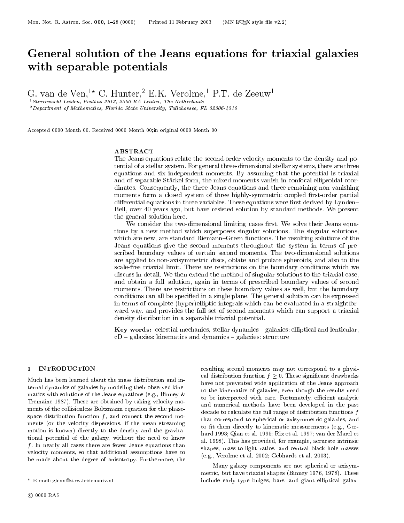## General solution of the Jeans equations for triaxial galaxies with separable potentials potentials and contact the contact of the separable potentials of the separable potentials of the separable potentials of the separable potentials of the separable potentials of the separable pote

G. van de Ven,<sup>20</sup> C. Hunter,<sup>2</sup> E.K. verolme,<sup>2</sup> P.T. de Zeeuw<sup>1</sup>

1Sterrewacht Leiden, Postbus 9513, 2300 RA Leiden, The Netherlands

 $2$  Department of Mathematics, Florida State University, Tallahassee, FL 32306-4510

Accepted 0000 Month 00. Received 0000 Month 00;in original 0000 Month 00

## ABSTRACT

The Jeans equations relate the second-order velocity moments to the density and potential of a stellar system. For general three-dimensional stellar systems, there are threeequations and six independent moments. By assuming that the potential is trialized  $\sim$ and of separable Stackel form, the mixed moments vanish in confocal ellipsoidal coordinates. Consequently, the three Jeans equations and three remaining non-vanishingmoments form a closed system of three highly-symmetric coupled rst-order partial differential equations in three variables. These equations were first derived by Lynden-Bell, over 40 years ago, but have resisted solution by standard methods. We presentthe general solution here.

We consider the two-dimensional limiting cases first. We solve their Jeans equations by <sup>a</sup> new method which superposes singular solutions. The singular solutions, which are new, are standard Riemann-Green functions. The resulting solutions of the Jeans equations give the second moments throughout the system in terms of prescribed boundary values of certain second moments. The two-dimensional solutions are applied to non-axisymmetric discs, oblate and prolate spheroids, and also to thescale-free triaxial limit. There are restrictions on the boundary conditions which we discuss in detail. We then extend the method of singular solutions to the triaxial case,and obtain a full solution, again in terms of the full solution, and secondary values of secondary values of s moments. There are restrictions on these boundary values as well, but the boundaryconditions can all be specied in a single plane. The general solution can be expressedin terms of complete (hyper)elliptic integrals which can be evaluated in a straightforward way, and provides the full set of second moments which can support a triaxialdensity distribution in a separable triaxial potential.

Key words: celestial mechanics, stellar dynamics  $-\text{ galaxies: elliptical and lenticular},$  $cD$  – galaxies: kinematics and dynamics – galaxies: structure

#### 1 INTRODUCTION

Much has been learned about the mass distribution and internal dynamics of galaxies by modeling their observed kinematics with solutions of the Jeans equations (e.g., Binney & Tremaine 1987). These are obtained by taking velocity mo ments of the collisionless Boltzmann equation for the phasespace distribution function  $f$ , and connect the second moments (or the velocity dispersions, if the mean streaming motion is known) directly to the density and the gravitational potential of the galaxy, without the need to know  $f$ . In nearly all cases there are fewer Jeans equations than velocity moments, so that additional assumptions have to be made about the degree of anisotropy. Furthermore, the

resulting second moments may not correspond to a physi- $\mathcal{A} = \mathcal{A}$  distribution function function function function function  $\mathcal{A} = \mathcal{A}$ have not prevented wide application of the Jeans approach to the kinematics of galaxies, even though the results need to be interpreted with care. Fortunately, efficient analytic and numerical methods have been developed in the past decade to calculate the full range of distribution functions f that correspond to spherical or axisymmetric galaxies, and to fit them directly to kinematic measurements (e.g., Gerhard 1993; Qian et al. 1995; Rix et al. 1997; van der Marel et al. 1998). This has provided, for example, accurate intrinsic shapes, mass-to-light ratios, and central black hole masses (e.g., Verolme et al. 2002; Gebhardt et al. 2003).

Many galaxy components are not spherical or axisymmetric, but have triaxial shapes (Binney 1976, 1978). These include early-type bulges, bars, and giant elliptical galax-

<sup>?</sup> E-mail: glenn@strw.leidenuniv.nl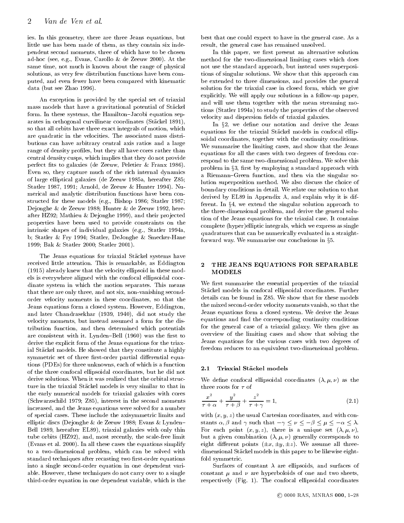ies. In this geometry, there are three Jeans equations, but little use has been made of them, as they contain six independent second moments, three of which have to be chosen ad-hoc (see, e.g., Evans, Carollo & de Zeeuw 2000). At the same time, not much is known about the range of physical solutions, as very few distribution functions have been computed, and even fewer have been compared with kinematic data (but see Zhao 1996).

An exception is provided by the special set of triaxial mass models that have a gravitational potential of Stackel form. In these systems, the Hamilton-Jacobi equation separates in orthogonal curvilinear coordinates (Stackel 1891), so that all orbits have three exact integrals of motion, which are quadratic in the velocities. The associated mass distributions can have arbitrary central axis ratios and a large range of density profiles, but they all have cores rather than central density cusps, which implies that they do not provide perfect fits to galaxies (de Zeeuw, Peletier & Franx 1986). Even so, they capture much of the rich internal dynamics of large elliptical galaxies (de Zeeuw 1985a, hereafter Z85; Statler 1987, 1991; Arnold, de Zeeuw & Hunter 1994). Numerical and analytic distribution functions have been constructed for these models (e.g., Bishop 1986; Statler 1987; Dejonghe & de Zeeuw 1988; Hunter & de Zeeuw 1992, hereafter HZ92; Mathieu & Dejonghe 1999), and their projected properties have been used to provide constraints on the intrinsic shapes of individual galaxies (e.g., Statler 1994a, b; Statler & Fry 1994; Statler, DeJonghe & Smecker-Hane 1999; Bak & Statler 2000; Statler 2001).

The Jeans equations for triaxial Stäckel systems have received little attention. This is remarkable, as Eddington (1915) already knew that the velocity ellipsoid in these models is everywhere aligned with the confocal ellipsoidal coordinate system in which the motion separates. This means that there are only three, and not six, non-vanishing secondorder velocity moments in these coordinates, so that the Jeans equations form a closed system. However, Eddington, and later Chandrasekhar (1939, 1940), did not study the velocity moments, but instead assumed a form for the distribution function, and then determined which potentials are consistent with it. Lynden-Bell (1960) was the first to derive the explicit form of the Jeans equations for the triaxial Stackel models. He showed that they constitute a highly symmetric set of three first-order partial differential equations (PDEs) for three unknowns, each of which is a function of the three confocal ellipsoidal coordinates, but he did not derive solutions. When it was realized that the orbital structure in the triaxial Stackel models is very similar to that in the early numerical models for triaxial galaxies with cores (Schwarzschild 1979; Z85), interest in the second moments increased, and the Jeans equations were solved for a number of special cases. These include the axisymmetric limits and elliptic discs (Dejonghe & de Zeeuw 1988; Evans & Lynden  $\alpha, \beta$  and  $\gamma$  such that  $-\gamma \leq \nu \leq -\beta \leq \mu \leq -\alpha \leq \lambda$ . Bell 1989, hereafter EL89), triaxial galaxies with only thin tube orbits (HZ92), and, most recently, the scale-free limit (Evans et al. 2000). In all these cases the equations simplify to a two-dimensional problem, which can be solved with standard techniques after recasting two first-order equations into a single second-order equation in one dependent variable. However, these techniques do not carry over to a single third-order equation in one dependent variable, which is the

best that one could expect to have in the general case. As a result, the general case has remained unsolved.

In this paper, we first present an alternative solution method for the two-dimensional limiting cases which does not use the standard approach, but instead uses superpositions of singular solutions. We show that this approach can be extended to three dimensions, and provides the general solution for the triaxial case in closed form, which we give explicitly. We will apply our solutions in a follow-up paper, and will use them together with the mean streaming mo tions (Statler 1994a) to study the properties of the observed velocity and dispersion fields of triaxial galaxies.

In  $\S2$ , we define our notation and derive the Jeans equations for the triaxial Stackel models in confocal ellipsoidal coordinates, together with the continuity conditions. We summarise the limiting cases, and show that the Jeans equations for all the cases with two degrees of freedom correspond to the same two-dimensional problem. We solve this problem in §3, first by employing a standard approach with a Riemann-Green function, and then via the singular solution superposition method. We also discuss the choice of boundary conditions in detail. We relate our solution to that derived by EL89 in Appendix A, and explain why it is different. In  $\S 4$ , we extend the singular solution approach to the three-dimensional problem, and derive the general solution of the Jeans equations for the triaxial case. It contains complete (hyper)elliptic integrals, which we express as single quadratures that can be numerically evaluated in a straightforward way. We summarise our conclusions in x5.

## THE JEANS EQUATIONS FOR SEPARABLE MODELS

We first summarise the essential properties of the triaxial Stackel models in confocal ellipsoidal coordinates. Further details can be found in Z85. We show that for these models the mixed second-order velocity moments vanish, so that the Jeans equations form a closed system. We derive the Jeans equations and find the corresponding continuity conditions for the general case of a triaxial galaxy. We then give an overview of the limiting cases and show that solving the Jeans equations for the various cases with two degrees of freedom reduces to an equivalent two-dimensional problem.

#### Triaxial Stäckel models

We define confocal ellipsoidal coordinates  $(\lambda, \mu, \nu)$  as the three roots for  $\tau$  of

$$
\frac{x^2}{\tau + \alpha} + \frac{y^2}{\tau + \beta} + \frac{z^2}{\tau + \gamma} = 1,\tag{2.1}
$$

with  $(x, y, z)$  the usual Cartesian coordinates, and with con-For each point  $(x, y, z)$ , there is a unique set  $(\lambda, \mu, \nu)$ , but a given combination  $(\lambda, \mu, \nu)$  generally corresponds to eight different points  $(\pm x, \pm y, \pm z)$ . We assume all threedimensional Stäckel models in this paper to be likewise eightfold symmetric.

Surfaces of constant  $\lambda$  are ellipsoids, and surfaces of constant  $\mu$  and  $\nu$  are hyperboloids of one and two sheets, respectively (Fig. 1). The confocal ellipsoidal coordinates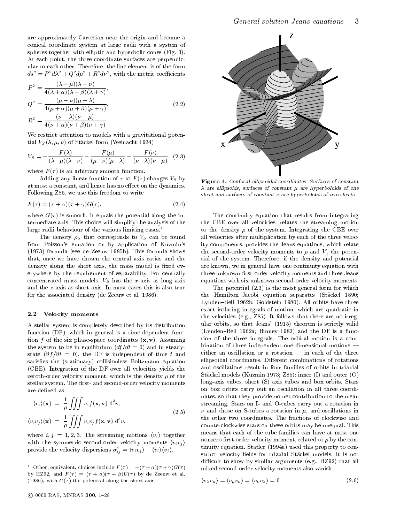are approximately Cartesian near the origin and become a conical coordinate system at large radii with a system of spheres together with elliptic and hyperbolic cones (Fig. 3). At each point, the three coordinate surfaces are perpendicular to each other. Therefore, the line element is of the form  $as^{\scriptscriptstyle +}=P^{\scriptscriptstyle -}a\lambda^{\scriptscriptstyle -}+Q^{\scriptscriptstyle -}a\mu^{\scriptscriptstyle -}+R^{\scriptscriptstyle -}a\nu^{\scriptscriptstyle -},$  with the metric coefficients

$$
P^2 = \frac{(\lambda - \mu)(\lambda - \nu)}{4(\lambda + \alpha)(\lambda + \beta)(\lambda + \gamma)},
$$
  
\n
$$
Q^2 = \frac{(\mu - \nu)(\mu - \lambda)}{4(\mu + \alpha)(\mu + \beta)(\mu + \gamma)},
$$
  
\n
$$
R^2 = \frac{(\nu - \lambda)(\nu - \mu)}{4(\nu + \alpha)(\nu + \beta)(\nu + \gamma)}.
$$
\n(2.2)

We restrict attention to models with a gravitational potential  $V_S(\lambda, \mu, \nu)$  of Stäckel form (Weinacht 1924)

$$
V_S = -\frac{F(\lambda)}{(\lambda - \mu)(\lambda - \nu)} - \frac{F(\mu)}{(\mu - \nu)(\mu - \lambda)} - \frac{F(\nu)}{(\nu - \lambda)(\nu - \mu)},
$$
 (2.3)

where  $F(\tau)$  is an arbitrary smooth function.

Adding any linear function of  $\tau$  to  $F(\tau)$  changes  $V_S$  by at most a constant, and hence has no effect on the dynamics. Following Z85, we use this freedom to write

$$
F(\tau) = (\tau + \alpha)(\tau + \gamma)G(\tau), \tag{2.4}
$$

where  $G(\tau)$  is smooth. It equals the potential along the intermediate axis. This choice will simplify the analysis of the large radii behaviour of the various limiting cases.<sup>1</sup>

The density  $\rho_S$  that corresponds to  $V_S$  can be found from Poisson's equation or by application of Kuzmin's (1973) formula (see de Zeeuw 1985b). This formula shows that, once we have chosen the central axis ratios and the density along the short axis, the mass model is fixed everywhere by the requirement of separability. For centrally concentrated mass models,  $V<sub>S</sub>$  has the x-axis as long axis and the z-axis as short axis. In most cases this is also true for the associated density (de Zeeuw et al. 1986).

#### $2.2$ Velocity moments

A stellar system is completely described by its distribution function (DF), which in general is a time-dependent function f of the six phase-space coordinates  $(x, v)$ . Assuming the system to be in equilibrium  $\left(\frac{df}{dt} = 0\right)$  and in steadystate  $(\partial f / \partial t = 0)$ , the DF is independent of time t and satisfies the (stationary) collisionless Boltzmann equation (CBE). Integration of the DF over all velocities yields the zeroth-order velocity moment, which is the density  $\rho$  of the stellar system. The first- and second-order velocity moments are defined as

$$
\langle v_i \rangle(\mathbf{x}) = \frac{1}{\rho} \iiint v_i f(\mathbf{x}, \mathbf{v}) d^3 v,
$$
  
\n
$$
\langle v_i v_j \rangle(\mathbf{x}) = \frac{1}{\rho} \iiint v_i v_j f(\mathbf{x}, \mathbf{v}) d^3 v,
$$
\n(2.5)

where  $i, j = 1, 2, 3$ . The streaming motions  $\langle v_i \rangle$  together with the symmetric second-order velocity moments  $\langle v_i v_j \rangle$ provide the velocity dispersions  $\sigma_{ij}^-=\langle v_i v_j \rangle - \langle v_i \rangle \langle v_j \rangle.$ 



Figure 1. Confocal ellipsoidal coordinates. Surfaces of constant  $\lambda$  are ellipsoids, surfaces of constant  $\mu$  are hyperboloids of one sheet and surfaces of constant are hyperboloids of two sheets.

The continuity equation that results from integrating the CBE over all velocities, relates the streaming motion to the density  $\rho$  of the system. Integrating the CBE over all velocities after multiplication by each of the three velocity components, provides the Jeans equations, which relate the second-order velocity moments to  $\rho$  and V, the potential of the system. Therefore, if the density and potential are known, we in general have one continuity equation with three unknown first-order velocity moments and three Jeans equations with six unknown second-order velocity moments.

The potential (2.3) is the most general form for which the Hamilton-Jacobi equation separates (Stäckel 1890; Lynden-Bell 1962b; Goldstein 1980). All orbits have three exact isolating integrals of motion, which are quadratic in the velocities (e.g., Z85). It follows that there are no irregular orbits, so that Jeans' (1915) theorem is strictly valid (Lynden-Bell 1962a; Binney 1982) and the DF is a function of the three integrals. The orbital motion is a com bination of three independent one-dimensional motions  $$ either an oscillation or a rotation  $\frac{1}{x}$  in each of the three ellipsoidal coordinates. Different combinations of rotations and oscillations result in four families of orbits in triaxial Stackel models (Kuzmin 1973; Z85): inner (I) and outer (O) long-axis tubes, short (S) axis tubes and box orbits. Stars on box orbits carry out an oscillation in all three coordinates, so that they provide no net contribution to the mean streaming. Stars on I- and O-tubes carry out a rotation in  $\nu$  and those on S-tubes a rotation in  $\mu$ , and oscillations in the other two coordinates. The fractions of clockwise and counterclockwise stars on these orbits may be unequal. This means that each of the tube families can have at most one nonzero first-order velocity moment, related to  $\rho$  by the continuity equation. Statler (1994a) used this property to construct velocity fields for triaxial Stäckel models. It is not difficult to show by similar arguments (e.g., HZ92) that all mixed second-order velocity moments also vanish

$$
\langle v_{\lambda} v_{\mu} \rangle = \langle v_{\mu} v_{\nu} \rangle = \langle v_{\nu} v_{\lambda} \rangle = 0. \tag{2.6}
$$

Other, equivalent, choices include  $F(T) = -(T + \alpha)(T + \gamma)G(T)$ by HZ92, and  $F(\tau) = (\tau + \alpha)(\tau + \beta)U(\tau)$  by de Zeeuw et al. (1986), with  $U(\tau)$  the potential along the short axis.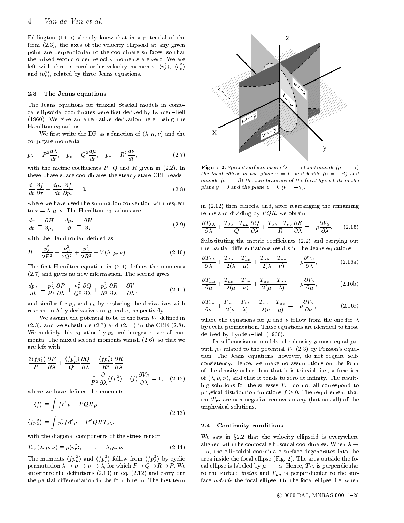Eddington (1915) already knew that in a potential of the form (2.3), the axes of the velocity ellipsoid at any given point are perpendicular to the coordinate surfaces, so that the mixed second-order velocity moments are zero. We are left with three second-order velocity moments,  $\langle v_\lambda^-\rangle,\,\,\langle v_\mu^-\rangle$ and  $\langle v_\nu \rangle,$  related by three Jeans equations.

#### 2.3 The Jeans equations

The Jeans equations for triaxial Stäckel models in confocal ellipsoidal coordinates were first derived by Lynden-Bell (1960). We give an alternative derivation here, using the Hamilton equations.

We first write the DF as a function of  $(\lambda, \mu, \nu)$  and the conjugate momenta

$$
p_{\lambda} = P^2 \frac{d\lambda}{dt}, \quad p_{\mu} = Q^2 \frac{d\mu}{dt}, \quad p_{\nu} = R^2 \frac{d\nu}{dt}, \tag{2.7}
$$

with the metric coefficients  $P$ ,  $Q$  and  $R$  given in (2.2). In these phase-space coordinates the steady-state CBE reads

$$
\frac{d\tau}{dt}\frac{\partial f}{\partial \tau} + \frac{dp_{\tau}}{dt}\frac{\partial f}{\partial p_{\tau}} = 0, \qquad (2.8)
$$

where we have used the summation convention with respect to  $\tau = \lambda, \mu, \nu$ . The Hamilton equations are

$$
\frac{d\tau}{dt} = \frac{\partial H}{\partial p_{\tau}}, \quad \frac{dp_{\tau}}{dt} = \frac{\partial H}{\partial \tau}, \tag{2.9}
$$

with the Hamiltonian defined as

$$
H = \frac{p_{\lambda}^{2}}{2P^{2}} + \frac{p_{\mu}^{2}}{2Q^{2}} + \frac{p_{\nu}^{2}}{2R^{2}} + V(\lambda, \mu, \nu).
$$
 (2.10)

The first Hamilton equation in  $(2.9)$  defines the momenta (2.7) and gives no new information. The second gives

$$
\frac{dp_{\lambda}}{dt} = \frac{p_{\lambda}^2}{P^3} \frac{\partial P}{\partial \lambda} + \frac{p_{\mu}^2}{Q^3} \frac{\partial Q}{\partial \lambda} + \frac{p_{\nu}^2}{R^3} \frac{\partial R}{\partial \lambda} - \frac{\partial V}{\partial \lambda},\tag{2.11}
$$

and similar for  $p_{\mu}$  and  $p_{\nu}$  by replacing the derivatives with respect to  $\lambda$  by derivatives to  $\mu$  and  $\nu$ , respectively.

We assume the potential to be of the form  $V<sub>S</sub>$  defined in  $(2.3)$ , and we substitute  $(2.7)$  and  $(2.11)$  in the CBE  $(2.8)$ . We multiply this equation by  $p_{\lambda}$  and integrate over all momenta. The mixed second moments vanish (2.6), so that we are left with

$$
\frac{3\langle fp_2^2\rangle}{P^3} \frac{\partial P}{\partial \lambda} + \frac{\langle fp_\mu^2\rangle}{Q^3} \frac{\partial Q}{\partial \lambda} + \frac{\langle fp_\nu^2\rangle}{R^3} \frac{\partial R}{\partial \lambda} -\frac{1}{P^2} \frac{\partial}{\partial \lambda} \langle fp_\lambda^2\rangle - \langle f \rangle \frac{\partial V_S}{\partial \lambda} = 0, \quad (2.12)
$$

where we have defined the moments

$$
\langle f \rangle \equiv \int f d^3 p = P Q R \rho,
$$
  
\n
$$
\langle f p_\lambda^2 \rangle \equiv \int p_\lambda^2 f d^3 p = P^3 Q R T_{\lambda \lambda},
$$
  
\nwith the diagonal components of the stress tensor

$$
T_{\tau\tau}(\lambda,\mu,\nu) \equiv \rho \langle v_{\tau}^2 \rangle, \qquad \tau = \lambda, \mu, \nu. \tag{2.14}
$$

The moments  $\langle fp_\mu^2\rangle$  and  $\langle fp_\nu^2\rangle$  follow from  $\langle fp_\lambda^2\rangle$  by cyclic permutation is a set of which P  $\sim$  which P  $\sim$  which P  $\sim$  we have  $\sim$  we have  $\sim$  we have  $\sim$  we have  $\sim$  we have  $\sim$  we have  $\sim$  we have  $\sim$  we have  $\sim$  we have  $\sim$  we have  $\sim$  we have  $\sim$  we have  $\sim$  we substitute the definitions  $(2.13)$  in eq.  $(2.12)$  and carry out the partial differentiation in the fourth term. The first term



**Figure 2.** Special surfaces inside  $(\lambda = -\alpha)$  and outside  $(\mu = -\alpha)$ the focal empse in the plane  $x = 0$ , and inside  $(\mu = -p)$  and outside  $(\nu = -\beta)$  the two branches of the focal hyperbola in the plane  $y = 0$  and the plane  $z = 0$  ( $\nu = -\gamma$ ).

in (2.12) then cancels, and, after rearranging the remaining terms and dividing by  $PQR$ , we obtain

$$
\frac{\partial T_{\lambda\lambda}}{\partial \lambda} + \frac{T_{\lambda\lambda} - T_{\mu\mu}}{Q} \frac{\partial Q}{\partial \lambda} + \frac{T_{\lambda\lambda} - T_{\nu\nu}}{R} \frac{\partial R}{\partial \lambda} = -\rho \frac{\partial V_S}{\partial \lambda}.
$$
 (2.15)

Substituting the metric coefficients  $(2.2)$  and carrying out the partial differentiations results in the Jeans equations

$$
\frac{\partial T_{\lambda\lambda}}{\partial \lambda} + \frac{T_{\lambda\lambda} - T_{\mu\mu}}{2(\lambda - \mu)} + \frac{T_{\lambda\lambda} - T_{\nu\nu}}{2(\lambda - \nu)} = -\rho \frac{\partial V_S}{\partial \lambda},\tag{2.16a}
$$

$$
\frac{\partial T_{\mu\mu}}{\partial \mu} + \frac{T_{\mu\mu} - T_{\nu\nu}}{2(\mu - \nu)} + \frac{T_{\mu\mu} - T_{\lambda\lambda}}{2(\mu - \lambda)} = -\rho \frac{\partial V_S}{\partial \mu},
$$
\n(2.16b)

$$
\frac{\partial T_{\nu\nu}}{\partial \nu} + \frac{T_{\nu\nu} - T_{\lambda\lambda}}{2(\nu - \lambda)} + \frac{T_{\nu\nu} - T_{\mu\mu}}{2(\nu - \mu)} = -\rho \frac{\partial V_S}{\partial \nu},\tag{2.16c}
$$

where the equations for  $\mu$  and  $\nu$  follow from the one for  $\lambda$ by cyclic permutation. These equations are identical to those derived by Lynden-Bell (1960).

In self-consistent models, the density  $\rho$  must equal  $\rho_s$ , with  $\rho_S$  related to the potential  $V_S$  (2.3) by Poisson's equation. The Jeans equations, however, do not require selfconsistency. Hence, we make no assumptions on the form of the density other than that it is triaxial, i.e., a function of  $(\lambda, \mu, \nu)$ , and that it tends to zero at infinity. The resulting solutions for the stresses  $T_{\tau\tau}$  do not all correspond to physical distribution functions functions functions functions functions functions functions  $\mathcal{F} = \mathcal{F}$ the  $T_{\tau\tau}$  are non-negative removes many (but not all) of the unphysical solutions.

#### 2.4 Continuity conditions

We saw in  $\S 2.2$  that the velocity ellipsoid is everywhere aligned with the confocal ellipsoidal coordinates. When  $\lambda \rightarrow$ , the ellipsoidal coordinate surface degenerates into the ellipsoidal coordinate surface  $\sigma$ area inside the focal ellipse (Fig. 2). The area outside the focal ellipse is labeled by  $\mu = -\alpha$ . Hence,  $T_{\lambda\lambda}$  is perpendicular to the surface *inside* and  $T_{\mu\mu}$  is perpendicular to the surface *outside* the focal ellipse. On the focal ellipse, i.e. when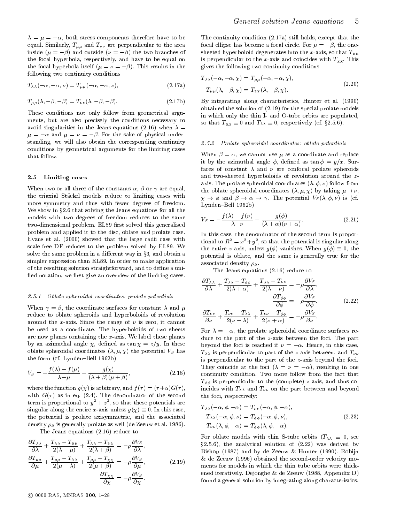$\lambda = \mu = -\alpha$ , both stress components therefore have to be equal. Similarly,  $T_{\mu\mu}$  and  $T_{\nu\nu}$  are perpendicular to the area inside  $(\mu = -\beta)$  and outside  $(\nu = -\beta)$  the two branches of the focal hyperbola, respectively, and have to be equal on the focal hyperbola itself  $(\mu = \nu = -\beta)$ . This results in the following two continuity conditions

$$
T_{\lambda\lambda}(-\alpha, -\alpha, \nu) = T_{\mu\mu}(-\alpha, -\alpha, \nu), \qquad (2.17a)
$$

$$
T_{\mu\mu}(\lambda, -\beta, -\beta) = T_{\nu\nu}(\lambda, -\beta, -\beta).
$$
 (2.17b) I

These conditions not only follow from geometrical argu ments, but are also precisely the conditions necessary to avoid singularities in the Jeans equations (2.16) when  $\lambda =$  $\mathbf{r}$  , and saturate of physical under-same of physical understanding, we will also obtain the corresponding continuity  $\qquad 2.5.2$ conditions by geometrical arguments for the limiting cases that follow.

#### 2.5 Limiting cases

When two or all three of the constants  $\alpha$ ,  $\beta$  or  $\gamma$  are equal, the triaxial Stackel models reduce to limiting cases with more symmetry and thus with fewer degrees of freedom. We show in the  $\alpha$  show in the  $\alpha$  that solving the Jeans equations for all the Jeans equations for all the  $\alpha$ models with two degrees of freedom reduces to the same two-dimensional problem. EL89 first solved this generalised problem and applied it to the disc, oblate and prolate case. Evans et al. (2000) showed that the large radii case with scale-free DF reduces to the problem solved by EL89. We solve the same problem in a different way in  $\S 3$ , and obtain a simpler expression than EL89. In order to make application of the resulting solution straightforward, and to define a unified notation, we first give an overview of the limiting cases.

#### 2.5.1 Oblate spheroidal coordinates: prolate potentials

When  $\gamma = \beta$ , the coordinate surfaces for constant  $\lambda$  and  $\mu$ reduce to oblate spheroids and hyperboloids of revolution around the x-axis. Since the range of  $\nu$  is zero, it cannot be used as a coordinate. The hyperboloids of two sheets are now planes containing the x-axis. We label these planes by an azimuthal angle  $\chi$ , defined as  $\tan \chi = z/y$ . In these oblate spheroidal coordinates  $(\lambda, \mu, \chi)$  the potential  $V_S$  has the form (cf. Lynden-Bell 1962b)

$$
V_S = -\frac{f(\lambda) - f(\mu)}{\lambda - \mu} - \frac{g(\chi)}{(\lambda + \beta)(\mu + \beta)},
$$
\n(2.18)

where the function  $g(\chi)$  is arbitrary, and  $f(\tau)=(\tau+\alpha)G(\tau)$ , with  $G(\tau)$  as in eq. (2.4). The denominator of the second term is proportional to  $y$   $\ +z$  , so that these potentials are singular along the entire  $x$  and  $x$  and  $y(\lambda) = x$  for  $x$  and  $y(\lambda)$ the potential is prolate axisymmetric, and the associated density  $\rho_S$  is generally prolate as well (de Zeeuw et al. 1986).

The Jeans equations (2.16) reduce to

$$
\frac{\partial T_{\lambda\lambda}}{\partial \lambda} + \frac{T_{\lambda\lambda} - T_{\mu\mu}}{2(\lambda - \mu)} + \frac{T_{\lambda\lambda} - T_{\chi\chi}}{2(\lambda + \beta)} = -\rho \frac{\partial V_S}{\partial \lambda},
$$
\n
$$
\frac{\partial T_{\mu\mu}}{\partial \mu} + \frac{T_{\mu\mu} - T_{\lambda\lambda}}{2(\mu - \lambda)} + \frac{T_{\mu\mu} - T_{\chi\chi}}{2(\mu + \beta)} = -\rho \frac{\partial V_S}{\partial \mu},
$$
\n
$$
\frac{\partial T_{\chi\chi}}{\partial \chi} = -\rho \frac{\partial V_S}{\partial \chi}.
$$
\n(2.19)

The continuity condition (2.17a) still holds, except that the focal ellipse has become a focal circle. For  $\mu = -\beta$ , the onesheeted hyperboloid degenerates into the x-axis, so that  $T_{\mu\mu}$ is perpendicular to the x-axis and coincides with  $T_{\chi\chi}$ . This gives the following two continuity conditions

$$
T_{\lambda\lambda}(-\alpha, -\alpha, \chi) = T_{\mu\mu}(-\alpha, -\alpha, \chi),
$$
  
\n
$$
T_{\mu\mu}(\lambda, -\beta, \chi) = T_{\chi\chi}(\lambda, -\beta, \chi).
$$
\n(2.20)

By integrating along characteristics, Hunter et al. (1990) obtained the solution of (2.19) for the special prolate models in which only the thin I- and O-tube orbits are populated, so that  $\Gamma_{\mu\mu} = 0$  and  $\Gamma_{\lambda\lambda} = 0$ , respectively (cf.  $3\pi$ ...).

#### Prolate spheroidal coordinates: oblate potentials  $2.5.2$  Probability spheroidal coordinates: oblate potentials potentials potentials potentials potentials potentials potentials of  $\mu$

When  $\beta = \alpha$ , we cannot use  $\mu$  as a coordinate and replace it by the azimuthal angle  $\phi$ , defined as  $\tan \phi = y/x$ . Surfaces of constant  $\lambda$  and  $\nu$  are confocal prolate spheroids and two-sheeted hyperboloids of revolution around the z axis. The prolate spheroidal coordinates  $(\lambda, \phi, \nu)$  follow from the oblate spheroidal coordinates  $(\lambda, \mu, \chi)$  by taking  $\mu \to \nu$ ,  $\Lambda$  . In the potential VS (ii) is  $\Gamma$  is the potential VS (ii)  $\Gamma$  ) is (cf. ) is ( Lynden-Bell 1962b)

$$
V_S = -\frac{f(\lambda) - f(\nu)}{\lambda - \nu} - \frac{g(\phi)}{(\lambda + \alpha)(\nu + \alpha)}.
$$
\n(2.21)

In this case, the denominator of the second term is proportional to  $K^- = x^- + y^-$ , so that the potential is singular along the entire  $\partial$  vanishes. When g(i)  $\partial$  vanishes. When g(i)  $\partial$  vanishes. When g(i)  $\partial$  vanishes. When g(i)  $\partial$  vanishes. When g(i)  $\partial$  vanishes. When g(i)  $\partial$  vanishes. When g(i)  $\partial$  vanishes. When g(i)  $\partial$  vanis potential is oblate, and the same is generally true for the associated density  $\rho_S$ .

The Jeans equations (2.16) reduce to

$$
\frac{\partial T_{\lambda\lambda}}{\partial \lambda} + \frac{T_{\lambda\lambda} - T_{\phi\phi}}{2(\lambda + \alpha)} + \frac{T_{\lambda\lambda} - T_{\nu\nu}}{2(\lambda - \nu)} = -\rho \frac{\partial V_S}{\partial \lambda},
$$

$$
\frac{\partial T_{\phi\phi}}{\partial \phi} = -\rho \frac{\partial V_S}{\partial \phi}.
$$
(2.22)
$$
\frac{\partial T_{\nu\nu}}{\partial \nu} + \frac{T_{\nu\nu} - T_{\lambda\lambda}}{2(\nu - \lambda)} + \frac{T_{\nu\nu} - T_{\phi\phi}}{2(\nu + \alpha)} = -\rho \frac{\partial V_S}{\partial \nu}.
$$

For  $\lambda = -\alpha$ , the prolate spheroidal coordinate surfaces reduce to the part of the z-axis between the foci. The part beyond the foci is reached if  $\nu = -\alpha$ . Hence, in this case,  $T_{\lambda\lambda}$  is perpendicular to part of the z-axis between, and  $T_{\nu\nu}$ is perpendicular to the part of the z-axis beyond the foci. They coincide at the foci  $(\lambda = \nu = -\alpha)$ , resulting in one continuity condition. Two more follow from the fact that  $T_{\phi\phi}$  is perpendicular to the (complete) z-axis, and thus coincides with  $T_{\lambda\lambda}$  and  $T_{\nu\nu}$  on the part between and beyond the foci, respectively:

$$
T_{\lambda\lambda}(-\alpha,\phi,-\alpha) = T_{\nu\nu}(-\alpha,\phi,-\alpha),
$$
  
\n
$$
T_{\lambda\lambda}(-\alpha,\phi,\nu) = T_{\phi\phi}(-\alpha,\phi,\nu),
$$
  
\n
$$
T_{\nu\nu}(\lambda,\phi,-\alpha) = T_{\phi\phi}(\lambda,\phi,-\alpha).
$$
\n(2.23)

For oblate models with thin S-tube orbits (T 0, see  $\S2.5.6$ ), the analytical solution of  $(2.22)$  was derived by Bishop (1987) and by de Zeeuw & Hunter (1990). Robijn & de Zeeuw (1996) obtained the second-order velocity mo ments for models in which the thin tube orbits were thickened iteratively. Dejonghe & de Zeeuw (1988, Appendix D) found a general solution by integrating along characteristics.

 $\circ$  0000 RAS, MNRAS 000, 1-28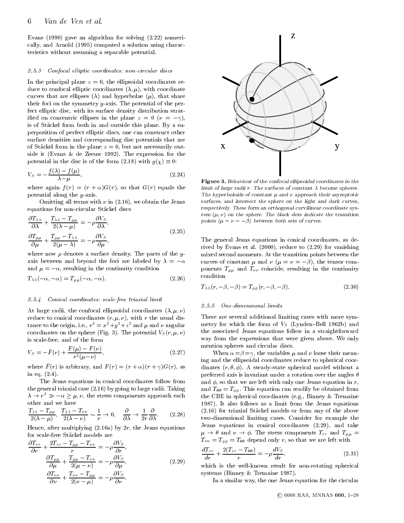Evans (1990) gave an algorithm for solving (2.22) numerically, and Arnold (1995) computed a solution using characteristics without assuming a separable potential.

#### 2.5.3 Confocal elliptic coordinates: non-circular discs

In the principal plane  $z = 0$ , the ellipsoidal coordinates reduce to confocal elliptic coordinates  $(\lambda, \mu)$ , with coordinate curves that are ellipses  $(\lambda)$  and hyperbolae  $(\mu)$ , that share their foci on the symmetry y-axis. The potential of the perfect elliptic disc, with its surface density distribution stratified on concentric ellipses in the plane  $z = 0$  ( $\nu = -\gamma$ ), is of Stackel form both in and outside this plane. By a superposition of perfect elliptic discs, one can construct other surface densities and corresponding disc potentials that are of Stäckel form in the plane  $z = 0$ , but not necessarily outside it (Evans & de Zeeuw 1992). The expression for the potential in the disc is of the form (2.18) with  $g(\lambda) = 0$ :

$$
V_S = -\frac{f(\lambda) - f(\mu)}{\lambda - \mu},\tag{2.24}
$$

where again  $f(\tau) = (\tau + \alpha)G(\tau)$ , so that  $G(\tau)$  equals the potential along the y-axis.

Omitting all terms with  $\nu$  in (2.16), we obtain the Jeans equations for non-circular Stackel discs

$$
\frac{\partial T_{\lambda\lambda}}{\partial \lambda} + \frac{T_{\lambda\lambda} - T_{\mu\mu}}{2(\lambda - \mu)} = -\rho \frac{\partial V_S}{\partial \lambda},
$$
\n
$$
\frac{\partial T_{\mu\mu}}{\partial \mu} + \frac{T_{\mu\mu} - T_{\lambda\lambda}}{2(\mu - \lambda)} = -\rho \frac{\partial V_S}{\partial \mu},
$$
\n(2.25)

where now  $\rho$  denotes a surface density. The parts of the yaxis between and beyond the foci are labeled by  $\lambda = -\alpha$ and  $\mu = -\alpha$ , resulting in the continuity condition

$$
T_{\lambda\lambda}(-\alpha,-\alpha) = T_{\mu\mu}(-\alpha,-\alpha). \tag{2.26}
$$

#### 2.5.4 Conical coordinates: scale-free triaxial limit

At large radii, the confocal ellipsoidal coordinates  $(\lambda, \mu, \nu)$ reduce to conical coordinates  $(r, \mu, \nu)$ , with r the usual distance to the origin, i.e.,  $r = x + y + z$  and  $\mu$  and  $\nu$  angular coordinates on the sphere (Fig. 3). The potential  $V_S(r, \mu, \nu)$ is scale-free, and of the form

$$
V_S = -\tilde{F}(r) + \frac{F(\mu) - F(\nu)}{r^2(\mu - \nu)},
$$
\n(2.27)

where  $\tilde{F}(r)$  is arbitrary, and  $F(\tau) = (\tau + \alpha)(\tau + \gamma)G(\tau)$ , as in eq. (2.4).

The Jeans equations in conical coordinates follow from the general triaxial case (2.16) by going to large radii. Taking  $\lambda \to r \gg -\alpha \geq \mu, \nu$ other and we have

other and we have  
\n
$$
\frac{T_{\lambda\lambda} - T_{\mu\mu}}{2(\lambda - \mu)}, \frac{T_{\lambda\lambda} - T_{\nu\nu}}{2(\lambda - \nu)} \sim \frac{1}{r} \to 0, \quad \frac{\partial}{\partial\lambda} \to \frac{1}{2r} \frac{\partial}{\partial\lambda}.
$$
\n(2.28) (2.1)

Hence, after multiplying  $(2.16a)$  by  $2r$ , the Jeans equations for scale-free Stackel models are

$$
\frac{\partial T_{rr}}{\partial r} + \frac{2T_{rr} - T_{\mu\mu} - T_{\nu\nu}}{r} = -\rho \frac{\partial V_S}{\partial r},
$$
\n
$$
\frac{\partial T_{\mu\mu}}{\partial \mu} + \frac{T_{\mu\mu} - T_{\nu\nu}}{2(\mu - \nu)} = -\rho \frac{\partial V_S}{\partial \mu},
$$
\n
$$
\frac{\partial T_{\nu\nu}}{\partial \nu} + \frac{T_{\nu\nu} - T_{\mu\mu}}{2(\nu - \mu)} = -\rho \frac{\partial V_S}{\partial \nu}.
$$
\n(2.29)



Figure 3. Behaviour of the confocal ellipsoidal coordinates in the limit of large radii <sup>r</sup>. The surfaces of constant become spheres. The hyperboloids of constant and approach their asymptotic surfaces, and intersect the sphere on the light and dark curves,respectively. These form an orthogonal curvilinear coordinate system  $\left(\mu,\nu\right)$  on the sphere. The black dots indicate the transition points ( $\mu = \nu = -\beta$ ) between both sets of curves.

The general Jeans equations in conical coordinates, as derived by Evans et al. (2000), reduce to (2.29) for vanishing mixed second moments. At the transition points between the curves of constant  $\mu$  and  $\nu$  ( $\mu = \nu = -\beta$ ), the tensor components  $T_{\mu\mu}$  and  $T_{\nu\nu}$  coincide, resulting in the continuity condition

$$
T_{\lambda\lambda}(r, -\beta, -\beta) = T_{\phi\phi}(r, -\beta, -\beta).
$$
 (2.30)

#### $9.5.5$ 2.5.5 One-dimensional limits

There are several additional limiting cases with more symmetry for which the form of  $V<sub>S</sub>$  (Lynden-Bell 1962b) and the associated Jeans equations follow in a straightforward way from the expressions that were given above. We only mention spheres and circular discs.

When  $\alpha = \beta = \gamma$ , the variables  $\mu$  and  $\nu$  loose their meaning and the ellipsoidal coordinates reduce to spherical coordinates  $(r, \theta, \phi)$ . A steady-state spherical model without a preferred axis is invariant under a rotation over the angles  $\theta$ and  $\phi$ , so that we are left with only one Jeans equation in r, and  $T_{\theta\theta} = T_{\phi\phi}$ . This equation can readily be obtained from the CBE in spherical coordinates (e.g., Binney & Tremaine 1987). It also follows as a limit from the Jeans equations (2.16) for triaxial Stackel models or from any of the above two-dimensional limiting cases. Consider for example the Jeans equations in conical coordinates (2.29), and take  $P$  . The stress components  $T$  is stress components Transaction Transaction Transaction  $\mu$  $T_{\nu\nu} = T_{\phi\phi} = T_{\theta\theta}$  depend only r, so that we are left with

$$
\frac{dT_{rr}}{dr} + \frac{2(T_{rr} - T_{\theta\theta})}{r} = -\rho \frac{dV_S}{dr},\qquad(2.31)
$$

which is the well-known result for non-rotating spherical systems (Binney & Tremaine 1987).

In a similar way, the one Jeans equation for the circular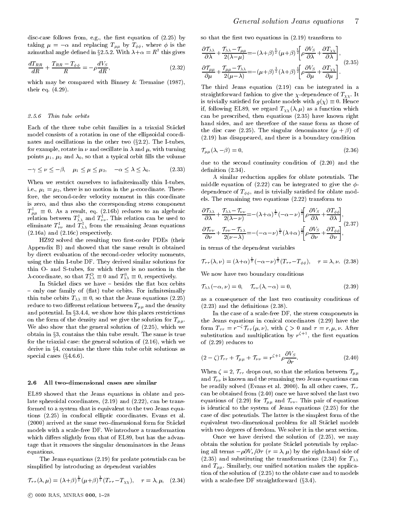disc-case follows from, e.g., the first equation of  $(2.25)$  by taking  $\mu = -\alpha$  and replacing  $T_{\mu\mu}$  by  $T_{\phi\phi}$ , where  $\phi$  is the azimuthal angle defined in  $32.5.2$ . With  $\lambda + \alpha = R$  this gives  $\qquad$ 

$$
\frac{dT_{RR}}{dR} + \frac{T_{RR} - T_{\phi\phi}}{R} = -\rho \frac{dV_S}{dR},\tag{2.32}
$$

which may be compared with Binney & Tremaine (1987), their eq. (4.29).

#### 2.5.6 Thin tube orbits

Each of the three tube orbit families in a triaxial Stäckel model consists of a rotation in one of the ellipsoidal coordinates and oscillations in the other two  $(\S2.2)$ . The I-tubes, for example, rotate in  $\nu$  and oscillate in  $\lambda$  and  $\mu$ , with turning points  $\mu_1, \mu_2$  and  $\lambda_0$ , so that a typical orbit fills the volume

$$
-\gamma \le \nu \le -\beta, \quad \mu_1 \le \mu \le \mu_2, \quad -\alpha \le \lambda \le \lambda_0. \tag{2.33}
$$

When we restrict ourselves to infinitesimally thin I-tubes,<br>i.e.  $\mu_1 = \mu_2$ , there is no motion in the  $\mu$  coordinate. There i.e.,  $\mu_1 = \mu_2$ , there is no motion in the  $\mu$ -coordinate. Therefore, the second-order velocity moment in this coordinate is zero, and thus also the corresponding stress component  $T_{\mu\mu} = 0$ . As a result, eq. (2.16b) reduces to an algebraic  $\sigma$ relation between  $T_{\lambda\lambda}^{\text{I}}$  and  $T_{\nu\nu}^{\text{I}}$ . This relation can be used to eliminate  $T_{\nu\nu}^{\rm I}$  and  $T_{\lambda\lambda}^{\rm I}$  from the remaining Jeans equations (2.16a) and (2.16c) respectively.

HZ92 solved the resulting two first-order PDEs (their Appendix B) and showed that the same result is obtained by direct evaluation of the second-order velocity moments, using the thin I-tube DF. They derived similar solutions for thin O-and S-tubes, for which there is no motion in the  $\lambda$ -coordinate, so that  $T_{\lambda\lambda} \equiv 0$  and  $T_{\lambda\lambda} \equiv 0$ , respectively.

In Stäckel discs we have - besides the flat box orbits - only one family of (flat) tube orbits. For infinitesimally this tube orbits  $\mathcal{L}(\mathcal{N}) = \mathcal{N}(\mathcal{N})$  is the functional dimensional (2.25). reduce to two different relations between  $T_{\mu\mu}$  and the density and potential. In  $\S 3.4.4$ , we show how this places restrictions on the form of the density and we give the solution for  $T_{\mu\mu}$ . We also show that the general solution of (2.25), which we obtain in  $\S3$ , contains the thin tube result. The same is true for the triaxial case: the general solution of (2.16), which we derive in  $\S 4$ , contains the three thin tube orbit solutions as special cases  $(\S4.6.6)$ .

#### 2.6 All two-dimensional cases are similar

EL89 showed that the Jeans equations in oblate and prolate spheroidal coordinates, (2.19) and (2.22), can be transformed to a system that is equivalent to the two Jeans equations (2.25) in confocal elliptic coordinates. Evans et al. (2000) arrived at the same two-dimensional form for Stackel models with a scale-free DF. We introduce a transformation which differs slightly from that of EL89, but has the advantage that it removes the singular denominators in the Jeans equations.

The Jeans equations (2.19) for prolate potentials can be simplied by introducing as dependent variables

$$
\mathcal{T}_{\tau\tau}(\lambda,\mu) = (\lambda+\beta)^{\frac{1}{2}}(\mu+\beta)^{\frac{1}{2}}(T_{\tau\tau}-T_{\chi\chi}), \quad \tau = \lambda, \mu, \quad (2.34)
$$

so that the first two equations in  $(2.19)$  transform to

$$
\frac{\partial \mathcal{T}_{\lambda\lambda}}{\partial \lambda} + \frac{\mathcal{T}_{\lambda\lambda} - \mathcal{T}_{\mu\mu}}{2(\lambda - \mu)} = -(\lambda + \beta)^{\frac{1}{2}} (\mu + \beta)^{\frac{1}{2}} \left[ \rho \frac{\partial V_S}{\partial \lambda} + \frac{\partial T_{\chi\chi}}{\partial \lambda} \right],
$$
\n
$$
\frac{\partial \mathcal{T}_{\mu\mu}}{\partial \mu} + \frac{\mathcal{T}_{\mu\mu} - \mathcal{T}_{\lambda\lambda}}{2(\mu - \lambda)} = -(\mu + \beta)^{\frac{1}{2}} (\lambda + \beta)^{\frac{1}{2}} \left[ \rho \frac{\partial V_S}{\partial \mu} + \frac{\partial T_{\chi\chi}}{\partial \mu} \right].
$$
\n(2.35)

The third Jeans equation (2.19) can be integrated in a straightforward fashion to give the  $\chi$ -dependence of  $T_{\chi\chi}$ . It is trivially satisfied for probability  $\mathcal{O}(\mathcal{M})$  . Hence  $\mathcal{O}(\mathcal{M})$ if, following EL89, we regard  $T_{\chi\chi}(\lambda,\mu)$  as a function which can be prescribed, then equations (2.35) have known right hand sides, and are therefore of the same form as those of the disc case (2.25). The singular denominator  $(\mu + \beta)$  of (2.19) has disappeared, and there is a boundary condition

$$
\mathcal{T}_{\mu\mu}(\lambda, -\beta) = 0,\tag{2.36}
$$

due to the second continuity condition of (2.20) and the definition  $(2.34)$ .

A similar reduction applies for oblate potentials. The middle equation of (2.22) can be integrated to give the  $\phi$ dependence of  $T_{\phi\phi}$ , and is trivially satisfied for oblate models. The remaining two equations (2.22) transform to

$$
\frac{\partial \mathcal{T}_{\lambda\lambda}}{\partial \lambda} + \frac{\mathcal{T}_{\lambda\lambda} - \mathcal{T}_{\nu\nu}}{2(\lambda - \nu)} = -(\lambda + \alpha)^{\frac{1}{2}} \left[ \rho \frac{\partial V_S}{\partial \lambda} + \frac{\partial T_{\phi\phi}}{\partial \lambda} \right],
$$
\n
$$
\frac{\partial \mathcal{T}_{\nu\nu}}{\partial \nu} + \frac{\mathcal{T}_{\nu\nu} - \mathcal{T}_{\lambda\lambda}}{2(\nu - \lambda)} = -(-\alpha - \nu)^{\frac{1}{2}} (\lambda + \alpha)^{\frac{1}{2}} \left[ \rho \frac{\partial V_S}{\partial \nu} + \frac{\partial T_{\phi\phi}}{\partial \nu} \right],
$$
\n(2.37)

in terms of the dependent variables

$$
\mathcal{T}_{\tau\tau}(\lambda,\nu) = (\lambda + \alpha)^{\frac{1}{2}} (-\alpha - \nu)^{\frac{1}{2}} (T_{\tau\tau} - T_{\phi\phi}), \quad \tau = \lambda, \nu. \tag{2.38}
$$

We now have two boundary conditions

$$
\mathcal{T}_{\lambda\lambda}(-\alpha,\nu) = 0, \quad \mathcal{T}_{\nu\nu}(\lambda,-\alpha) = 0, \tag{2.39}
$$

as a consequence of the last two continuity conditions of  $(2.23)$  and the definitions  $(2.38)$ .

In the case of a scale-free DF, the stress components in the Jeans equations in conical coordinates (2.29) have the form  $T_{\tau\tau} = r^{-\zeta} \mathcal{T}_{\tau\tau}(\mu, \nu)$ , with  $\zeta > 0$  and  $\tau = r, \mu, \nu$ . After substitution and multiplication by  $r^{\frac{1}{2}}$ , the first equation of (2.29) reduces to

$$
(2 - \zeta)\mathcal{T}_{rr} + \mathcal{T}_{\mu\mu} + \mathcal{T}_{\nu\nu} = r^{\zeta + 1} \rho \frac{\partial V_S}{\partial r}.
$$
 (2.40)

When  $\zeta = 2$ ,  $\mathcal{T}_{rr}$  drops out, so that the relation between  $\mathcal{T}_{\mu\mu}$ and  $\alpha$  is known and the remaining two Jeans  $\alpha$   $_{1}$  and the remaining cannot can in be readily solved (Evans et al. 2000). In all other cases,  $\mathcal{T}_{rr}$ can be obtained from (2.40) once we have solved the last two equations of (2.29) for  $\mathcal{T}_{\mu\mu}$  and  $\mathcal{T}_{\nu\nu}$ . This pair of equations is identical to the system of Jeans equations (2.25) for the case of disc potentials. The latter is the simplest form of the equivalent two-dimensional problem for all Stäckel models with two degrees of freedom. We solve it in the next section.

Once we have derived the solution of (2.25), we may obtain the solution for prolate Stackel potentials by replacing all terms  $-\rho \partial V_s/\partial \tau$  ( $\tau = \lambda, \mu$ ) by the right-hand side of (2.35) and substituting the transformations (2.34) for  $T_{\lambda\lambda}$ and  $T_{\mu\mu}$ . Similarly, our unified notation makes the application of the solution of (2.25) to the oblate case and to models with a scale-free DF straightforward  $(\S 3.4)$ .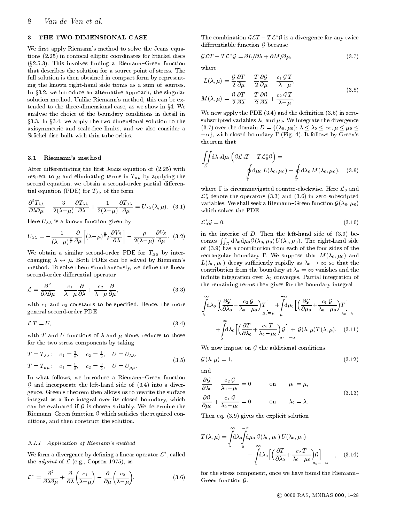## 3 THE TWO-DIMENSIONAL CASE

We first apply Riemann's method to solve the Jeans equations (2.25) in confocal elliptic coordinates for Stackel discs  $(\S2.5.3)$ . This involves finding a Riemann-Green function that describes the solution for a source point of stress. The full solution is then obtained in compact form by representing the known right-hand side terms as a sum of sources. In  $\S$ 3.2, we introduce an alternative approach, the singular solution method. Unlike Riemann's method, this can be exthe three-dimensional case, as we show in the three-dimensional case, as we show in  $\mathbf{u}$ analyse the choice of the boundary conditions in detail in axisymmetric and scale-free limits, and we also consider a Stackel disc built with thin tube orbits.

#### 3.1 Riemann's method

After differentiating the first Jeans equation of  $(2.25)$  with respect to  $\mu$  and eliminating terms in  $T_{\mu\mu}$  by applying the second equation, we obtain a second-order partial differential equation (PDE) for  $T_{\lambda\lambda}$  of the form

$$
\frac{\partial^2 T_{\lambda\lambda}}{\partial \lambda \partial \mu} - \frac{3}{2(\lambda - \mu)} \frac{\partial T_{\lambda\lambda}}{\partial \lambda} + \frac{1}{2(\lambda - \mu)} \frac{\partial T_{\lambda\lambda}}{\partial \mu} = U_{\lambda\lambda}(\lambda, \mu). \quad (3.1)
$$

Here  $U_{\lambda\lambda}$  is a known function given by

$$
U_{\lambda\lambda} = -\frac{1}{(\lambda-\mu)^{\frac{3}{2}}}\frac{\partial}{\partial\mu}\left[ (\lambda-\mu)^{\frac{3}{2}}\rho \frac{\partial V_S}{\partial\lambda} \right] - \frac{\rho}{2(\lambda-\mu)}\frac{\partial V_S}{\partial\mu}.
$$
 (3.2) i

We obtain a similar second-order PDE for  $T_{\mu\mu}$  by interchanging  $\lambda \leftrightarrow \mu$ . Both PDEs can be solved by Riemann's method. To solve them simultaneously, we define the linear second-order differential operator

$$
\mathcal{L} = \frac{\partial^2}{\partial \lambda \partial \mu} - \frac{c_1}{\lambda - \mu} \frac{\partial}{\partial \lambda} + \frac{c_2}{\lambda - \mu} \frac{\partial}{\partial \mu},
$$
(3.3)

with  $c_1$  and  $c_2$  constants to be specified. Hence, the more general second-order PDE

$$
\mathcal{L}\,T\,=\,U,\tag{3.4}
$$

with T and U functions of  $\lambda$  and  $\mu$  alone, reduces to those for the two stress components by taking

$$
T = T_{\lambda\lambda} : c_1 = \frac{3}{2}, c_2 = \frac{1}{2}, U = U_{\lambda\lambda},
$$
  
\n
$$
T = T_{\mu\mu} : c_1 = \frac{1}{2}, c_2 = \frac{3}{2}, U = U_{\mu\mu}.
$$
\n(3.5)

In what follows, we introduce a Riemann-Green function  $G$  and incorporate the left-hand side of  $(3.4)$  into a divergence. Green's theorem then allows us to rewrite the surface integral as a line integral over its closed boundary, which can be evaluated if  $\mathcal{G}$  is chosen suitably. We determine the  $\mathcal{G}$  $\mathcal{G}$  and  $\mathcal{G}$  are required  $\mathcal{G}$  which satisfies the required conditions, and then construct the solution.

#### 3.1.1 Application of Riemann's method

we form a divergence by defining a linear operator  $L^{\sim}$ , called the adjoint of L (e.g.,  $\mathbf{r}$  ), as a set  $\mathbf{r}$ 

$$
\mathcal{L}^* = \frac{\partial^2}{\partial \lambda \partial \mu} + \frac{\partial}{\partial \lambda} \left( \frac{c_1}{\lambda - \mu} \right) - \frac{\partial}{\partial \mu} \left( \frac{c_2}{\lambda - \mu} \right).
$$
 (3.6)

The combination  $\mathcal{GLT} - T\mathcal{L}^*\mathcal{G}$  is a divergence for any twice  $\ddot{o}$ 

$$
\mathcal{G}\mathcal{L}T - T\mathcal{L}^{\star}\mathcal{G} = \partial L/\partial \lambda + \partial M/\partial \mu, \qquad (3.7)
$$

where

$$
L(\lambda, \mu) = \frac{\mathcal{G}}{2} \frac{\partial T}{\partial \mu} - \frac{T}{2} \frac{\partial \mathcal{G}}{\partial \mu} - \frac{c_1 \mathcal{G} T}{\lambda - \mu},
$$
  

$$
M(\lambda, \mu) = \frac{\mathcal{G}}{2} \frac{\partial T}{\partial \lambda} - \frac{T}{2} \frac{\partial \mathcal{G}}{\partial \lambda} + \frac{c_2 \mathcal{G} T}{\lambda - \mu}.
$$
 (3.8)

§3.3. In §3.4, we apply the two-dimensional solution to the subscripted variables  $\lambda_0$  and  $\mu_0$ . We integrate the divergence axisymmetric and scale-free limits, and we also consider a (3.7) over the domain  $D = \{(\lambda_0, \$ We now apply the PDE  $(3.4)$  and the definition  $(3.6)$  in zerosubscripted variables  $\lambda_0$  and  $\mu_0$ . We integrate the divergence  $(-\alpha)$ , with closed boundary  $\Gamma$  (Fig. 4). It follows by Green's theorem that theorem that

$$
\iint\limits_{D} \mathrm{d}\lambda_0 \, \mathrm{d}\mu_0 \left( \mathcal{GL}_0 T - T \mathcal{L}_0^* \mathcal{G} \right) =
$$
\n
$$
\oint\limits_{\Gamma} \mathrm{d}\mu_0 \, L(\lambda_0, \mu_0) - \oint\limits_{\Gamma} \mathrm{d}\lambda_0 \, M(\lambda_0, \mu_0), \quad (3.9)
$$

where  $\Gamma$  is circumnavigated counter-clockwise. Here  $\mathcal{L}_0$  and  $\mathcal{L}_0$  denote the operators (3.3) and (3.6) in zero-subscripted  $\mathcal{L}(\Theta)$  seek a Riemann $\Theta$ which solves the PDE

$$
\mathcal{L}_0^{\star}\mathcal{G}=0,\tag{3.10}
$$

in the interior of  $D$ . Then the left-hand side of  $(3.9)$  becomes  $\iint_D d\lambda_0 d\mu_0 \mathcal{G}(\lambda_0, \mu_0) U(\lambda_0, \mu_0)$ . The right-hand side of (3.9) has a contribution from each of the four sides of the rectangular boundary  $\Gamma$ . We suppose that  $M(\lambda_0, \mu_0)$  and  $L(\lambda_0, \mu_0)$  decay sufficiently rapidly as  $\lambda_0 \rightarrow \infty$  so that the contribution from the boundary at  $\lambda_0 = \infty$  vanishes and the infinite integration over  $\lambda_0$  converges. Partial integration of  $\sigma$  = 1 vanishes at 0  $\sigma$  = 1 vanishes and the boundary at 1 vanishes and the boundary at 1 vanishes and the boundary at 1 vanishes and the boundary at 1 vanishes and the boundary at 1 vanishes and the boundary at 1 van the remaining terms then gives for the boundary integral

$$
\int_{\lambda}^{\infty} d\lambda_0 \left[ \left( \frac{\partial \mathcal{G}}{\partial \lambda_0} - \frac{c_2 \mathcal{G}}{\lambda_0 - \mu_0} \right) T \right]_{\mu_0 = \mu} + \int_{\mu}^{\infty} d\mu_0 \left[ \left( \frac{\partial \mathcal{G}}{\partial \mu_0} + \frac{c_1 \mathcal{G}}{\lambda_0 - \mu_0} \right) T \right] + \int_{\lambda}^{\infty} d\lambda_0 \left[ \left( \frac{\partial T}{\partial \lambda_0} + \frac{c_2 T}{\lambda_0 - \mu_0} \right) \mathcal{G} \right] + \mathcal{G}(\lambda, \mu) T(\lambda, \mu). \quad (3.11)
$$

 $W \sim \frac{1}{2}$  and  $\frac{1}{2}$  are additional conditions.

$$
\mathcal{G}(\lambda,\mu) = 1,\tag{3.12}
$$

and

$$
\frac{\partial \mathcal{G}}{\partial \lambda_0} - \frac{c_2 \mathcal{G}}{\lambda_0 - \mu_0} = 0 \qquad \text{on} \qquad \mu_0 = \mu,
$$
  

$$
\frac{\partial \mathcal{G}}{\partial \mu_0} + \frac{c_1 \mathcal{G}}{\lambda_0 - \mu_0} = 0 \qquad \text{on} \qquad \lambda_0 = \lambda.
$$
 (3.13)

Then eq. (3.9) gives the explicit solution

$$
T(\lambda,\mu) = \int_{\lambda}^{\infty} d\lambda_0 \int_{\mu}^{a} d\mu_0 \mathcal{G}(\lambda_0,\mu_0) U(\lambda_0,\mu_0)
$$

$$
- \int_{\lambda}^{a} d\lambda_0 \left[ \left( \frac{\partial T}{\partial \lambda_0} + \frac{c_2 T}{\lambda_0 - \mu_0} \right) \mathcal{G} \right]_{\mu_0 = -\alpha}, \quad (3.14)
$$

for the stress component, once we have found the Riemann{ Green function  $\mathcal G$ .  $\sim$   $\sim$   $\sim$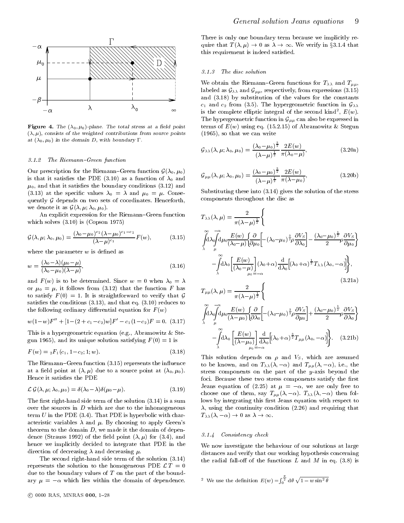

Figure 4. The  $(\lambda_0, \mu_0)$ -plane. The total stress at a field point  $(\lambda, \mu)$ , consists of the weighted contributions from source points at  $(\lambda_0, \mu_0)$  in the domain  $D$ , with boundary  $1$  .

#### 3.1.2 The Riemann-Green function

Our prescription for the Riemann{Green function G(0; 0) is that it satisfies the PDE (3.10) as a function of  $\lambda_0$  and  $\mu_0$ , and that it satisfies the boundary conditions (3.12) and (3.13) at the specific values  $\lambda_0 = \lambda$  and  $\mu_0 = \mu$ . Conse $q$  depends  $\omega$  depends on two sets of coordinates. Henceforth,  $\omega$ we denote it as  $\omega$  (ii)  $\mu$ ;  $\omega$  ),  $\mu$ 

An explicit expression for the Riemann-Green function which solves (3.10) is (Copson 1975)

$$
\mathcal{G}(\lambda,\mu;\lambda_0,\mu_0) = \frac{(\lambda_0 - \mu_0)^{c_2} (\lambda - \mu_0)^{c_1 - c_2}}{(\lambda - \mu)^{c_1}} F(w), \qquad (3.15)
$$

where the parameter  $w$  is defined as

$$
w = \frac{(\lambda_0 - \lambda)(\mu_0 - \mu)}{(\lambda_0 - \mu_0)(\lambda - \mu)},
$$
\n(3.16)

and  $F(w)$  is to be determined. Since  $w = 0$  when  $\lambda_0 = \lambda$ or  $\mu_0 = \mu$ , it follows from (3.12) that the function F has to satisfy  $F(0) = 1$ . It is straightforward to verify that G satisfies the conditions  $(3.13)$ , and that eq.  $(3.10)$  reduces to the following ordinary differential equation for  $F(w)$ 

$$
w(1-w)F'' + [1-(2+c_1-c_2)w]F' - c_1(1-c_2)F = 0.
$$
 (3.17)

This is a hypergeometric equation (e.g., Abramowitz & Stegun 1965), and its unique solution satisfying  $F(0) = 1$  is

$$
F(w) = {}_2F_1(c_1, 1-c_2; 1; w).
$$
\n(3.18)

The Riemann-Green function (3.15) represents the influence at a field point at  $(\lambda, \mu)$  due to a source point at  $(\lambda_0, \mu_0)$ . Hence it satisfies the PDE

$$
\mathcal{L}\mathcal{G}(\lambda,\mu;\lambda_0,\mu_0)=\delta(\lambda_0-\lambda)\delta(\mu_0-\mu). \hspace{1cm} (3.19)
$$

The first right-hand side term of the solution  $(3.14)$  is a sum<br>over the sources in D which are due to the inhomogeneous The rest right-hand side term of the solution (3.14) is a summarized term of the solution (3.14) is a summarized term of the solution (3.14) is a summarized term of the solution (3.14) is a summarized term of the solution over the sources in  $D$  which are due to the inhomogeneous term U in the PDE (3.4). That PDE is hyperbolic with char-<br> $T_{\lambda\lambda}(\lambda, -\alpha) \to 0$  as  $\lambda \to \infty$ . acteristic variables  $\lambda$  and  $\mu$ . By choosing to apply Green's theorem to the domain  $D$ , we made it the domain of dependence (Strauss 1992) of the field point  $(\lambda, \mu)$  for (3.4), and hence we implicitly decided to integrate that PDE in the direction of decreasing  $\lambda$  and decreasing  $\mu$ .

The second right-hand side term of the solution (3.14) represents the solution to the solution to the homogeneous PDE L T $=$  0 due to the boundary values of  $T$  on the part of the boundary  $\frac{1}{2}$  are domain of dependence. The domain of dependence of dependence.

There is only one boundary term because we implicitly require that  $T(\lambda, \mu) \to 0$  as  $\lambda \to \infty$ . We verify in §3.1.4 that indeed satisfied. this requirement is independent in the control of the control of the control of the control of the control of t

#### 3.1.3 The disc solution

We obtain the Riemann-Green functions for  $T_{\lambda\lambda}$  and  $T_{\mu\mu}$ , labeled as  $\mathcal{L}(\mu,\mu)$ , from expressions (3.15) from expressions (3.15). and (3.18) by substitution of the values for the constants  $c_1$  and  $c_2$  from (3.5). The hypergeometric function in  $\mathcal{G}_{\lambda\lambda}$ is the complete elliptic integral of the second kind,  $E(w)$ . The hypergeometric function in  $\mathcal{S} \mu \mu$  and the expressed in G can also be expressed in terms of  $E(w)$  using eq. (15.2.15) of Abramowitz & Stegun (1965), so that we can write

$$
\mathcal{G}_{\lambda\lambda}(\lambda,\mu;\lambda_0,\mu_0) = \frac{(\lambda_0 - \mu_0)^{\frac{3}{2}}}{(\lambda - \mu)^{\frac{1}{2}}} \frac{2E(w)}{\pi(\lambda_0 - \mu)},
$$
\n(3.20a)

$$
\mathcal{G}_{\mu\mu}(\lambda,\mu;\lambda_0,\mu_0) = \frac{(\lambda_0 - \mu_0)^{\frac{3}{2}}}{(\lambda - \mu)^{\frac{1}{2}}} \frac{2E(w)}{\pi(\lambda - \mu_0)},
$$
\n(3.20b)

Substituting these into (3.14) gives the solution of the stress components throughout the disc as

$$
T_{\lambda\lambda}(\lambda,\mu) = \frac{2}{\pi(\lambda-\mu)^{\frac{1}{2}}} \Biggl\{
$$
  

$$
\int_{\lambda}^{\infty} d\lambda \int_{\mu}^{-\alpha} d\mu_0 \frac{E(w)}{(\lambda_0-\mu)} \Biggl\{ \frac{\partial}{\partial \mu_0} \Biggl[ -(\lambda_0-\mu_0)^{\frac{3}{2}} \rho \frac{\partial V_S}{\partial \lambda_0} \Biggr] - \frac{(\lambda_0-\mu_0)^{\frac{1}{2}}}{2} \rho \frac{\partial V_S}{\partial \mu_0} \Biggr\}
$$
  

$$
- \int_{\lambda}^{\infty} d\lambda_0 \Biggl[ \frac{E(w)}{(\lambda_0-\mu)} \Biggr] (\lambda_0+\alpha) \frac{d}{d\lambda_0} \Bigl[ (\lambda_0+\alpha)^{\frac{1}{2}} T_{\lambda\lambda}(\lambda_0,-\alpha) \Bigr] \Biggr\},
$$
  
(3.21a)

$$
\begin{aligned}\n\overset{\text{as}}{g} \qquad T_{\mu\mu}(\lambda,\mu) &= \frac{2}{\pi(\lambda-\mu)^{\frac{1}{2}}} \Bigg\{ \\
\overset{\text{so}}{\underset{\lambda}{\int}} \alpha_{\mu} &= \frac{\alpha}{\pi(\lambda-\mu)} \Bigg\{ \frac{\partial}{\partial\lambda_0} \Bigg[ -(\lambda_0-\mu_0)^{\frac{3}{2}} \rho \frac{\partial V_S}{\partial\mu_0} \Bigg] + \frac{(\lambda_0-\mu_0)^{\frac{1}{2}}}{2} \rho \frac{\partial V_S}{\partial\lambda_0} \Bigg\} \\
\overset{\text{e}}{g} \qquad -\overset{\text{e}}{\underset{\lambda}{\int}} \alpha_{\lambda_0} \Bigg[ \frac{E(w)}{(\lambda-\mu_0)} \Bigg] \frac{\mathrm{d}}{\mathrm{d}\lambda_0} \Big[ (\lambda_0+\alpha)^{\frac{3}{2}} T_{\mu\mu}(\lambda_0,-\alpha) \Big] \Bigg\}. \end{aligned}
$$
\n
$$
\begin{aligned}\n(3.21b)\n\end{aligned}
$$

 $\mu_0=-\alpha$ 

This solution depends on  $\rho$  and  $V_s$ , which are assumed to be known, and on  $T_{\lambda\lambda}(\lambda, -\alpha)$  and  $T_{\mu\mu}(\lambda, -\alpha)$ , i.e., the stress components on the part of the y-axis beyond the foci. Because these two stress components satisfy the first Jeans equation of (2.25) at  $\mu = -\alpha$ , we are only free to choose one of them, say  $T_{\mu\mu}(\lambda, -\alpha)$ .  $T_{\lambda\lambda}(\lambda, -\alpha)$  then follows by integrating this first Jeans equation with respect to  $\lambda$ , using the continuity condition (2.26) and requiring that

# $T(3, 1, 4)$  Consistency check

We now investigate the behaviour of our solutions at large distances and verify that our working hypothesis concerning the radial fall-off of the functions  $L$  and  $M$  in eq. (3.8) is

<sup>2</sup> We use the definition  $E(w) = \int_0^{\frac{\pi}{2}} d\theta \sqrt{1 - w \sin^2 \theta}$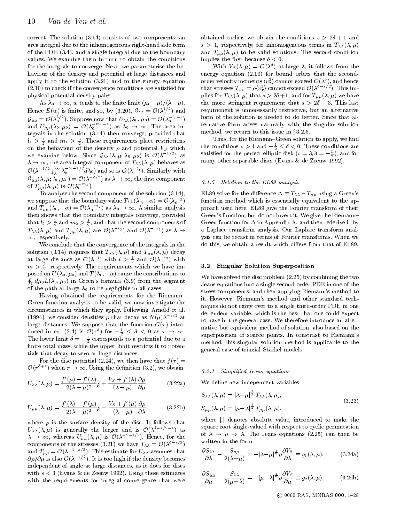correct. The solution (3.14) consists of two components: an area integral due to the inhomogeneous right-hand side term of the PDE (3.4), and a single integral due to the boundary values. We examine them in turn to obtain the conditions for the integrals to converge. Next, we parameterise the behaviour of the density and potential at large distances and apply it to the solution (3.21) and to the energy equation  $(2.10)$  to check if the convergence conditions are satisfied for physical potential-density pairs.

Hence  $E(w)$  is finite, and so, by (3.20),  $\mathcal{G}_{\lambda\lambda} = \mathcal{O}(\lambda_0^{1/2})$  and  $\mathcal{G}_{\mu\mu} = \mathcal{O}(\lambda_0^{3/2})$ . Suppose now that  $U_{\lambda\lambda}(\lambda_0, \mu_0) = \mathcal{O}(\lambda_0^{-l_1-1})$  f Hence  $E(w)$  is finite, and so, by (3.20),  $\mathcal{G}_{\lambda\lambda} = \mathcal{O}(\lambda_0^{-1})$  and Feq. and  $U_{\mu\mu}(\lambda_0,\mu_0) = \mathcal{O}(\lambda_0$  in and  $\lambda_0 \rightarrow \infty$ . The area integrals in the solution (3.14) then converge, provided that  $l_1 > \frac{1}{2}$  and  $m_1 > \frac{1}{2}$ . These requirements place restrictions on the behaviour of the density  $\rho$  and potential  $V_S$  which the we examine below. Since  $\mathcal{G}_{\lambda\lambda}(\lambda,\mu;\lambda_0,\mu_0)$  is  $\mathcal{O}(\lambda^{-1})$  as  $\mathcal{O}(\lambda^{-1/2} \int_{\lambda}^{\infty} \lambda_0^{-l_1-1/2} d\lambda_0)$  and so is  $\mathcal{O}(\lambda^{-l_1})$ . Similarly, with  $\mathcal{G}_{\mu\mu}(\lambda, \mu; \lambda_0, \mu_0) = \mathcal{O}(\lambda^{-3/2})$  as  $\lambda \to \infty$ , the first component  $\mathcal{G}_{\mu\mu}(\lambda,\mu;\lambda_0,\mu_0) = \mathcal{O}(\lambda^{-3/2})$  as  $\lambda \to \infty$ , the first component of  $T_{\mu\mu}(\lambda,\mu)$  is  $\mathcal{O}(\lambda_0$  <sup>-</sup>).

 $\mu(\lambda, \mu)$  is  $\mathcal{O}(\lambda_0^{-m_1})$ .<br>To analyse the second component of the solution (3.14), we suppose that the boundary value  $T_{\lambda\lambda}(\lambda_0, -\alpha) = \mathcal{O}(\lambda_0^{-2})$  f and  $T_{\mu\mu}(\lambda_0, -\alpha) = \mathcal{O}(\lambda_0^{-2})$  as  $\lambda_0 \to \infty$ . A similar analysis proach than shows that the boundary integrals converge, provided Gree that  $l_2 > \frac{1}{2}$  and  $m_2 > \frac{3}{2}$ , and that the second components of Gree then shows that the boundary integrals converge, provided  $T_{\lambda\lambda}(\lambda,\mu)$  and  $T_{\mu\mu}(\lambda,\mu)$  are  $\mathcal{O}(\lambda^{-2})$  and  $\mathcal{O}(\lambda^{-2})$  as  $\lambda \to \infty$  and approximately  $\infty$ , respectively.

We conclude that the convergence of the integrals in the solution (3.14) requires that  $T_{\lambda\lambda}(\lambda,\mu)$  and  $T_{\mu\mu}(\lambda,\mu)$  decay at large distance as  $\mathcal{O}(\lambda^-)$  with  $l > \frac{1}{2}$  and  $\mathcal{O}(\lambda^{--})$  with  $m > \frac{1}{2}$ , respectively. The requirements which we have  $\lim_{n \to \infty}$ posed on  $U(\lambda_0, \mu_0)$  and  $T(\lambda_0, -\alpha)$  cause the contributions to  $W_{\lambda_0}$  $\oint_{\Gamma} d\mu_0 L(\lambda_0, \mu_0)$  in Green's formula (3.9) from the segment of the path at large  $\lambda_0$  to be negligible in all cases.

Having obtained the requirements for the Riemann-Green function analysis to be valid, we now investigate the circumstances in which they apply. Following Arnold et al. (1994), we consider densities  $\rho$  that decay as  $N(\mu)\lambda^{-s/2}$  at large distances. We suppose that the function  $G(\tau)$  introduced in eq. (2.4) is  $\mathcal{O}(\tau^2)$  for  $-\frac{1}{2} \leq \theta < 0$  as  $\tau \to \infty$ . The lower limit  $\delta = -\frac{1}{2}$  corresponds to a potential due to a finite total mass, while the upper limit restricts it to potentials that decay to zero at large distances.

For the disc potential (2.24), we then have that  $f(\tau) =$ 

$$
U(\tau^{+}) \text{ when } \tau \to \infty. \text{ Using the definition (3.2), we obtain}
$$
  

$$
U_{\lambda\lambda}(\lambda,\mu) = \frac{f'(\mu) - f'(\lambda)}{2(\lambda - \mu)^2} \rho + \frac{V_S + f'(\lambda)}{(\lambda - \mu)} \frac{\partial \rho}{\partial \mu},
$$
(3.22a) We

$$
U_{\mu\mu}(\lambda,\mu) = \frac{f'(\lambda) - f'(\mu)}{2(\lambda - \mu)^2} \rho - \frac{V_S + f'(\mu)}{(\lambda - \mu)} \frac{\partial \rho}{\partial \lambda},
$$
 (3.22b)

where  $\rho$  is the surface density of the disc. It follows that  $U_{\lambda\lambda}(\lambda,\mu)$  is generally the larger and is  $U(\lambda^{2n-2})$  as  $\lambda \to \infty$ , whereas  $U_{\mu\mu}(\lambda, \mu)$  is  $\mathcal{O}(\lambda)$  (b). Hence, for the components of the stresses (3.21) we have  $T_{\lambda\lambda} = O(\lambda^{2\gamma-2})$ and  $T_{\mu\mu} = O(\lambda - 1)$ . This estimate for  $U_{\lambda\lambda}$  assumes that  $\sigma$  $\mathit{op}/\mathit{op}$  is also  $\mathit{O}(\lambda^{-1/2})$ . It is too high if the density becomes independent of angle at large distances, as it does for discs with  $s < 3$  (Evans & de Zeeuw 1992). Using these estimates with the requirements for integral convergence that were

obtained earlier, we obtain the conditions  $s > 2\delta + 1$  and  $s > 1$ , respectively, for inhomogeneous terms in  $T_{\lambda\lambda}(\lambda,\mu)$ and  $T_{\mu\mu}(\lambda,\mu)$  to be valid solutions. The second condition implies the first because  $\delta < 0$ .

With  $V_S(\lambda, \mu) = O(\lambda^*)$  at large  $\lambda$ , it follows from the energy equation (2.10) for bound orbits that the secondorder velocity moments hv  $_{\tau}$ ) cannot exceed  $\mathcal{O}(\lambda_{\tau})$ , and hence that stresses  $T_{\tau\tau} = \rho \langle v_{\tau} \rangle$  cannot exceed  $O(\lambda \rightarrow \gamma)$ . This implies for  $T_{\lambda\lambda}(\lambda,\mu)$  that  $s > 2\delta+1$ , and for  $T_{\mu\mu}(\lambda,\mu)$  we have the more stringent requirement that  $s > 2\delta + 3$ . This last requirement is unnecessarily restrictive, but an alternative form of the solution is needed to do better. Since that alternative form arises naturally with the singular solution method, we return to this issue in  $3.2.6$ .

Thus, for the Riemann-Green solution to apply, we find the conditions  $s > 1$  and  $-\frac{1}{2} \leq s < 0$ . These conditions are satisfied for the perfect elliptic disk  $(s=3, \delta=-\frac{1}{2})$ , and for 2 many other separable discs (Evans & de Zeeuw 1992).

#### 3.1.5 Relation to the EL89 analysis

EL89 solve for the difference  $\Delta \equiv T_{\lambda\lambda} - T_{\mu\mu}$  using a Green's function method which is essentially equivalent to the approach used here. EL89 give the Fourier transform of their Green's function, but do not invert it. We give the Riemann{ Green function for  $\Delta$  in Appendix A, and then rederive it by a Laplace transform analysis. Our Laplace transform analysis can be recast in terms of Fourier transforms. When we do this, we obtain a result which differs from that of EL89.

#### 3.2 Singular Solution Superposition

We have solved the disc problem (2.25) by combining the two Jeans equations into a single second-order PDE in one of the stress components, and then applying Riemann's method to it. However, Riemann's method and other standard techniques do not carry over to a single third-order PDE in one dependent variable, which is the best that one could expect to have in the general case. We therefore introduce an alternative but equivalent method of solution, also based on the superposition of source points. In constrast to Riemann's method, this singular solution method is applicable to the general case of triaxial Stackel models.

#### 3.2.1 Simplied Jeans equations

We define new independent variables

$$
S_{\lambda\lambda}(\lambda,\mu) = |\lambda-\mu|^{\frac{1}{2}} T_{\lambda\lambda}(\lambda,\mu),
$$
  
\n
$$
S_{\mu\mu}(\lambda,\mu) = |\mu-\lambda|^{\frac{1}{2}} T_{\mu\mu}(\lambda,\mu),
$$
\n(3.23)

where i:jdenotes absolute value, introduced to make the make the make the make the second square root single-valued with respect to cyclic permutation of ! ! . The Jeans equations (2.25) can then be written in the form

$$
\frac{\partial S_{\lambda\lambda}}{\partial \lambda} - \frac{S_{\mu\mu}}{2(\lambda - \mu)} = -|\lambda - \mu|^{\frac{1}{2}} \rho \frac{\partial V_S}{\partial \lambda} \equiv g_1(\lambda, \mu), \quad (3.24a)
$$

$$
\frac{\partial S_{\mu\mu}}{\partial \mu} - \frac{S_{\lambda\lambda}}{2(\mu - \lambda)} = -|\mu - \lambda|^{\frac{1}{2}} \rho \frac{\partial V_S}{\partial \mu} \equiv g_2(\lambda, \mu). \tag{3.24b}
$$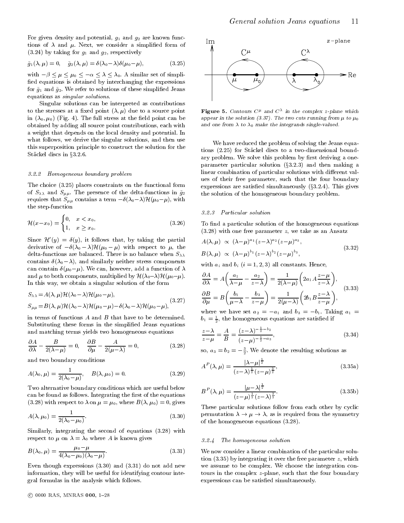For given density and potential,  $g_1$  and  $g_2$  are known functions of  $\lambda$  and  $\mu$ . Next, we consider a simplified form of  $(3.24)$  by taking for  $q_1$  and  $q_2$ , respectively

$$
\tilde{g}_1(\lambda,\mu) = 0, \quad \tilde{g}_2(\lambda,\mu) = \delta(\lambda_0 - \lambda)\delta(\mu_0 - \mu), \tag{3.25}
$$

with  $-\beta \le \mu \le \mu_0 \le -\alpha \le \lambda \le \lambda_0$ . A similar set of simpliquations is obtained by interchanging the expressions<br>and  $\tilde{g}_2$ . We refer to solutions of these simplified Jeans ed equations is obtained by interchanging the expressions for  $\tilde{g}_1$  and  $\tilde{g}_2$ . We refer to solutions of these simplified Jeans equations as singular solutions.

Singular solutions can be interpreted as contributions to the stresses at a fixed point  $(\lambda, \mu)$  due to a source point in  $(\lambda_0, \mu_0)$  (Fig. 4). The full stress at the field point can be obtained by adding all source point contributions, each with a weight that depends on the local density and potential. In what follows, we derive the singular solutions, and then use this superposition principle to construct the solution for the Stäckel discs in  $\S 3.2.6$ .

#### 3.2.2 Homogeneous boundary problem

The choice (3.25) places constraints on the functional form of  $S_{\lambda\lambda}$  and  $S_{\mu\mu}$ . The presence of the delta-functions in  $\tilde{g}_2$ requires that  $S_{\mu\mu}$  contains a term  $-\delta(\lambda_0-\lambda)\mathcal{H}(\mu_0-\mu)$ , with the step-function

$$
\mathcal{H}(x-x_0) = \begin{cases} 0, & x < x_0, \\ 1, & x \ge x_0. \end{cases}
$$
 (3.26)

Since  $\mathcal{H}'(y) = \delta(y)$ , it follows that, by taking the partial derivative of  $-\delta(\lambda_0 - \lambda) \mathcal{H}(\mu_0 - \mu)$  with respect to  $\mu$ , the delta-functions are balanced. There is no balance when  $S_{\lambda\lambda}$ contains (0.0  $\rightarrow$  )), and similarly neither stress comp $_{\rm F}$  contains  $_{\rm V}$ can contain  $\delta(\mu_0-\mu)$ . We can, however, add a function of  $\lambda$ and  $\mu$  to both components, multiplied by  $\mathcal{H}(\lambda_0-\lambda)\mathcal{H}(\mu_0-\mu)$ . In this way, we obtain a singular solution of the form

$$
S_{\lambda\lambda} = A(\lambda,\mu) \mathcal{H}(\lambda_0 - \lambda) \mathcal{H}(\mu_0 - \mu),
$$
  
\n
$$
S_{\mu\mu} = B(\lambda,\mu) \mathcal{H}(\lambda_0 - \lambda) \mathcal{H}(\mu_0 - \mu) - \delta(\lambda_0 - \lambda) \mathcal{H}(\mu_0 - \mu),
$$
\n(3.27)

in terms of functions A and B that have to be determined. Substituting these forms in the simplied Jeans equations and matching terms yields two homogeneous equations

$$
\frac{\partial A}{\partial \lambda} - \frac{B}{2(\lambda - \mu)} = 0, \quad \frac{\partial B}{\partial \mu} - \frac{A}{2(\mu - \lambda)} = 0,
$$
\n(3.28)

and two boundary conditions

$$
A(\lambda_0, \mu) = \frac{1}{2(\lambda_0 - \mu)}, \quad B(\lambda, \mu_0) = 0.
$$
 (3.29)

Two alternative boundary conditions which are useful below can be found as follows. Integrating the first of the equations (3.28) with respect to  $\lambda$  on  $\mu = \mu_0$ , where  $B(\lambda, \mu_0) = 0$ , gives

$$
A(\lambda, \mu_0) = \frac{1}{2(\lambda_0 - \mu_0)}.\t(3.30) \t1
$$

Similarly, integrating the second of equations (3.28) with respect to  $\mu$  on  $\lambda = \lambda_0$  where A is known gives

$$
B(\lambda_0, \mu) = \frac{\mu_0 - \mu}{4(\lambda_0 - \mu_0)(\lambda_0 - \mu)}.
$$
\n(3.31)

Even though expressions (3.30) and (3.31) do not add new information, they will be useful for identifying contour integral formulas in the analysis which follows.



**Figure 5.** Comours C and C and the complex *z*-plane which appear in the solution (3.37). The two cuts running from  $\mu$  to  $\mu_0$ and one from  $\lambda$  to  $\lambda_0$  make the integrands single-valued.

We have reduced the problem of solving the Jeans equations (2.25) for Stäckel discs to a two-dimensional boundary problem. We solve this problem by first deriving a oneparameter particular solution  $(\S3.2.3)$  and then making a linear combination of particular solutions with different values of their free parameter, such that the four boundary expressions are satisfied simultaneously  $(\S3.2.4)$ . This gives the solution of the homogeneous boundary problem.

#### 3.2.3 Particular solution

To find a particular solution of the homogeneous equations  $(3.28)$  with one free parameter z, we take as an Ansatz

$$
A(\lambda,\mu) \propto (\lambda-\mu)^{a_1}(z-\lambda)^{a_2}(z-\mu)^{a_3},
$$
  
\n
$$
B(\lambda,\mu) \propto (\lambda-\mu)^{b_1}(z-\lambda)^{b_2}(z-\mu)^{b_3},
$$
\n(3.32)

with  $a_i$  and  $b_i$   $(i = 1, 2, 3)$  all constants. Hence,

$$
\frac{\partial A}{\partial \lambda} = A \left( \frac{a_1}{\lambda - \mu} - \frac{a_2}{z - \lambda} \right) = \frac{1}{2(\lambda - \mu)} \left( 2a_1 A \frac{z - \mu}{z - \lambda} \right),
$$
\n
$$
\frac{\partial B}{\partial \mu} = B \left( \frac{b_1}{\mu - \lambda} - \frac{b_3}{z - \mu} \right) = \frac{1}{2(\mu - \lambda)} \left( 2b_1 B \frac{z - \lambda}{z - \mu} \right),
$$
\n(3.33)

where we have set  $a_2 = -a_1$  and  $b_3 = -b_1$ . Taking  $a_1 =$  $b_1 = \frac{1}{2}$ , the homogeneous equations are satisfied if

$$
\frac{z-\lambda}{z-\mu} = \frac{A}{B} = \frac{(z-\lambda)^{-\frac{1}{2}-b_2}}{(z-\mu)^{-\frac{1}{2}-a_3}},\tag{3.34}
$$

so,  $a_3 = b_2 = -\frac{1}{2}$ , we denote the resulting solutions as

$$
A^{P}(\lambda, \mu) = \frac{|\lambda - \mu|^{\frac{1}{2}}}{(z - \lambda)^{\frac{1}{2}} (z - \mu)^{\frac{3}{2}}},
$$
\n(3.35a)

$$
B^{P}(\lambda,\mu) = \frac{|\mu - \lambda|^{\frac{1}{2}}}{(z-\mu)^{\frac{1}{2}}(z-\lambda)^{\frac{3}{2}}}.
$$
 (3.35b)

These particular solutions follow from each other by cyclic permutation is required from the symmetry  $\mathbf{r}$  , as is required from the symmetry  $\mathbf{r}$ of the homogeneous equations (3.28).

#### 3.2.4 The homogeneous solution

We now consider a linear combination of the particular solution  $(3.35)$  by integrating it over the free parameter z, which we assume to be complex. We choose the integration contours in the complex z-plane, such that the four boundary expressions can be satisfied simultaneously.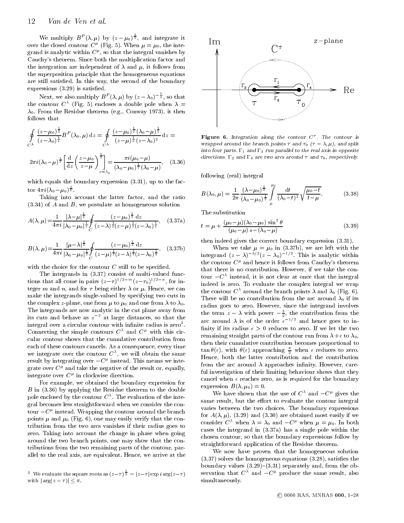## <sup>12</sup> Van de Ven et al.

We multiply  $B^P(\lambda, \mu)$  by  $(z - \mu_0)^{\frac{1}{2}}$ , and integrate it over the closed contour  $C^{\mu}$  (Fig. 5). When  $\mu = \mu_0$ , the integrand is analytic within C , so that the integral vanishes by Cauchy's theorem. Since both the multiplication factor and the integration are independent of  $\lambda$  and  $\mu$ , it follows from the superposition principle that the homogeneous equations are still satisfied. In this way, the second of the boundary expressions  $(3.29)$  is satisfied.

Next, we also multiply  $B^P(\lambda, \mu)$  by  $(z - \lambda_0)^{-\frac{1}{2}}$ , so that the contour  $C$  (Fig. 5) encloses a double pole when  $\lambda =$  $\lambda_0$ . From the Residue theorem (e.g., Conway 1973), it then follows that

$$
\oint_{C^{\lambda}} \frac{(z-\mu_0)^{\frac{1}{2}}}{(z-\lambda_0)^{\frac{1}{2}}} B^P(\lambda_0, \mu) dz = \oint_{C^{\lambda}} \frac{(z-\mu_0)^{\frac{1}{2}}(\lambda_0-\mu)^{\frac{1}{2}}}{(z-\mu)^{\frac{1}{2}}(z-\lambda_0)^2} dz = \text{Fig}
$$
\n
$$
2\pi i (\lambda_0-\mu)^{\frac{1}{2}} \left[ \frac{d}{dz} \left( \frac{z-\mu_0}{z-\mu} \right)^{\frac{1}{2}} \right] = \frac{\pi i (\mu_0-\mu)}{(\lambda_0-\mu_0)^{\frac{1}{2}}(\lambda_0-\mu)}, \quad (3.36)
$$
\n
$$
\text{and}
$$
\n
$$
c^{\lambda}
$$

which equals the boundary expression (3.31), up to the fac $t = \frac{1}{2} \int_{0}^{t} \left( \frac{1}{2} \right) \left( \frac{1}{2} \right) \left( \frac{1}{2} \right) \left( \frac{1}{2} \right) \left( \frac{1}{2} \right) \left( \frac{1}{2} \right)$  $\overline{2}$ 

Taking into account the latter factor, and the ratio  $(3.34)$  of A and B, we postulate as homogeneous solution

$$
A(\lambda,\mu) = \frac{1}{4\pi i} \frac{|\lambda-\mu|^{\frac{1}{2}}}{|\lambda_0-\mu_0|^{\frac{1}{2}}} \oint_C \frac{(z-\mu_0)^{\frac{1}{2}} dz}{(z-\lambda)^{\frac{1}{2}} (z-\mu)^{\frac{3}{2}} (z-\lambda_0)^{\frac{1}{2}}},
$$
 (3.37a)

$$
B(\lambda,\mu) = \frac{1}{4\pi i} \frac{|\mu-\lambda|^{\frac{1}{2}}}{|\lambda_0-\mu_0|^{\frac{1}{2}}} \oint_C \frac{(z-\mu_0)^{\frac{1}{2}} dz}{(z-\mu)^{\frac{1}{2}} (z-\lambda)^{\frac{3}{2}} (z-\lambda_0)^{\frac{1}{2}}},
$$
 (3.37b)

with the choice for the contour  $C$  still to be specified.

The integrands in (3.37) consist of multi-valued functions that all come in pairs  $(z-\tau)$   $\tau$   $\tau$   $(z-\tau_0)$  $\tau$   $\tau$ , for integer m and n, and for  $\tau$  being either  $\lambda$  or  $\mu$ . Hence, we can make the integrands single-valued by specifying two cuts in the complex z-plane, one from  $\mu$  to  $\mu_0$  and one from  $\lambda$  to  $\lambda_0$ .<br>The integrands are now analytic in the cut plane away from its cuts and behave as  $z^{-2}$  at large distances, so that the integral over a circular contour with infinite radius is zero . Connecting the simple contours  $C^{\lambda}$  and  $C^{\mu}$  with this circular contour shows that the cumulative contribution from each of these contours cancels. As a consequence, every time we integrate over the contour  $C^{\sim}$ , we will obtain the same  $\hspace{1cm}$  , result by integrating over  $-C^{\kappa}$  instead. This means we integrate over  $C^{\mu}$  and take the negative of the result or, equally, integrate over  $C^r$  in clockwise direction.

For example, we obtained the boundary expression for B in (3.36) by applying the Residue theorem to the double pole enclosed by the contour C . The evaluation of the integral becomes less straightforward when we consider the contour  $-C^r$  instead. Wrapping the contour around the branch  $\epsilon_{Cr}$ points  $\mu$  and  $\mu_0$  (Fig. 6), one may easily verify that the contribution from the two arcs vanishes if their radius goes to zero. Taking into account the change in phase when going around the two branch points, one may show that the contributions from the two remaining parts of the contour, parallel to the real axis, are equivalent. Hence, we arrive at the



Figure 6. Integration along the contour <sup>C</sup> . The contour is wrapped around the branch points  $\tau$  and  $\tau_0$  ( $\tau = \lambda, \mu$ ), and split into four parts. 1 and 3 run parallel to the real axis in opposite directions. 12 and 14 are two arcs around  $\tau$  and  $\tau_0$ , respectively.

following (real) integral

$$
B(\lambda_0, \mu) = \frac{1}{2\pi} \frac{(\lambda - \mu_0)^{\frac{1}{2}}}{(\lambda_0 - \mu_0)^{\frac{1}{2}}} \int_{\mu}^{\mu_0} \frac{dt}{(\lambda_0 - t)^2} \sqrt{\frac{\mu_0 - t}{t - \mu}}.
$$
 (3.38)

The substitution

$$
t = \mu + \frac{(\mu_0 - \mu)(\lambda_0 - \mu_0) \sin^2 \theta}{(\mu_0 - \mu) s - (\lambda_0 - \mu)}
$$
(3.39)

then indeed gives the correct boundary expression (3.31).

when we take  $\mathbf{v} = \mathbf{v}$  and  $\mathbf{v} = \mathbf{v}$  are left with the left with the left with the left with the left with the left with the left with the left with the left with the left with the left with the left with the integrand  $(z - \lambda)$   $(z - \lambda_0)$  . This is analytic within the contour  $C^{\mu}$  and hence it follows from Cauchy's theorem that there is no contribution. However, if we take the contour  $-C^{\prime\prime}$  instead, it is not clear at once that the integral indeed is zero. To evaluate the complex integral we wrap the contour  $C^{\lambda}$  around the branch points  $\lambda$  and  $\lambda_0$  (Fig. 6). There will be no contribution from the arc around  $\lambda_0$  if its radius goes to zero. However, since the integrand involves the term  $z - \lambda$  with power  $-\frac{1}{2}$ , the contribution from the arc around  $\lambda$  is of the order  $\epsilon^{-\gamma}$  and hence goes to infinity if its radius  $\epsilon > 0$  reduces to zero. If we let the two remaining straight parts of the contour run from  $\lambda + \epsilon$  to  $\lambda_0$ , then their cumulative contribution becomes proportional to  $\tan \theta(\epsilon)$ , with  $\theta(\epsilon)$  approaching  $\frac{\pi}{2}$  when  $\epsilon$  reduces to zero. Hence, both the latter contribution and the contribution from the arc around  $\lambda$  approaches infinity. However, careful investigation of their limiting behaviour shows that they cancel when  $\epsilon$  reaches zero, as is required for the boundary expression  $B(\lambda, \mu_0) = 0$ .

We have shown that the use of  $C^{\lambda}$  and  $-C^{\mu}$  gives the same result, but the effort to evaluate the contour integral varies between the two choices. The boundary expressions for  $A(\lambda, \mu)$ , (3.29) and (3.30) are obtained most easily if we consider  $C^{\lambda}$  when  $\lambda = \lambda_0$  and  $-C^{\mu}$  when  $\mu = \mu_0$ . In both cases the integrand in (3.37a) has a single pole within the chosen contour, so that the boundary expressions follow by straightforward application of the Residue theorem.

We now have proven that the homogeneous solution  $(3.37)$  solves the homogeneous equations  $(3.28)$ , satisfies the boundary values  $(3.29)-(3.31)$  separately and, from the observation that  $C^{\lambda}$  and  $-C^{\mu}$  produce the same result, also simultaneously.

<sup>&</sup>lt;sup>3</sup> We evaluate the square roots as  $(z-\tau)$   $\overline{z} = |z-\tau| \exp i \arg(z-\tau)$ with  $|\arg(z - \tau)| < \pi$ .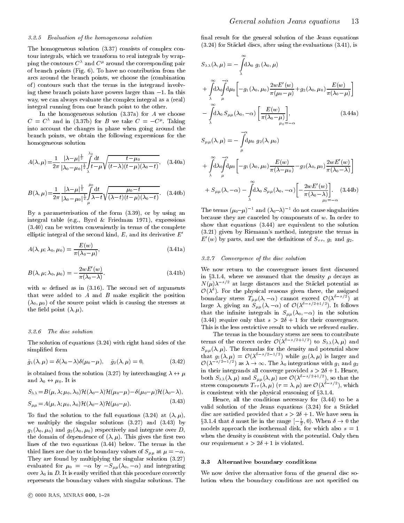#### 3.2.5 Evaluation of the homogeneous solution

The homogeneous solution (3.37) consists of complex contour integrals, which we transform to real integrals by wrapping the contours  $C^{\lambda}$  and  $C^{\mu}$  around the corresponding pair of branch points (Fig. 6). To have no contribution from the arcs around the branch points, we choose the (combination of) contours such that the terms in the integrand involving these branch points have powers larger than  $-1$ . In this way, we can always evaluate the complex integral as a (real) integral running from one branch point to the other.

In the homogeneous solution  $(3.37a)$  for  $A$  we choose  $C = C^{\dagger}$  and in (3.37b) for B we take  $C = -C^{\dagger}$ . Taking into account the changes in phase when going around the branch points, we obtain the following expressions for the homogeneous solution

$$
A(\lambda,\mu) = \frac{1}{2\pi} \frac{|\lambda-\mu|^{\frac{1}{2}}}{|\lambda_0-\mu_0|^{\frac{1}{2}}} \int_{\lambda}^{\lambda_0} \frac{dt}{t-\mu} \sqrt{\frac{t-\mu_0}{(t-\lambda)(t-\mu)(\lambda_0-t)}},
$$
 (3.40a)

$$
B(\lambda,\mu) = \frac{1}{2\pi} \frac{|\lambda-\mu|^{\frac{1}{2}}}{|\lambda_0-\mu_0|^{\frac{1}{2}}} \int_{\mu}^{\mu_0} \frac{dt}{\lambda-t} \sqrt{\frac{\mu_0-t}{(\lambda-t)(t-\mu)(\lambda_0-t)}}. \quad (3.40b)
$$

By a parameterisation of the form (3.39), or by using an integral table (e.g., Byrd & Friedman 1971), expressions (3.40) can be written conveniently in terms of the complete elliptic integral of the second kind,  $E$ , and its derivative  $E'$ 

$$
A(\lambda, \mu; \lambda_0, \mu_0) = \frac{E(w)}{\pi(\lambda_0 - \mu)},
$$
\n(3.41a)

$$
B(\lambda, \mu; \lambda_0, \mu_0) = -\frac{2wE'(w)}{\pi(\lambda_0 - \lambda)}.
$$
\n(3.41b)

with  $w$  defined as in  $(3.16)$ . The second set of arguments that were added to  $A$  and  $B$  make explicit the position  $(\lambda_0, \mu_0)$  of the source point which is causing the stresses at the field point  $(\lambda, \mu)$ .

#### 3.2.6 The disc solution

The solution of equations (3.24) with right hand sides of the simplied form

$$
\tilde{g}_1(\lambda,\mu) = \delta(\lambda_0 - \lambda)\delta(\mu_0 - \mu), \quad \tilde{g}_2(\lambda,\mu) = 0,
$$
\n(3.42)

is obtained from the solution (3.27) by interchanging  $\lambda \leftrightarrow \mu$  $\overline{0}$  or  $\overline{1}$  is in the set of  $\overline{0}$ 

$$
S_{\lambda\lambda} = B(\mu, \lambda; \mu_0, \lambda_0) \mathcal{H}(\lambda_0 - \lambda) \mathcal{H}(\mu_0 - \mu) - \delta(\mu_0 - \mu) \mathcal{H}(\lambda_0 - \lambda),
$$

$$
S_{\mu\mu} = A(\mu, \lambda; \mu_0, \lambda_0) \mathcal{H}(\lambda_0 - \lambda) \mathcal{H}(\mu_0 - \mu).
$$
 (3.43)

To find the solution to the full equations (3.24) at  $(\lambda, \mu)$ , we multiply the singular solutions (3.27) and (3.43) by  $g_1(\lambda_0, \mu_0)$  and  $g_2(\lambda_0, \mu_0)$  respectively and integrate over D, the domain of dependence of  $(\lambda, \mu)$ . This gives the first two lines of the two equations (3.44) below. The terms in the third lines are due to the boundary values of  $S_{\mu\mu}$  at  $\mu = -\alpha$ . They are found by multiplying the singular solution  $(3.27)$  3.3 evaluated for  $\mu_0 = -\alpha$  by  $-S_{\mu\mu}(\lambda_0, -\alpha)$  and integrating over  $\lambda_0$  in D. It is easily verified that this procedure correctly represents the boundary values with singular solutions. The

$$
S_{\lambda\lambda}(\lambda,\mu) = -\int_{\lambda}^{\infty} d\lambda_0 g_1(\lambda_0,\mu)
$$
  
+ 
$$
\int_{\lambda}^{\infty} d\lambda_0 \int_{\mu}^{\infty} d\mu_0 \left[ -g_1(\lambda_0,\mu_0) \frac{2wE'(w)}{\pi(\mu_0-\mu)} + g_2(\lambda_0,\mu_0) \frac{E(w)}{\pi(\lambda_0-\mu)} \right]
$$
  
- 
$$
\int_{\lambda}^{\infty} d\lambda_0 S_{\mu\mu}(\lambda_0, -\alpha) \left[ \frac{E(w)}{\pi(\lambda_0-\mu)} \right],
$$
 (3.44a)  

$$
S_{\mu\mu}(\lambda,\mu) = -\int_{\mu}^{-\alpha} d\mu_0 g_2(\lambda,\mu_0)
$$
  
+ 
$$
\int_{\lambda}^{\infty} d\lambda_0 \int_{\mu}^{\infty} d\mu_0 \left[ -g_1(\lambda_0,\mu_0) \frac{E(w)}{\pi(\lambda-\mu_0)} - g_2(\lambda_0,\mu_0) \frac{2wE'(w)}{\pi(\lambda_0-\lambda)} \right]
$$

$$
+ S_{\mu\mu}(\lambda, -\alpha) - \int\limits_{\lambda}^{\infty} d\lambda_0 S_{\mu\mu}(\lambda_0, -\alpha) \left[ -\frac{2wE'(w)}{\pi(\lambda_0 - \lambda)} \right].
$$
 (3.44b)

The terms  $(\mu_0-\mu)^{-1}$  and  $(\lambda_0-\lambda)^{-1}$  do not cause singularities because they are canceled by components of  $w$ . In order to show that equations  $(3.44)$  are equivalent to the solution (3.21) given by Riemann's method, integrate the terms in  $E'(w)$  by parts, and use the definitions of  $S_{\tau\tau}$ ,  $g_1$  and  $g_2$ .

#### 3.2.7 Convergence of the disc solution

We now return to the convergence issues first discussed in §3.1.4, where we assumed that the density  $\rho$  decays as  $N(\mu)\lambda^{-s/2}$  at large distances and the Stäckel potential as  $\mathcal{O}(\lambda^{\delta})$ . For the physical reasons given there, the assigned boundary stress  $I_{\mu\mu}(\lambda, -\alpha)$  cannot exceed  $O(\lambda$ <sup>2</sup> at large  $\lambda$ , giving an  $S_{\mu\mu}(\lambda, -\alpha)$  of  $O(\lambda^{2n+2+\epsilon-2})$ . It follows that the infinite integrals in  $S_{\mu\mu}(\lambda_0, -\alpha)$  in the solution (3.44) require only that  $s > 2\delta + 1$  for their convergence. This is the less restrictive result to which we referred earlier.

 $\mathbf{L}$   $\mathbf{L}$   $\mathbf{L}$   $\mathbf{R}$ The terms in the boundary stress are seen to contribute terms of the correct order  $O(\lambda^{2^{2}+2^{2}+2^{2}})$  to  $S_{\lambda\lambda}(\lambda,\mu)$  and  $S_{\rm eff}$  , the formulas formulas formulas formulas for the density and potential show  $\Gamma$ that  $g_1(\lambda,\mu) = \mathcal{O}(\lambda^{-2})^{-2}$  while  $g_2(\lambda,\mu)$  is larger and  $\mathcal{O}(\lambda^{-s/2-1/2})$  as  $\lambda \to \infty$ . The  $\lambda_0$  integrations with  $g_1$  and  $g_2$ in their integrands all converge provided  $s > 2\delta + 1$ . Hence,<br>both  $S_{\lambda\lambda}(\lambda,\mu)$  and  $S_{\mu\mu}(\lambda,\mu)$  are  $\mathcal{O}(\lambda^{\delta-s/2+1/2})$ , so that the in their integrands all converge provided  $s > 2\delta + 1$ . Hence, stress components  $T_{\tau\tau}(\lambda,\mu)$  ( $\tau=\lambda,\mu$ ) are  $\mathcal{O}(\lambda^{2-\gamma-1})$ , which is consistent with the physical reasoning of x3.1.4.

Hence, all the conditions necessary for (3.44) to be a valid solution of the Jeans equations (3.24) for a Stackel disc are satisfied provided that  $s > 2\delta + 1$ . We have seen in 33.1.4 that  $\delta$  must lie in the range  $[-\frac{1}{2}, 0)$ . When  $\delta \to 0$  the models approach the isothermal disk, for which also  $s = 1$ when the density is consistent with the potential. Only then our requirement  $s > 2\delta + 1$  is violated.

#### Alternative boundary conditions

We now derive the alternative form of the general disc solution when the boundary conditions are not specied on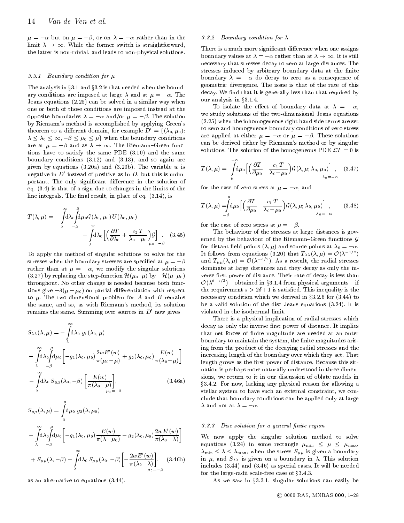$\mu = -\alpha$  but on  $\mu = -\beta$ , or on  $\lambda = -\alpha$  rather than in the the latter is non-trivial, and leads to non-physical solutions. the latter is non-trivial, and leads to non-physical solutions.

#### 3.3.1 Boundary condition for  $\mu$

The analysis in  $\S 3.1$  and  $\S 3.2$  is that needed when the boundary conditions are imposed at large  $\lambda$  and at  $\mu = -\alpha$ . The Jeans equations (2.25) can be solved in a similar way when one or both of those conditions are imposed instead at the opposite boundaries  $\lambda = -\alpha$  and/or  $\mu = -\beta$ . The solution by Riemann's method is accomplished by applying Green's theorem to a different domain, for example  $D' = \{(\lambda_0, \mu_0):$  $\lambda \leq \lambda_0 \leq \infty, -\beta \leq \mu_0 \leq \mu$  when the boundary conditions are at  $\mu = -\beta$  and as  $\lambda \to \infty$ . The Riemann-Green func- $\frac{1}{2}$  and the same PDE (3.10) and the same<br>boundary conditions (3.12) and (3.13), and so again are tions have to satisfy the same PDE (3.10) and the same boundary conditions (3.12) and (3.13), and so again are given by equations  $(3.20a)$  and  $(3.20b)$ . The variable w is negative in  $D'$  instead of positive as in D, but this is unimportant. The only significant difference in the solution of eq. (3.4) is that of a sign due to changes in the limits of the line integrals. The final result, in place of eq.  $(3.14)$ , is

$$
T(\lambda, \mu) = -\int_{\lambda}^{\infty} d\lambda_0 \int_{-\beta}^{\mu} d\mu_0 \mathcal{G}(\lambda_0, \mu_0) U(\lambda_0, \mu_0)
$$
  

$$
-\int_{\lambda}^{\infty} d\lambda_0 \left[ \left( \frac{\partial T}{\partial \lambda_0} + \frac{c_2 T}{\lambda_0 - \mu_0} \right) \mathcal{G} \right]_{\mu_0 = -\beta} \qquad (3.45)
$$

To apply the method of singular solutions to solve for the stresses when the boundary stresses are specified at  $\mu = -\beta$ rather than at  $\mu = -\alpha$ , we modify the singular solutions (3.27) by replacing the step-function  $\mathcal{H}(\mu_0-\mu)$  by  $-\mathcal{H}(\mu-\mu_0)$ throughout. No other change is needed because both functions give  $-\delta(\mu - \mu_0)$  on partial differentiation with respect to  $\mu$ . The two-dimensional problem for A and B remains the same, and so, as with Riemann's method, its solution remains the same. Summing over sources in  $D'$  now gives

$$
S_{\lambda\lambda}(\lambda,\mu) = -\int_{\lambda}^{\infty} d\lambda_0 g_1(\lambda_0,\mu)
$$
\n
$$
-\int_{\lambda}^{\infty} d\lambda_0 \int_{-\beta}^{\mu} d\mu_0 \left[ -g_1(\lambda_0,\mu_0) \frac{2wE'(w)}{\pi(\mu_0-\mu)} + g_2(\lambda_0,\mu_0) \frac{E(w)}{\pi(\lambda_0-\mu)} \right] \quad \text{in} \quad \text{in} \quad \text{in} \quad \text{in} \quad \text{in} \quad \text{in} \quad \text{in} \quad \text{in} \quad \text{in} \quad \text{in} \quad \text{in} \quad \text{in} \quad \text{in} \quad \text{in} \quad \text{in} \quad \text{in} \quad \text{in} \quad \text{in} \quad \text{in} \quad \text{in} \quad \text{in} \quad \text{in} \quad \text{in} \quad \text{in} \quad \text{in} \quad \text{in} \quad \text{in} \quad \text{in} \quad \text{in} \quad \text{in} \quad \text{in} \quad \text{in} \quad \text{in} \quad \text{in} \quad \text{in} \quad \text{in} \quad \text{in} \quad \text{in} \quad \text{in} \quad \text{in} \quad \text{in} \quad \text{in} \quad \text{in} \quad \text{in} \quad \text{in} \quad \text{in} \quad \text{in} \quad \text{in} \quad \text{in} \quad \text{in} \quad \text{in} \quad \text{in} \quad \text{in} \quad \text{in} \quad \text{in} \quad \text{in} \quad \text{in} \quad \text{in} \quad \text{in} \quad \text{in} \quad \text{in} \quad \text{in} \quad \text{in} \quad \text{in} \quad \text{in} \quad \text{in} \quad \text{in} \quad \text{in} \quad \text{in} \quad \text{in} \quad \text{in} \quad \text{in} \quad \text{in} \quad \text{in} \quad \text{in} \quad \text{in} \quad \text{in} \quad \text{in} \quad \text{in} \quad \text{in} \quad \text{in} \quad \text{in} \quad \text{in} \quad \text{in} \quad \text{in} \quad \text{in} \quad \text{in} \quad \text{
$$

$$
S_{\mu\mu}(\lambda,\mu) = \int_{-\beta}^{\infty} d\mu_0 \ g_2(\lambda,\mu_0)
$$
  

$$
- \int_{\lambda}^{\infty} d\lambda_0 \int_{-\beta}^{\mu} d\mu_0 \left[ -g_1(\lambda_0,\mu_0) \frac{E(w)}{\pi(\lambda-\mu_0)} - g_2(\lambda_0,\mu_0) \frac{2wE'(w)}{\pi(\lambda_0-\lambda)} \right] \qquad W_{\text{ecc}} + S_{\mu\mu}(\lambda,-\beta) - \int_{\lambda}^{\infty} d\lambda_0 S_{\mu\mu}(\lambda_0,-\beta) \left[ -\frac{2wE'(w)}{\pi(\lambda_0-\lambda)} \right]. \qquad (3.46b)
$$
  

$$
\lim_{\mu_0=-\beta} \frac{\lambda_0}{\mu_0-\lambda_0} \frac{E(w)}{\mu_0-\lambda_0} \qquad W_{\text{ecc}}.
$$

as an alternative to equations (3.44).

#### 3.3.2 Boundary condition for  $\lambda$

There is a much more significant difference when one assigns necessary that stresses decay to zero at large distances. The<br>stresses induced by arbitrary boundary data at the finite necessary that stresses decay to necessary at large distances. The necessary stresses induced by arbitrary boundary data at the finite boundary  $\lambda = -\alpha$  do decay to zero as a consequence of geometric divergence. The issue is that of the rate of this decay. We find that it is generally less than that required by our analysis in §3.1.4.

To isolate the effect of boundary data at  $\lambda = -\alpha$ , we study solutions of the two-dimensional Jeans equations (2.25) when the inhomogeneous right hand side terms are set to zero and homogeneous boundary conditions of zero stress are applied at either  $\mu = -\alpha$  or  $\mu = -\beta$ . These solutions can be derived either by Riemann's method or by singular solutions. The solution of the homogeneous PDE  $\mathcal{L}T = 0$  is

$$
T(\lambda,\mu) = -\int_{\mu}^{-\alpha} d\mu_0 \left[ \left( \frac{\partial T}{\partial \mu_0} - \frac{c_1 T}{\lambda_0 - \mu_0} \right) \mathcal{G}(\lambda,\mu;\lambda_0,\mu_0) \right], \quad (3.47)
$$

for the case of zero stress at  $\mu = -\alpha$ , and

$$
T(\lambda,\mu) = \int_{-\beta}^{\pi} d\mu_0 \left[ \left( \frac{\partial T}{\partial \mu_0} - \frac{c_1 T}{\lambda_0 - \mu_0} \right) \mathcal{G}(\lambda,\mu;\lambda_0,\mu_0) \right], \qquad (3.48)
$$

for the case of zero stress at  $\mu = -\beta$ .

The behaviour of the stresses at large distances is gov erned by the behaviour of the Riemann-Green functions  $\mathcal G$  $\sim$  GeV and GeV and GeV and GeV and GeV and GeV and GeV and GeV and GeV and GeV and GeV and GeV and GeV and GeV and GeV and GeV and GeV and GeV and GeV and GeV and GeV and GeV and GeV and GeV and GeV and GeV and GeV and for distance  $\mathbf{r}$  and source points at  $\mathbf{r}$  and source points at 0  $\mathbf{r}$  . The source points at 0  $\mathbf{r}$ It follows from equations (3.20) that  $T_{\lambda\lambda}(\lambda,\mu) = O(\lambda^{-2/2})$ and  $T_{\mu\mu}(\lambda,\mu) = \mathcal{O}(\lambda^{-\alpha})$ . As a restuit, the radial stresses dominate at large distances and they decay as only the in verse first power of distance. Their rate of decay is less than  $\mathcal{O}(\lambda^{z-z/z})$  – obtained in §3.1.4 from physical arguments – if the requirement  $s > 2\delta + 1$  is satisfied. This inequality is the necessary commutes which we derive in  $\alpha$  in  $3.3$ . be a valid solution of the disc Jeans equations (3.24). It is violated in the isothermal limit.

There is a physical implication of radial stresses which decay as only the inverse first power of distance. It implies that net forces of finite magnitude are needed at an outer boundary to maintain the system, the finite magnitudes arising from the product of the decaying radial stresses and the increasing length of the boundary over which they act. That length grows as the first power of distance. Because this situation is perhaps more naturally understood in three dimensions, we return to it in our discussion of oblate models in x3.4.2. For now, lacking any physical reason for allowing a stellar system to have such an external constraint, we con clude that boundary conditions can be applied only at large  $\lambda$  and not at  $\lambda = -\alpha$ .

#### 3.3.3 Disc solution for a general nite region

We now apply the singular solution method to solve  $\mathbf{e}$  is a some rectangle minimum  $\mathbf{e}$  is a some rectangle minimum  $\mathbf{e}$  $m_{\rm m}$  min  $m_{\rm m}$  minimax, where the stress stress  $\mu$  is given a stress stress  $\sigma$ in  $\mu$ , and  $S_{\lambda\lambda}$  is given on a boundary in  $\lambda$ . This solution includes (3.44) and (3.46) as special cases. It will be needed for the large-radii scale-free case of  $\S 3.4.3$ .

As we saw in  $\S 3.3.1$ , singular solutions can easily be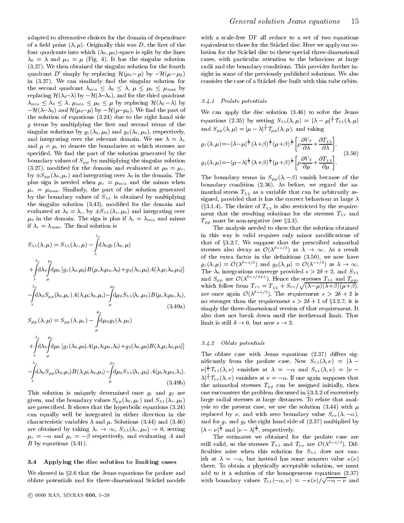adapted to alternative choices for the domain of dependence of a field point  $(\lambda, \mu)$ . Originally this was D, the first of the four quadrants into which  $(\lambda_0, \mu_0)$ -space is split by the lines  $\lambda_0 = \lambda$  and  $\mu_0 = \mu$  (Fig. 4). It has the singular solution (3.27). We then obtained the singular solution for the fourth quadrant D' simply by replacing  $\mathcal{H}(\mu_0 - \mu)$  by  $-\mathcal{H}(\mu - \mu_0)$ in  $(3.27)$ . We can similarly find the singular solution for  $t_{\text{max}}$  are second quadrant minimum  $\Delta$  ,  $\alpha$   $\Delta$  ,  $\alpha$  is  $\alpha$  ,  $\alpha$   $\Delta$  ,  $\alpha$  ,  $\alpha$  ,  $\alpha$ replacing H(0) by H(0), and for the third quadrantic quadrantic  $\mathbf{q}$  $\mathcal{L}$  min  $\mathcal{L}$  , and  $\mathcal{L}$  and  $\mathcal{L}$  from  $\mathcal{L}$  the H(0 ) by replacing H(0 ) by  $\mathcal{L}$  $-\mathcal{H}(\lambda-\lambda_0)$  and  $\mathcal{H}(\mu_0-\mu)$  by  $-\mathcal{H}(\mu-\mu_0)$ . We find the part of the solution of equations (3.24) due to the right hand side  $g$  terms by multiplying the first and second terms of the singular solutions by  $g_1(\lambda_0, \mu_0)$  and  $g_2(\lambda_0, \mu_0)$ , respectively, and integrating over the relevant domain. We use  $\lambda = \lambda_e$ and  $\mu = \mu_e$  to denote the boundaries at which stresses are specified. We find the part of the solution generated by the boundary values of  $S_{\mu\mu}$  by multiplying the singular solution  $(3.27)$ , modified for the domain and evaluated at  $\mu_0 = \mu_e$ ,  $\mathbf{b}$  s(0; e) and integrating over  $\mathbf{b}$ plus sign is needed when  $\mu_e = \mu_{\min}$  and the minus when  $\mu_e = \mu_{\text{max}}$ . Similarly, the part of the solution generated by the boundary values of  $S_{\lambda\lambda}$  is obtained by multiplying the singular solution (3.43), modied for the domain and evaluated at 111 and integrating over 2000 and integrating over 2000 and integrating over 2011  $\mu_0$  in the domain. The sign is plus if  $\lambda_e = \lambda_{\min}$  and minus if  $\lambda_e = \lambda_{\text{max}}$ . The final solution is

$$
S_{\lambda\lambda}(\lambda,\mu) = S_{\lambda\lambda}(\lambda_{e},\mu) - \int_{\lambda}^{\lambda_{e}} d\lambda_{0}g_{1}(\lambda_{0},\mu) \qquad t
$$
  
+ 
$$
\int_{\lambda}^{\lambda_{e}} d\lambda_{0} \int_{\mu}^{\mu_{e}} d\mu_{0} [g_{1}(\lambda_{0},\mu_{0})B(\mu,\lambda;\mu_{0},\lambda_{0})+g_{2}(\lambda_{0},\mu_{0})A(\lambda,\mu;\lambda_{0},\mu_{0})] \qquad t
$$
  
- 
$$
\int_{\lambda}^{\lambda_{e}} d\lambda_{0} S_{\mu\mu}(\lambda_{0},\mu_{e})A(\lambda,\mu;\lambda_{0},\mu_{e}) - \int_{\mu}^{\mu_{e}} d\mu_{0} S_{\lambda\lambda}(\lambda_{e},\mu_{0})B(\mu,\lambda;\mu_{0},\lambda_{e}),
$$
  
 (3.49a)

$$
S_{\mu\mu}(\lambda,\mu)=S_{\mu\mu}(\lambda,\mu_e)-\int\limits_{\mu}^{\infty}\!\!\mathrm{d}\mu_0 g_2(\lambda,\mu_0)
$$
 
$$
\lambda_e=\mu_e
$$

. . . . . . . . .  $\int\limits_{\lambda}^{\infty}\!\!\!{\rm d}\lambda_{0}\!\int\limits_{\mu}^{\infty}\!\!\!{\rm d}\mu_{0}\left[g_{1}(\lambda_{0},\mu_{0})A(\mu,\lambda;\mu_{0},\lambda_{0})\!+\!g_{2}(\lambda_{0},\mu_{0})B(\lambda,\mu;\lambda_{0},\mu_{0})\right]$ 

$$
-\int_{\lambda}^{\lambda_e} d\lambda_0 S_{\mu\mu}(\lambda_0,\mu_e) B(\lambda,\mu;\lambda_0,\mu_e) - \int_{\mu}^{\mu_e} d\mu_0 S_{\lambda\lambda}(\lambda_e,\mu_0) A(\mu,\lambda;\mu_0,\lambda_e).
$$
\n(3.49b)

This solution is uniquely determined once  $g_1$  and  $g_2$  are given, and the boundary values  $S_{\mu\mu}(\lambda_0,\mu_e)$  and  $S_{\lambda\lambda}(\lambda_e,\mu_0)$ are prescribed. It shows that the hyperbolic equations (3.24) can equally well be integrated in either direction in the characteristic variables  $\lambda$  and  $\mu$ . Solutions (3.44) and (3.46)  $\mu_e = -\alpha$  and  $\mu_e = -\beta$  respectively, and evaluating A and<br>B by equations (3.41).  $\mathbf{r}$  and  $\mathbf{r}$  and evaluating  $\mathbf{r}$  $B$  by equations  $(3.41)$ .

#### 3.4 Applying the disc solution to limiting cases

We showed in §2.6 that the Jeans equations for prolate and oblate potentials and for three-dimensional Stackel models

with a scale-free DF all reduce to a set of two equations equivalent to those for the Stackel disc. Here we apply our solution for the Stackel disc to these special three-dimensional cases, with particular attention to the behaviour at large radii and the boundary conditions. This provides further insight in some of the previously published solutions. We also consider the case of a Stackel disc built with thin tube orbits.

## 3.4.1 Prolate potentials

We can apply the disc solution (3.46) to solve the Jeans equations (2.35) by setting  $S_{\lambda\lambda}(\lambda,\mu) = |\lambda - \mu|^{\frac{1}{2}} \mathcal{T}_{\lambda\lambda}(\lambda,\mu)$ and  $S_{\mu\mu}(\lambda,\mu)=|\mu-\lambda|^{\frac{-}{2}}\mathcal{T}_{\mu\mu}(\lambda,\mu),$  and taking

$$
g_1(\lambda, \mu) = -|\lambda - \mu|^{\frac{1}{2}} (\lambda + \beta)^{\frac{1}{2}} (\mu + \beta)^{\frac{1}{2}} \left[ \rho \frac{\partial V_S}{\partial \lambda} + \frac{\partial T_{\chi \chi}}{\partial \lambda} \right],
$$
  

$$
g_2(\lambda, \mu) = -|\mu - \lambda|^{\frac{1}{2}} (\lambda + \beta)^{\frac{1}{2}} (\mu + \beta)^{\frac{1}{2}} \left[ \rho \frac{\partial V_S}{\partial \mu} + \frac{\partial T_{\chi \chi}}{\partial \mu} \right].
$$
 (3.50)

The boundary terms in  $S_{\mu\mu}(\lambda, -\beta)$  vanish because of the boundary condition (2.36). As before, we regard the azimuthal stress  $T_{\chi\chi}$  as a variable that can be arbitrarily assigned, provided that it has the correct behaviour at large  $\lambda$ (§3.1.4). The choice of  $T_{\chi\chi}$  is also restricted by the requirement that the resulting solutions for the stresses  $T_{\lambda\lambda}$  and  $-\mu\mu$  are non-negative (see x2.3).

The analysis needed to show that the solution obtained in this way is valid requires only minor modications of that of  $\mathbf{r}$  as a  $\mathbf{r}$  we suppose that the prescribed azimuthal the prescribed azimuthal  $\mathbf{r}$ stresses also decay as  $O(\lambda^{2\gamma-2})$  as  $\lambda \to \infty$ . As a result of the extra factor in the definitions  $(3.50)$ , we now have  $g_1(\lambda,\mu) = \mathcal{O}(\lambda^{2\gamma-1})$  and  $g_2(\lambda,\mu) = \mathcal{O}(\lambda^{2\gamma-1})$  as  $\lambda$ and  $S_{\mu\mu}$  are  $\mathcal{O}(\lambda^{\delta-s/2+1})$ . Hence the stresses  $T_{\lambda\lambda}$  and  $T_{\mu\mu}$ , which follow from  $T_{\tau\tau} = T_{\chi\chi} + S_{\tau\tau}/\sqrt{(\lambda-\mu)(\lambda+\beta)(\mu+\beta)},$ are once again  $\mathcal{O}(\lambda \rightarrow)$ . The requirement  $s > 20 + 2$  is no stronger than the requirement  $s > 2\delta + 1$  of §3.2.7; it is simply the three-dimensional version of that requirement. It also does not break down until the isothermal limit. That limit is still in the still below s in the still below s  $\mathcal{L}$ 

#### 3.4.2 Oblate potentials

The oblate case with Jeans equations  $(2.37)$  differs significantly from the prolate case. Now  $S_{\lambda\lambda}(\lambda,\nu) = |\lambda \nu |^{\overline{2}} \mathcal{T}_{\lambda \lambda}(\lambda, \nu)$  vanishes at  $\lambda = -\alpha$  and  $S_{\nu \nu}(\lambda, \nu) = |\nu - \nu|$  $\lambda |^{\frac{1}{2}}\mathcal{T}_{\nu \nu}(\lambda,\nu)$  vanishes at  $\nu=-\alpha.$  If one again supposes that the azimuthal stresses  $T_{\phi\phi}$  can be assigned initially, then one encounters the problem discussed in  $\S 3.3.2$  of excessively large radial stresses at large distances. To relate that analysis to the present case, we use the solution (3.44) with  $\mu$ replaced by  $\nu$ , and with zero boundary value  $S_{\nu\nu}(\lambda, -\alpha)$ , and for  $g_1$  and  $g_2$  the right hand side of  $(2.37)$  multiplied by  $|\lambda - \nu|^{\frac{1}{2}}$  and  $|\nu - \lambda|^{\frac{1}{2}}$ , respectively.

The estimates we obtained for the prolate case are still valid, so the stresses  $T_{\lambda\lambda}$  and  $T_{\nu\nu}$  are  $\mathcal{O}(\lambda^{2\gamma-2})$ . Difficulties arise when this solution for  $S_{\lambda\lambda}$  does not vanish at  $\lambda = -\alpha$ , but instead has some nonzero value  $\kappa(\nu)$ there. To obtain a physically acceptable solution, we must add to it a solution of the homogeneous equations (2.37) with boundary values  $\mathcal{T}_{\lambda\lambda}(-\alpha,\nu) = -\kappa(\nu)/\sqrt{-\alpha-\nu}$  and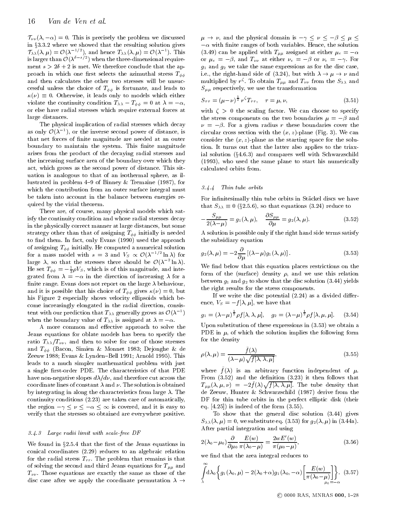$\mathcal{T}_{\nu\nu}(\lambda, -\alpha) = 0$ . This is precisely the problem we discussed  $\mathcal{T}_{\lambda\lambda}(\lambda,\mu) = \mathcal{O}(\lambda^{-1/2}),$  and hence  $T_{\lambda\lambda}(\lambda,\mu) = \mathcal{O}(\lambda^{-1}).$  This (3) is larger than  $\mathcal{O}(\lambda^{2^{n-2}+2})$  when the three-dimensional requirement  $s > 2\delta + 2$  is met. We therefore conclude that the approach in which one first selects the azimuthal stress  $T_{\phi\phi}$ and then calculates the other two stresses will be unsuc cessful unless the choice of  $T_{\phi\phi}$  is fortunate, and leads to ()  $\sim$  0. Otherwise, it leads only to models which either  $\sim$  $\alpha$  is the continuity condition  $\alpha$   $\alpha$   $-\varphi\varphi$  at  $\alpha$   $\beta$   $-\gamma$ ,  $\beta$ or else have radial stresses which require external forces at large distances.

The physical implication of radial stresses which decay as only  $O(\lambda^{-1})$ , or the inverse second power of distance, is eircu that net forces of finite magnitude are needed at an outer boundary to maintain the system. This finite magnitude arises from the product of the decaying radial stresses and the increasing surface area of the boundary over which they act, which grows as the second power of distance. This situation is analogous to that of an isothermal sphere, as illustrated in problem 4-9 of Binney & Tremaine (1987), for<br>which the contribution from an outer surface integral purt  $3.4.4$ which the contribution from an outer surface integral must be taken into account in the balance between energies re quired by the virial theorem.

There are, of course, many physical models which satisfy the continuity condition and whose radial stresses decay in the physically correct manner at large distances, but some strategy other than that of assigning  $T_{\phi\phi}$  initially is needed to find them. In fact, only Evans (1990) used the approach of assigning  $T_{\phi\phi}$  initially. He computed a numerical solution for a mass model with  $s = 3$  and  $V_s \propto \mathcal{O}(\lambda^{-2} \ln \lambda)$  for  $s$ large  $\lambda$ , so that the stresses there should be  $\mathcal{O}(\lambda^{-1} \ln \lambda)$ . He set  $I_{\phi\phi} = -\frac{1}{3} \rho V_S$ , which is of this magnitude, and integrated from  $\lambda = -\alpha$  in the direction of increasing  $\lambda$  for a finite range. Evans does not report on the large  $\lambda$  behaviour, and it is possible that his choice of  $T_{\phi\phi}$  gives  $\kappa(\nu) = 0$ , but his Figure 2 especially shows velocity ellipsoids which become increasingly elongated in the radial direction, consistent with our prediction that  $T_{\lambda\lambda}$  generally grows as  $O(\lambda^-)$ when the boundary value of  $T_{\lambda\lambda}$  is assigned at  $\lambda = -\alpha$ .

A more common and effective approach to solve the Jeans equations for oblate models has been to specify the ratio  $T_{\lambda\lambda}/T_{\nu\nu}$ , and then to solve for one of those stresses and  $T_{\phi\phi}$  (Bacon, Simien & Monnet 1983; Dejonghe & de Zeeuw 1988; Evans & Lynden-Bell 1991; Arnold 1995). This leads to a much simpler mathematical problem with just a single first-order PDE. The characteristics of that PDE have non-negative slopes  $d\lambda/d\nu$ , and therefore cut across the coordinate lines of constant  $\lambda$  and  $\nu$ . The solution is obtained by integrating in along the characteristics from large  $\lambda$ . The continuity conditions (2.23) are taken care of automatically, the region  $-\gamma \leq \nu \leq -\alpha \leq \infty$  is covered, and it is easy to verify that the stresses so obtained are everywhere positive.

#### 3.4.3 Large radii limit with scale-free DF

We found in  $\S 2.5.4$  that the first of the Jeans equations in conical coordinates (2.29) reduces to an algebraic relation for the radial stress  $T_{rr}$ . The problem that remains is that of solving the second and third Jeans equations for  $T_{\mu\mu}$  and  $T_{\nu\nu}$ . Those equations are exactly the same as those of the disc case after we apply the coordinate permutation  $\lambda \rightarrow$ 

 $\mu \to \nu$ , and the physical domain is  $-\gamma \leq \nu \leq -\beta \leq \mu \leq$  $-\alpha$  with finite ranges of both variables. Hence, the solution (3.49) can be applied with  $T_{\mu\mu}$  assigned at either  $\mu_e = -\alpha$  $-\alpha$  with finite ranges of both variables. Hence, the solution or  $\mu_e = -\beta$ , and  $T_{\nu\bar{\nu}}$  at either  $\nu_e = -\beta$  or  $\nu_e = -\gamma$ . For  $g_1$  and  $g_2$  we take the same expressions as for the disc case, i.e., the right-hand side of  $\lambda$  is and side of (3.24), but with  $\lambda$ multiplied by  $r^*$ . To obtain  $T_{\mu\mu}$  and  $T_{\nu\nu}$  from the  $S_{\lambda\lambda}$  and  $S_{\mu\mu}$  respectively, we use the transformation

$$
S_{\tau\tau} = (\mu - \nu)^{\frac{1}{2}} r^{\zeta} T_{\tau\tau}, \quad \tau = \mu, \nu,
$$
 (3.51)

with  $\zeta > 0$  the scaling factor. We can choose to specify the stress components on the two boundaries  $\mu = -\beta$  and  $\nu = -\beta$ . For a given radius r these boundaries cover the circular cross section with the  $(x, z)$ -plane (Fig. 3). We can consider the  $(x, z)$ -plane as the starting space for the solution. It turns out that the latter also applies to the triaxial solution  $(\S4.6.3)$  and compares well with Schwarzschild (1993), who used the same plane to start his numerically calculated orbits from.

#### Thin tube orbits

For infinitesimally thin tube orbits in Stäckel discs we have  $\tau$  , so that  $\tau$  (x2.5.6.6), so that equations (3.24) reduce to the set of  $\tau$ 

$$
-\frac{S_{\mu\mu}}{2(\lambda-\mu)} = g_1(\lambda,\mu), \quad \frac{\partial S_{\mu\mu}}{\partial \mu} = g_2(\lambda,\mu). \tag{3.52}
$$

A solution is possible only if the right hand side terms satisfy the subsidiary equation

$$
g_2(\lambda,\mu) = -2\frac{\partial}{\partial \mu} [(\lambda - \mu)g_1(\lambda,\mu)].
$$
\n(3.53)

We find below that this equation places restrictions on the form of the (surface) density  $\rho$ , and we use this relation between  $g_1$  and  $g_2$  to show that the disc solution (3.44) yields the right results for the stress components.

If we write the disc potential  $(2.24)$  as a divided difference,  $V_S = -f[\lambda, \mu]$ , we have that

$$
g_1 = (\lambda - \mu)^{\frac{1}{2}} \rho f[\lambda, \lambda, \mu], \quad g_2 = (\lambda - \mu)^{\frac{1}{2}} \rho f[\lambda, \mu, \mu]. \quad (3.54)
$$

Upon substitution of these expressions in (3.53) we obtain a PDE in  $\mu$ , of which the solution implies the following form for the density

$$
\rho(\lambda,\mu) = \frac{\tilde{f}(\lambda)}{(\lambda-\mu)\sqrt{f[\lambda,\lambda,\mu]}},\tag{3.55}
$$

where  $f(\lambda)$  is an arbitrary function independent of  $\mu$ . From  $(3.52)$  and the definition  $(3.23)$  it then follows that  $T_{\mu\mu}(\lambda,\mu,\nu) \;=\; -2\tilde{f}(\lambda)\sqrt{f[\lambda,\lambda,\mu]}.$  The tube density that de Zeeuw, Hunter & Schwarzschild (1987) derive from the DF for thin tube orbits in the perfect elliptic disk (their eq. [4.25]) is indeed of the form (3.55).

To show that the general disc solution  $(3.44)$  gives  $S_{\lambda\lambda}(\lambda,\mu) = 0$ , we substitute eq. (3.53) for  $g_2(\lambda,\mu)$  in (3.44a). After partial integration and using

$$
2(\lambda_0 - \mu_0) \frac{\partial}{\partial \mu_0} \frac{E(w)}{\pi(\lambda_0 - \mu)} = \frac{2wE'(w)}{\pi(\mu_0 - \mu)},
$$
\n(3.56)

we find that the area integral reduces to

$$
\stackrel{\text{nd}}{\rightarrow} \qquad \int\limits_{\lambda}^{\infty} d\lambda_0 \left\{ g_1(\lambda_0, \mu) - 2(\lambda_0 + \alpha) g_1(\lambda_0, -\alpha) \left[ \frac{E(w)}{\pi(\lambda_0 - \mu)} \right] \right\}.
$$
 (3.57)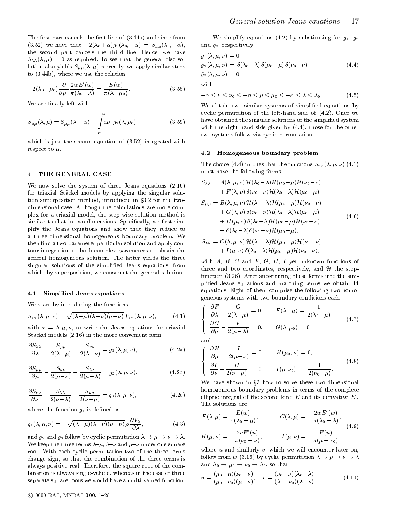The first part cancels the first line of  $(3.44a)$  and since from (3.52) we have that  $-2(\lambda_0 + \alpha)g_1(\lambda_0, -\alpha) = S_{\mu\mu}(\lambda_0, -\alpha),$ the second part cancels the third line. Hence, we have  $S_{\lambda\lambda}(\lambda,\mu) = 0$  as required. To see that the general disc solution also yields  $S_{\mu\mu}(\lambda,\mu)$  correctly, we apply similar steps to (3.44b), where we use the relation

$$
-2(\lambda_0 - \mu_0) \frac{\partial}{\partial \mu_0} \frac{2w E'(w)}{\pi(\lambda_0 - \lambda)} = \frac{E(w)}{\pi(\lambda - \mu_0)}.
$$
 (3.58)

We are finally left with

$$
S_{\mu\mu}(\lambda,\mu) = S_{\mu\mu}(\lambda,-\alpha) - \int_{\mu}^{-\alpha} d\mu_0 g_2(\lambda,\mu_0), \qquad (3.59)
$$

which is just the second equation of (3.52) integrated with respect to  $\mu$ .

#### THE GENERAL CASE  $\overline{4}$

We now solve the system of three Jeans equations (2.16) for triaxial Stäckel models by applying the singular solution superposition method, introduced in §3.2 for the twodimensional case. Although the calculations are more complex for a triaxial model, the step-wise solution method is similar to that in two dimensions. Specifically, we first simplify the Jeans equations and show that they reduce to a three-dimensional homogeneous boundary problem. We then find a two-parameter particular solution and apply contour integration to both complex parameters to obtain the general homogeneous solution. The latter yields the three singular solutions of the simplied Jeans equations, from which, by superposition, we construct the general solution.

#### Simplified Jeans equations  $4.1$

We start by introducing the functions

$$
S_{\tau\tau}(\lambda,\mu,\nu) = \sqrt{(\lambda-\mu)(\lambda-\nu)(\mu-\nu)} T_{\tau\tau}(\lambda,\mu,\nu), \qquad (4.1)
$$

with  $\tau = \lambda, \mu, \nu$ , to write the Jeans equations for triaxial Stackel models (2.16) in the more convenient form

$$
\frac{\partial S_{\lambda\lambda}}{\partial \lambda} - \frac{S_{\mu\mu}}{2(\lambda - \mu)} - \frac{S_{\nu\nu}}{2(\lambda - \nu)} = g_1(\lambda, \mu, \nu), \qquad (4.2a)
$$

$$
\frac{\partial S_{\mu\mu}}{\partial \mu} - \frac{S_{\nu\nu}}{2(\mu - \nu)} - \frac{S_{\lambda\lambda}}{2(\mu - \lambda)} = g_2(\lambda, \mu, \nu),
$$
\n(4.2b)

$$
\frac{\partial S_{\nu\nu}}{\partial \nu} - \frac{S_{\lambda\lambda}}{2(\nu - \lambda)} - \frac{S_{\mu\mu}}{2(\nu - \mu)} = g_3(\lambda, \mu, \nu), \qquad (4.2c)
$$

where the function  $g_1$  is defined as

$$
g_1(\lambda, \mu, \nu) = -\sqrt{(\lambda - \mu)(\lambda - \nu)(\mu - \nu)} \rho \frac{\partial V_S}{\partial \lambda},
$$
 (4.3)

and  $g$  and  $g$  for the bundle permutation by cyclic permutation  $\mathcal{F}$  . The contribution is the contribution of  $\mathcal{F}$ We keep the three terms  $\lambda-\mu$ ,  $\lambda-\nu$  and  $\mu-\nu$  under one square root. With each cyclic permutation two of the three terms change sign, so that the combination of the three terms is always positive real. Therefore. the square root of the combination is always single-valued, whereas in the case of three separate square roots we would have a multi-valued function.

We simplify equations (4.2) by substituting for  $g_1, g_2$ and g3, respectively

$$
\tilde{g}_1(\lambda, \mu, \nu) = 0,\n\tilde{g}_2(\lambda, \mu, \nu) = \delta(\lambda_0 - \lambda) \delta(\mu_0 - \mu) \delta(\nu_0 - \nu),\n\tilde{g}_3(\lambda, \mu, \nu) = 0,
$$
\n(4.4)

with

$$
-\gamma \le \nu \le \nu_0 \le -\beta \le \mu \le \mu_0 \le -\alpha \le \lambda \le \lambda_0. \tag{4.5}
$$

 $\begin{pmatrix} 0 & - & - & 0 \\ 0 & - & 0 \\ 0 & - & 0 \end{pmatrix}$ <br>  $\begin{pmatrix} 0 & - & 0 \\ 0 & - & 0 \\ 0 & - & 0 \end{pmatrix}$ <br>  $\begin{pmatrix} 0 & - & 0 \\ 0 & - & 0 \\ 0 & - & 0 \end{pmatrix}$ <br>  $\begin{pmatrix} 0 & - & 0 \\ 0 & - & 0 \\ 0 & - & 0 \end{pmatrix}$ <br>  $\begin{pmatrix} 0 & - & 0 \\ 0 & - & 0 \\ 0 & - & 0 \end{pmatrix}$ <br>  $\begin{pmatrix} 0 & - & 0 \\ 0 & - & 0 \\$ We obtain two similar systems of simplicity  $\mathbb{R}^n$  . The system of simplicity  $\mathbb{R}^n$ cyclic permutation of the left-hand side of (4.2). Once we have obtained the singular solutions of the simplified system with the right-hand side given by (4.4), those for the other two systems follow via cyclic permutation.

#### 4.2 Homogeneous boundary problem

The choice (4.4) implies that the functions  $S_{\tau\tau}(\lambda, \mu, \nu)$  (4.1) must have the following forms

$$
S_{\lambda\lambda} = A(\lambda, \mu, \nu) \mathcal{H}(\lambda_0 - \lambda) \mathcal{H}(\mu_0 - \mu) \mathcal{H}(\nu_0 - \nu)
$$
  
+  $F(\lambda, \mu) \delta(\nu_0 - \nu) \mathcal{H}(\lambda_0 - \lambda) \mathcal{H}(\mu_0 - \mu),$   

$$
S_{\mu\mu} = B(\lambda, \mu, \nu) \mathcal{H}(\lambda_0 - \lambda) \mathcal{H}(\mu_0 - \mu) \mathcal{H}(\nu_0 - \nu)
$$
  
+  $G(\lambda, \mu) \delta(\nu_0 - \nu) \mathcal{H}(\lambda_0 - \lambda) \mathcal{H}(\mu_0 - \mu)$   
+  $H(\mu, \nu) \delta(\lambda_0 - \lambda) \mathcal{H}(\mu_0 - \mu) \mathcal{H}(\nu_0 - \nu)$   
-  $\delta(\lambda_0 - \lambda) \delta(\nu_0 - \nu) \mathcal{H}(\mu_0 - \mu),$   

$$
S_{\nu\nu} = C(\lambda, \mu, \nu) \mathcal{H}(\lambda_0 - \lambda) \mathcal{H}(\mu_0 - \mu) \mathcal{H}(\nu_0 - \nu)
$$
 (4.6)

$$
+ I(\mu,\nu) \, \delta(\lambda_0-\lambda) \, \mathcal{H}(\mu_0-\mu) \, \mathcal{H}(\nu_0-\nu),
$$

with  $A, B, C$  and  $F, G, H, I$  yet unknown functions of three and two coordinates, respectively, respectively, and  $\mathbf{r}_\text{c}$ function (3.26). After substituting these forms into the simplied Jeans equations and matching terms we obtain 14 equations. Eight of them comprise the following two homogeneous systems with two boundary conditions each

$$
\begin{cases}\n\frac{\partial F'}{\partial \lambda} - \frac{G}{2(\lambda - \mu)} = 0, & F(\lambda_0, \mu) = \frac{1}{2(\lambda_0 - \mu)}, \\
\frac{\partial G}{\partial \mu} - \frac{F}{2(\mu - \lambda)} = 0, & G(\lambda, \mu_0) = 0,\n\end{cases}
$$
\n(4.7)

and

$$
\begin{cases}\n\frac{\partial H}{\partial \mu} - \frac{I}{2(\mu - \nu)} = 0, & H(\mu_0, \nu) = 0, \\
\frac{\partial I}{\partial \nu} - \frac{H}{2(\nu - \mu)} = 0, & I(\mu, \nu_0) = \frac{1}{2(\nu_0 - \mu)}.\n\end{cases}
$$
\n(4.8)

We have shown in  $3 - 3$  how to solve these two-dimensional dimensional dimensional dimensional dimensional dimensional dimensional dimensional dimensional dimensional dimensional dimensional dimensional dimensional dimens homogeneous boundary problems in terms of the complete elliptic integral of the second kind  $E$  and its derivative  $E'$ . The solutions are

$$
F(\lambda, \mu) = \frac{E(w)}{\pi(\lambda_0 - \mu)}, \qquad G(\lambda, \mu) = -\frac{2wE'(w)}{\pi(\lambda_0 - \lambda)},
$$
  
\n
$$
H(\mu, \nu) = -\frac{2wE'(u)}{\pi(\nu_0 - \nu)}, \qquad I(\mu, \nu) = -\frac{E(u)}{\pi(\mu - \nu_0)},
$$
\n(4.9)

where  $u$  and similarly  $v$ , which we will encounter later on, follow from  $\alpha$  (3.16) by cyclic permutation is the control of  $\alpha$  $\overline{0}$   $\overline{1}$   $\overline{0}$   $\overline{0}$   $\overline{0}$   $\overline{0}$   $\overline{0}$   $\overline{0}$ 

$$
u = \frac{(\mu_0 - \mu)(\nu_0 - \nu)}{(\mu_0 - \nu_0)(\mu - \nu)}, \quad v = \frac{(\nu_0 - \nu)(\lambda_0 - \lambda)}{(\lambda_0 - \nu_0)(\lambda - \nu)}.
$$
(4.10)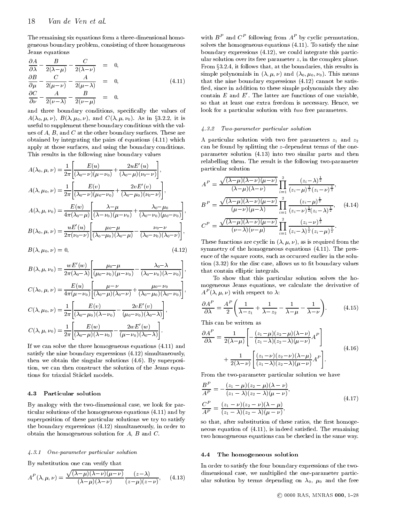The remaining six equations form a three-dimensional homogeneous boundary problem, consisting of three homogeneous Jeans equations

$$
\frac{\partial A}{\partial \lambda} - \frac{B}{2(\lambda - \mu)} - \frac{C}{2(\lambda - \nu)} = 0, \qquad \frac{\partial B}{\partial \mu} - \frac{C}{2(\mu - \nu)} - \frac{A}{2(\mu - \lambda)} = 0, \qquad \frac{\partial C}{\partial \nu} - \frac{A}{2(\nu - \lambda)} - \frac{B}{2(\nu - \mu)} = 0.
$$
\n(4.11)

and three boundary conditions, specically the values of  $A(\lambda_0, \mu, \nu)$ ,  $B(\lambda, \mu_0, \nu)$ , and  $C(\lambda, \mu, \nu_0)$ . As in §3.2.2, it is useful to supplement these boundary conditions with the values of A, B, and C at the other boundary surfaces. These are obtained by integrating the pairs of equations (4.11) which apply at those surfaces, and using the boundary conditions. This results in the following nine boundary values

$$
A(\lambda_0, \mu, \nu) = \frac{1}{2\pi} \left[ \frac{E(u)}{(\lambda_0 - \nu)(\mu - \nu_0)} + \frac{2uE'(u)}{(\lambda_0 - \mu)(\nu_0 - \nu)} \right],
$$
  
\n
$$
A(\lambda, \mu_0, \nu) = \frac{1}{2\pi} \left[ \frac{E(v)}{(\lambda_0 - \nu)(\mu_0 - \nu_0)} + \frac{2vE'(v)}{(\lambda_0 - \mu_0)(\nu_0 - \nu)} \right],
$$
  
\n
$$
A(\lambda, \mu, \nu_0) = \frac{E(w)}{4\pi(\lambda_0 - \mu)} \left[ \frac{\lambda - \mu}{(\lambda - \nu_0)(\mu - \nu_0)} + \frac{\lambda_0 - \mu_0}{(\lambda_0 - \nu_0)(\mu_0 - \nu_0)} \right],
$$
  
\n
$$
B(\lambda_0, \mu, \nu) = \frac{uE'(u)}{2\pi(\nu_0 - \nu)} \left[ \frac{\mu_0 - \mu}{(\lambda_0 - \mu_0)(\lambda_0 - \mu)} - \frac{\nu_0 - \nu}{(\lambda_0 - \nu_0)(\lambda_0 - \nu)} \right],
$$
  
\n
$$
C^P
$$
  
\n
$$
B(\lambda_0, \mu, \nu) = \frac{uE'(u)}{2\pi(\nu_0 - \nu)} \left[ \frac{\mu_0 - \mu}{(\lambda_0 - \mu_0)(\lambda_0 - \mu)} - \frac{\nu_0 - \nu}{(\lambda_0 - \nu_0)(\lambda_0 - \nu)} \right],
$$

$$
B(\lambda, \mu_0, \nu) = 0, \tag{4.12}
$$

$$
B(\lambda, \mu, \nu_0) = \frac{wE'(w)}{2\pi(\lambda_0 - \lambda)} \left[ \frac{\mu_0 - \mu}{(\mu_0 - \nu_0)(\mu - \nu_0)} - \frac{\lambda_0 - \lambda}{(\lambda_0 - \nu_0)(\lambda - \nu_0)} \right], \quad \text{that}
$$
  
\n
$$
C(\lambda_0, \mu, \nu) = \frac{E(u)}{4\pi(\mu - \nu_0)} \left[ \frac{\mu - \nu}{(\lambda_0 - \mu)(\lambda_0 - \nu)} + \frac{\mu_0 - \nu_0}{(\lambda_0 - \mu_0)(\lambda_0 - \nu_0)} \right], \quad \text{mgg}
$$
  
\n
$$
C(\lambda, \mu_0, \nu) = \frac{1}{2\pi} \left[ \frac{E(v)}{(\lambda_0 - \mu_0)(\lambda - \nu_0)} - \frac{2vE'(v)}{(\mu_0 - \nu_0)(\lambda_0 - \lambda)} \right], \quad \frac{\partial A}{\partial \lambda}
$$
  
\n
$$
C(\lambda, \mu, \nu_0) = \frac{1}{2\pi} \left[ \frac{E(w)}{(\lambda_0 - \mu)(\lambda - \nu_0)} - \frac{2wE'(w)}{(\mu - \nu_0)(\lambda_0 - \lambda)} \right]. \quad \text{This}
$$

If we can solve the three homogeneous equations (4.11) and satisfy the nine boundary expressions (4.12) simultaneously, then we obtain the singular solutions (4.6). By superposition, we can then construct the solution of the Jeans equations for triaxial Stackel models.

#### 4.3 Particular solution

By analogy with the two-dimensional case, we look for particular solutions of the homogeneous equations (4.11) and by superposition of these particular solutions we try to satisfy the boundary expressions (4.12) simultaneously, in order to obtain the homogeneous solution for A, B and C.

#### 4.3.1 One-parameter particular solution

By substitution one can verify that

$$
A^{P}(\lambda,\mu,\nu) = \frac{\sqrt{(\lambda-\mu)(\lambda-\nu)(\mu-\nu)}}{(\lambda-\mu)(\lambda-\nu)} \frac{(z-\lambda)}{(z-\mu)(z-\nu)}, \quad (4.13)
$$

with  $B^{\pm}$  and  $C^{\pm}$  following from  $A^{\pm}$  by cyclic permutation, solves the homogeneous equations (4.11). To satisfy the nine boundary expressions (4.12), we could integrate this particular solution over its free parameter  $z$ , in the complex plane. From §3.2.4, it follows that, at the boundaries, this results in x3.2.4, it follows that, at the boundaries, this results in simple polynomials in (; ; ) and (0; 0; 0). This means that the nine boundary expressions (4.12) cannot be satis fied, since in addition to these simple polynomials they also contain  $E$  and  $E'$ . The latter are functions of one variable, so that at least one extra freedom is necessary. Hence, we look for a particular solution with two free parameters.

#### 4.3.2 Two-parameter particular solution

A particular solution with two free parameters  $z_1$  and  $z_2$ can be found by splitting the z-dependent terms of the oneparameter solution (4.13) into two similar parts and then relabelling them. The result is the following two-parameter particular solution

$$
A^{P} = \frac{\sqrt{(\lambda - \mu)(\lambda - \nu)(\mu - \nu)}}{(\lambda - \mu)(\lambda - \nu)} \prod_{i=1}^{2} \frac{(z_{i} - \lambda)^{\frac{1}{2}}}{(z_{i} - \mu)^{\frac{1}{2}}(z_{i} - \nu)^{\frac{1}{2}}},
$$
  
\n
$$
B^{P} = \frac{\sqrt{(\lambda - \mu)(\lambda - \nu)(\mu - \nu)}}{(\mu - \nu)(\mu - \lambda)} \prod_{i=1}^{2} \frac{(z_{i} - \mu)^{\frac{1}{2}}}{(z_{i} - \nu)^{\frac{1}{2}}(z_{i} - \lambda)^{\frac{1}{2}}}, \quad (4.14)
$$
  
\n
$$
C^{P} = \frac{\sqrt{(\lambda - \mu)(\lambda - \nu)(\mu - \nu)}}{(\nu - \lambda)(\nu - \mu)} \prod_{i=1}^{2} \frac{(z_{i} - \nu)^{\frac{1}{2}}}{(z_{i} - \lambda)^{\frac{1}{2}}(z_{i} - \mu)^{\frac{1}{2}}}.
$$

These functions are cyclic in  $(\lambda, \mu, \nu)$ , as is required from the symmetry of the homogeneous equations (4.11). The presence of the square roots, such as occurred earlier in the solu- $\tau$  tion  $(3.32)$  for the disc case, allows us to fit boundary values that contain elliptic integrals.

To show that this particular solution solves the homogeneous Jeans equations, we calculate the derivative of  $A^-(\lambda,\mu,\nu)$  with respect to  $\lambda$ :

$$
\frac{\partial A^P}{\partial \lambda} = \frac{A^P}{2} \left( \frac{1}{\lambda - z_1} + \frac{1}{\lambda - z_2} - \frac{1}{\lambda - \mu} - \frac{1}{\lambda - \nu} \right). \tag{4.15}
$$

This can be written as

$$
\frac{\partial A^P}{\partial \lambda} = \frac{1}{2(\lambda - \mu)} \left[ -\frac{(z_1 - \mu)(z_2 - \mu)(\lambda - \nu)}{(z_1 - \lambda)(z_2 - \lambda)(\mu - \nu)} A^P \right] + \frac{1}{2(\lambda - \nu)} \left[ \frac{(z_1 - \nu)(z_2 - \nu)(\lambda - \mu)}{(z_1 - \lambda)(z_2 - \lambda)(\mu - \nu)} A^P \right].
$$
\n(4.16)

From the two-parameter particular solution we have

$$
\frac{B^P}{A^P} = -\frac{(z_1 - \mu)(z_2 - \mu)(\lambda - \nu)}{(z_1 - \lambda)(z_2 - \lambda)(\mu - \nu)},
$$
\n
$$
\frac{C^P}{A^P} = \frac{(z_1 - \nu)(z_2 - \nu)(\lambda - \mu)}{(z_1 - \lambda)(z_2 - \lambda)(\mu - \nu)},
$$
\n(4.17)

so that, after substitution of these ratios, the first homogeneous equation of  $(4.11)$ , is indeed satisfied. The remaining two homogeneous equations can be checked in the same way.

#### The homogeneous solution  $4.4$

In order to satisfy the four boundary expressions of the two dimensional case, we multiplied the one-parameter particular solution by terms depending on  $\lambda_0$ ,  $\mu_0$  and the free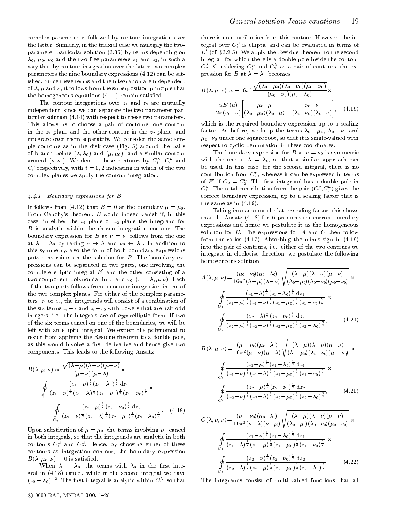complex parameter z, followed by contour integration over the latter. Similarly, in the triaxial case we multiply the two parameter particular solution (3.35) by terms depending on  $\lambda_0$ ,  $\mu_0$ ,  $\nu_0$  and the two free parameters  $z_1$  and  $z_2$ , in such a way that by contour integration over the latter two complex parameters the nine boundary expressions (4.12) can be satisfied. Since these terms and the integration are independent of  $\lambda$ ,  $\mu$  and  $\nu$ , it follows from the superposition principle that the homogeneous equations (4.11) remain satised.

The contour integrations over  $z_1$  and  $z_2$  are mutually independent, since we can separate the two-parameter particular solution (4.14) with respect to these two parameters. This allows us to choose a pair of contours, one contour in the  $z_1$ -plane and the other contour in the  $z_2$ -plane, and integrate over them separately. We consider the same simple contours as in the disk case (Fig. 5) around the pairs of branch points  $(\lambda, \lambda_0)$  and  $(\mu, \mu_0)$ , and a similar contour around  $(\nu, \nu_0)$ . We denote these contours by  $C_i^{\, \tau}, \; C_i^{\, \tau}$  and with  $C_i$  respectively, with  $i = 1, 2$  indicating in which of the two  $C_i$ complex planes we apply the contour integration.

## 4.4.1 Boundary expressions for B

It follows from (4.12) that  $B = 0$  at the boundary  $\mu = \mu_0$ . From Cauchy's theorem, B would indeed vanish if, in this case, in either the  $z_1$ -plane or  $z_2$ -plane the integrand for B is analytic within the chosen integration contour. The boundary expression for B at  $\nu = \nu_0$  follows from the one at  $\cdots$   $\cdots$   $\cdots$   $\cdots$   $\cdots$   $\cdots$   $\cdots$   $\cdots$   $\cdots$   $\cdots$   $\cdots$   $\cdots$   $\cdots$   $\cdots$   $\cdots$   $\cdots$   $\cdots$   $\cdots$ this symmetry, also the form of both boundary expressions puts constraints on the solution for B. The boundary expressions can be separated in two parts, one involving the complete elliptic integral  $E'$  and the other consisting of a two-component polynomial in  $\tau$  and  $\tau_0$  ( $\tau = \lambda, \mu, \nu$ ). Each of the two parts follows from a contour integration in one of the two complex planes. For either of the complex parameters,  $z_1$  or  $z_2$ , the integrands will consist of a combination of the six terms  $z_i - \tau$  and  $z_i - \tau_0$  with powers that are half-odd integers, i.e., the integrals are of hyperelliptic form. If two of the six terms cancel on one of the boundaries, we will be left with an elliptic integral. We expect the polynomial to result from applying the Residue theorem to a double pole, as this would involve a first derivative and hence give two components. This leads to the following Ansatz

$$
B(\lambda, \mu, \nu) \propto \frac{\sqrt{(\lambda - \mu)(\lambda - \nu)(\mu - \nu)}}{(\mu - \nu)(\mu - \lambda)} \times
$$
  

$$
\oint_{C_1} \frac{(z_1 - \mu)^{\frac{1}{2}} (z_1 - \lambda_0)^{\frac{1}{2}} dz_1}{(z_1 - \nu)^{\frac{1}{2}} (z_1 - \lambda)^{\frac{1}{2}} (z_1 - \mu_0)^{\frac{1}{2}} (z_1 - \nu_0)^{\frac{3}{2}}} \times
$$
  

$$
\oint_{C_2} \frac{(z_2 - \mu)^{\frac{1}{2}} (z_2 - \nu_0)^{\frac{1}{2}} dz_2}{(z_2 - \nu)^{\frac{1}{2}} (z_2 - \lambda)^{\frac{1}{2}} (z_2 - \mu_0)^{\frac{1}{2}} (z_2 - \lambda_0)^{\frac{3}{2}}}.
$$
(4.18)

Upon substitution of  $\mu = \mu_0$ , the terms involving  $\mu_0$  cancel in both integrals, so that the integrands are analytic in both contours  $C_1^{\kappa}$  and  $C_2^{\kappa}$ . Hence, by choosing either of these contours as integration contour, the boundary expression  $B(\lambda, \mu_0, \nu) = 0$  is satisfied.

When  $\lambda = \lambda_0$ , the terms with  $\lambda_0$  in the first integral in (4.18) cancel, while in the second integral we have  $(z_2 - \lambda_0)$  . The first integral is analytic within  $C_1$ , so that T

there is no contribution from this contour. However, the integral over  $C_1^{\kappa}$  is elliptic and can be evaluated in terms of  $E'$  (cf. §3.2.5). We apply the Residue theorem to the second integral, for which there is a double pole inside the contour  $C_2$ . Considering  $C_1^c$  and  $C_2^c$  as a pair of contours, the expression for B at  $\lambda = \lambda_0$  becomes

$$
B(\lambda, \mu, \nu) \propto -16\pi^2 \frac{\sqrt{(\lambda_0 - \mu_0)(\lambda_0 - \nu_0)(\mu_0 - \nu_0)}}{(\mu_0 - \nu_0)(\mu_0 - \lambda_0)} \times
$$

$$
\frac{uE'(u)}{2\pi(\nu_0 - \nu)} \left[ \frac{\mu_0 - \mu}{(\lambda_0 - \mu_0)(\lambda_0 - \mu)} - \frac{\nu_0 - \nu}{(\lambda_0 - \nu_0)(\lambda_0 - \nu)} \right], \quad (4.19)
$$

which is the required boundary expression up to a scaling factor. As a before, we have the terms of  $\mathbf{r}$  $\mu_0-\nu_0$  under one square root, so that it is single-valued with respect to cyclic permutation in these coordinates.

The boundary expression for B at  $\nu = \nu_0$  is symmetric with the one at  $\lambda = \lambda_0$ , so that a similar approach can be used. In this case, for the second integral, there is no contribution from  $C_2$  , whereas it can be expressed in terms of E if  $C_2 = C_2$ . The first integrand has a double pole in  $C_1^{\cdot}$  . The total contribution from the pair  $(C_1^{\cdot},C_2^{\cdot})$  gives the correct boundary expression, up to a scaling factor that is the same as in (4.19).

Taking into account the latter scaling factor, this shows that the Ansatz  $(4.18)$  for B produces the correct boundary expressions and hence we postulate it as the homogeneous solution for  $B$ . The expressions for  $A$  and  $C$  then follow from the ratios (4.17). Absorbing the minus sign in (4.19) into the pair of contours, i.e., either of the two contours we integrate in clockwise direction, we postulate the following homogeneous solution

$$
A(\lambda, \mu, \nu) = \frac{(\mu_0 - \nu_0)(\mu_0 - \lambda_0)}{16\pi^2(\lambda - \mu)(\lambda - \nu)} \sqrt{\frac{(\lambda - \mu)(\lambda - \nu)(\mu - \nu)}{(\lambda_0 - \mu_0)(\lambda_0 - \nu_0)(\mu_0 - \nu_0)}} \times
$$
  

$$
\oint_{C_1} \frac{(z_1 - \lambda)^{\frac{1}{2}}(z_1 - \lambda_0)^{\frac{1}{2}} dz_1}{(z_1 - \mu)^{\frac{1}{2}}(z_1 - \mu)^{\frac{1}{2}}(z_1 - \mu_0)^{\frac{1}{2}}(z_1 - \nu_0)^{\frac{3}{2}}} \times
$$
  

$$
\oint_{C_2} \frac{(z_2 - \lambda)^{\frac{1}{2}}(z_2 - \nu_0)^{\frac{1}{2}} dz_2}{(z_2 - \mu)^{\frac{1}{2}}(z_2 - \mu_0)^{\frac{1}{2}}(z_2 - \lambda_0)^{\frac{3}{2}}}, \qquad (4.20)
$$

$$
B(\lambda, \mu, \nu) = \frac{(\mu_0 - \nu_0)(\mu_0 - \lambda_0)}{16\pi^2(\mu - \nu)(\mu - \lambda)} \sqrt{\frac{(\lambda - \mu)(\lambda - \nu)(\mu - \nu)}{(\lambda_0 - \mu_0)(\lambda_0 - \nu_0)(\mu_0 - \nu_0)}} \times
$$
  

$$
\oint_{C_1} \frac{(z_1 - \mu)^{\frac{1}{2}}(z_1 - \lambda_0)^{\frac{1}{2}} dz_1}{(z_1 - \nu)^{\frac{1}{2}}(z_1 - \lambda)^{\frac{1}{2}}(z_1 - \mu_0)^{\frac{1}{2}}(z_1 - \nu_0)^{\frac{3}{2}}} \times
$$
  

$$
\oint_{C_2} \frac{(z_2 - \mu)^{\frac{1}{2}}(z_2 - \nu_0)^{\frac{1}{2}} dz_2}{(z_2 - \nu)^{\frac{1}{2}}(z_2 - \lambda)^{\frac{1}{2}}(z_2 - \mu_0)^{\frac{1}{2}}(z_2 - \lambda_0)^{\frac{3}{2}}},
$$
(4.21)

$$
C(\lambda, \mu, \nu) = \frac{(\mu_0 - \nu_0)(\mu_0 - \lambda_0)}{16\pi^2(\nu - \lambda)(\nu - \mu)} \sqrt{\frac{(\lambda - \mu)(\lambda - \nu)(\mu - \nu)}{(\lambda_0 - \mu_0)(\lambda_0 - \nu_0)(\mu_0 - \nu_0)}} \times
$$
  

$$
\oint_{C_1} \frac{(z_1 - \nu)^{\frac{1}{2}}(z_1 - \lambda_0)^{\frac{1}{2}} dz_1}{(z_1 - \lambda)^{\frac{1}{2}}(z_1 - \mu)^{\frac{1}{2}}(z_1 - \mu_0)^{\frac{1}{2}}(z_1 - \nu_0)^{\frac{3}{2}}} \times
$$
  

$$
\oint_{C_2} \frac{(z_2 - \nu)^{\frac{1}{2}}(z_2 - \nu_0)^{\frac{1}{2}} dz_2}{(z_2 - \lambda)^{\frac{1}{2}}(z_2 - \mu)^{\frac{1}{2}}(z_2 - \mu_0)^{\frac{1}{2}}(z_2 - \lambda_0)^{\frac{3}{2}}}.
$$
(4.22)

The integrands consist of multi-valued functions that all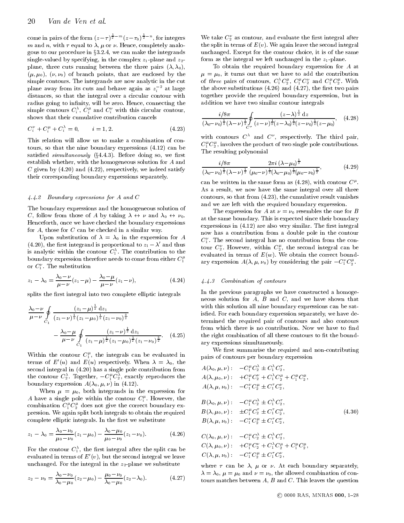come in pairs of the form  $(z-\tau)$ <sup> $\overline{z}^{-m}(z-\tau_0)$  $\overline{z}^{-n}$ , for integers</sup> m and n, with  $\tau$  equal to  $\lambda$ ,  $\mu$  or  $\nu$ . Hence, completely analogous to our procedure in  $\S 3.2.4$ , we can make the integrands single-valued by specifying, in the complex  $z_1$ -plane and  $z_2$ plane, three cuts running between the three pairs  $(\lambda, \lambda_0)$ ,  $(\mu, \mu_0)$ ,  $(\nu, \nu_0)$  of branch points, that are enclosed by the simple contours. The integrands are now analytic in the cut plane away from its cuts and behave again as  $z_i$   $\bar{\ }$  at large  $\qquad$  ti distances, so that the integral over a circular contour with radius going to infinity, will be zero. Hence, connecting the simple contours  $C_i^{\gamma}$ ,  $C_i^{\gamma}$  and  $C_i^{\gamma}$  with this circular contour, shows that their cumulative contribution cancels

$$
C_i^{\nu} + C_i^{\mu} + C_i^{\lambda} = 0, \qquad i = 1, 2. \tag{4.23}
$$

This relation will allow us to make a combination of con tours, so that the nine boundary expressions (4.12) can be satisfied simultaneously  $(\S4.4.3)$ . Before doing so, we first establish whether, with the homogeneous solution for A and C given by  $(4.20)$  and  $(4.22)$ , respectively, we indeed satisfy their corresponding boundary expressions separately.

#### 4.4.2 Boundary expressions for A and C

The boundary expressions and the homogeneous solution of C, follow from those of A by taking  $\lambda \leftrightarrow \nu$  and  $\lambda_0 \leftrightarrow \nu_0$ . Henceforth, once we have checked the boundary expressions for A, those for C can be checked in a similar way.

Upon substitution of  $\lambda = \lambda_0$  in the expression for A (4.20), the first integrand is proportional to  $z_1 - \lambda$  and thus  $\epsilon$ is analytic within the contour  $C_1$ . The contribution to the  $\sum_{\alpha\in\mathcal{C}}$ boundary expression therefore needs to come from either  $C_1^{\mu}$ or  $C_1$  . The substitution

$$
z_1 - \lambda_0 = \frac{\lambda_0 - \nu}{\mu - \nu} (z_1 - \mu) - \frac{\lambda_0 - \mu}{\mu - \nu} (z_1 - \nu), \tag{4.24}
$$

splits the first integral into two complete elliptic integrals

$$
\frac{\lambda_0 - \nu}{\mu - \nu} \oint_{C_1} \frac{(z_1 - \mu)^{\frac{1}{2}} dz_1}{(z_1 - \nu)^{\frac{1}{2}} (z_1 - \mu_0)^{\frac{1}{2}} (z_1 - \nu_0)^{\frac{3}{2}}} \quad \text{if} \\
-\frac{\lambda_0 - \mu}{\mu - \nu} \oint_{C_1} \frac{(z_1 - \nu)^{\frac{1}{2}} dz_1}{(z_1 - \mu)^{\frac{1}{2}} (z_1 - \mu_0)^{\frac{1}{2}} (z_1 - \nu_0)^{\frac{3}{2}}}.
$$
(4.25)

Within the contour  $U_1^c$ , the integrals can be evaluated in  $\overline{\mathbf{a}}$   $\mathbf{a}$ terms of  $E'(u)$  and  $E(u)$  respectively. When  $\lambda = \lambda_0$ , the second integral in (4.20) has a single pole contribution from the contour  $C_2$ . Together,  $-C_1^cC_2^c$ , exactly reproduces the  $A($ boundary expression  $A(\lambda_0, \mu, \nu)$  in (4.12).

When  $\mu = \mu_0$ , both integrands in the expression for A have a single pole within the contour  $C_i^{\perp}$ . However, the  $D_{\parallel}$ combination  $C_1^r C_2^r$  does not give the correct boundary ex-  $\hspace{0.2cm}$ pression. We again split both integrals to obtain the required complete elliptic integrals. In the first we substitute

$$
z_1 - \lambda_0 = \frac{\lambda_0 - \nu_0}{\mu_0 - \nu_0} (z_1 - \mu_0) - \frac{\lambda_0 - \mu_0}{\mu_0 - \nu_0} (z_1 - \nu_0).
$$
 (4.26)

For the contour  $C_1$  , the first integral after the split can be found that evaluated in terms of  $E'(v)$ , but the second integral we leave unchanged. For the integral in the  $z_2$ -plane we substitute

$$
z_2 - \nu_0 = \frac{\lambda_0 - \nu_0}{\lambda_0 - \mu_0} (z_2 - \mu_0) - \frac{\mu_0 - \nu_0}{\lambda_0 - \mu_0} (z_2 - \lambda_0).
$$
 (4.27)

We take  $\mathbb{C}_2$  as contour, and evaluate the first integral after the split in terms of  $E(v)$ . We again leave the second integral unchanged. Except for the contour choice, it is of the same form as the integral we left unchanged in the  $z_1$ -plane.

To obtain the required boundary expression for A at  $\mu = \mu_0$ , it turns out that we have to add the contribution of three pairs of contours,  $C_1^{\circ}C_2^{\circ}$ ,  $C_1^{\circ}C_2^{\circ}$  and  $C_1^{\circ}C_2^{\circ}$ . With the above substitutions  $(4.26)$  and  $(4.27)$ , the first two pairs together provide the required boundary expression, but in addition we have two similar contour integrals

$$
\frac{i/8\pi}{(\lambda_0-\nu_0)^{\frac{1}{2}}(\lambda-\nu)^{\frac{1}{2}}}\oint_{C^{\tau}}\frac{(z-\lambda)^{\frac{1}{2}}\,\mathrm{d}z}{(z-\nu)^{\frac{1}{2}}(z-\lambda_0)^{\frac{1}{2}}(z-\nu_0)^{\frac{1}{2}}(z-\mu_0)},\quad(4.28)
$$

with contours  $C^+$  and  $C^-$ , respectively. The third pair,  $C_1^r C_2^r$  , involves the product of two single pole contributions. The resulting polynomial

$$
\frac{i/8\pi}{(\lambda_0-\nu_0)^{\frac{1}{2}}} \frac{2\pi i (\lambda-\mu_0)^{\frac{1}{2}}}{(\mu_0-\nu)^{\frac{1}{2}}(\lambda_0-\mu_0)^{\frac{1}{2}}(\mu_0-\nu_0)^{\frac{1}{2}}},
$$
(4.29)

can be written in the same form as  $(4.28)$ , with contour  $C^{\mu}$ . As a result, we now have the same integral over all three contours, so that from (4.23), the cumulative result vanishes and we are left with the required boundary expression.

 $\sim$   $\sim$   $\sim$   $\sim$   $\sim$   $\sim$  at the same boundary. This is expected since their boundary The expression for A at  $\nu = \nu_0$  resembles the one for B expressions in  $(4.12)$  are also very similar. The first integral now has a contribution from a double pole in the contour  $C_1$  . The second integral has no contribution from the contour  $C_2$ . However, within  $C_2^r$ , the second integral can be evaluated in terms of  $E(w)$ . We obtain the correct boundary expression  $A(\lambda,\mu,\nu_0)$  by considering the pair  $-C_1C_2^c$ .

#### 4.4.3 Combination of contours

In the previous paragraphs we have constructed a homoge neous solution for  $A$ ,  $B$  and  $C$ , and we have shown that with this solution all nine boundary expressions can be satisfied. For each boundary expression separately, we have determined the required pair of contours and also contours from which there is no contribution. Now we have to find the right combination of all these contours to fit the boundary expressions simultaneously.

We first summarise the required and non-contributing pairs of contours per boundary expression

$$
A(\lambda_0, \mu, \nu) : -C_1^{\mu} C_2^{\lambda} \pm C_1^{\lambda} C_2^{\nu},
$$
  
\n
$$
A(\lambda, \mu_0, \nu) : +C_1^{\mu} C_2^{\nu} + C_1^{\lambda} C_2^{\mu} + C_1^{\mu} C_2^{\mu},
$$
  
\n
$$
A(\lambda, \mu, \nu_0) : -C_1^{\nu} C_2^{\mu} \pm C_1^{\tau} C_2^{\nu},
$$

$$
B(\lambda_0, \mu, \nu) : -C_1^{\mu} C_2^{\lambda} \pm C_1^{\lambda} C_2^{\tau}, \nB(\lambda, \mu_0, \nu) : \pm C_1^{\mu} C_2^{\tau} \pm C_1^{\tau} C_2^{\mu}, \nB(\lambda, \mu, \nu_0) : -C_1^{\nu} C_2^{\mu} \pm C_1^{\tau} C_2^{\nu},
$$
\n(4.30)

$$
C(\lambda_0, \mu, \nu) : -C_1^{\mu} C_2^{\lambda} \pm C_1^{\lambda} C_2^{\tau},
$$
  
\n
$$
C(\lambda, \mu_0, \nu) : +C_1^{\mu} C_2^{\nu} + C_1^{\lambda} C_2^{\mu} + C_1^{\mu} C_2^{\mu},
$$
  
\n
$$
C(\lambda, \mu, \nu_0) : -C_1^{\nu} C_2^{\mu} \pm C_1^{\tau} C_2^{\nu},
$$

where  $\tau$  can be  $\lambda$ ,  $\mu$  or  $\nu$ . At each boundary separately,  $\lambda = \lambda_0, \mu = \mu_0$  and  $\nu = \nu_0$ , the allowed combination of contours matches between  $A$ ,  $B$  and  $C$ . This leaves the question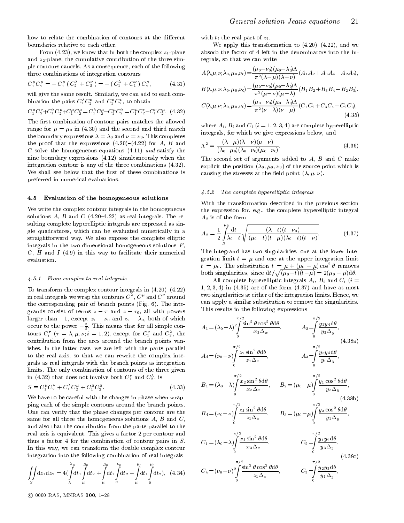From (4.23), we know that in both the complex  $z_1$ -plane and  $z_2$ -plane, the cumulative contribution of the three simple contours cancels. As a consequence, each of the following three combinations of integration contours

$$
C_1^{\mu} C_2^{\mu} = -C_1^{\mu} (C_2^{\lambda} + C_2^{\nu}) = - (C_1^{\lambda} + C_1^{\nu}) C_2^{\mu}, \qquad (4.31)
$$

will give the same result. Similarly, we can add to each combination the pairs  $C_1^r C_2^r$  and  $C_1^r C_2^r$  , to obtain

$$
C_1^{\mu} C_2^{\nu} + C_1^{\lambda} C_2^{\mu} + C_1^{\mu} C_2^{\mu} = C_1^{\lambda} C_2^{\mu} - C_1^{\mu} C_2^{\lambda} = C_1^{\mu} C_2^{\nu} - C_1^{\nu} C_2^{\mu}.
$$
 (4.32)

The first combination of contour pairs matches the allowed range for  $\mu = \mu_0$  in (4.30) and the second and third match the boundary expressions  $\lambda = \lambda_0$  and  $\nu = \nu_0$ . This completes the proof that the expressions  $(4.20)-(4.22)$  for A, B and C solve the homogeneous equations  $(4.11)$  and satisfy the nine boundary expressions (4.12) simultaneously when the integration contour is any of the three combinations (4.32). We shall see below that the first of these combinations is preferred in numerical evaluations.

#### 4.5 Evaluation of the homogeneous solutions

We write the complex contour integrals in the homogeneous solutions  $A$ ,  $B$  and  $C$  (4.20-4.22) as real integrals. The resulting complete hyperelliptic integrals are expressed as single quadratures, which can be evaluated numerically in a straightforward way. We also express the complete elliptic integrals in the two-dimensional homogeneous solutions  $F$ ,  $G, H$  and  $I(4.9)$  in this way to facilitate their numerical evaluation.

#### 4.5.1 From complex to real integrals

To transform the complex contour integrals in  $(4.20)-(4.22)$ in real integrals we wrap the contours  $C^+, C^*$  and  $C^-$  around  $\hspace{0.2cm} \cdots$ the corresponding pair of branch points (Fig. 6). The integradies consistent of terms  $\frac{1}{2}$  and  $\frac{1}{2}$  and  $\frac{1}{2}$  and  $\frac{1}{2}$  and  $\frac{1}{2}$  and  $\frac{1}{2}$  and  $\frac{1}{2}$  and  $\frac{1}{2}$  and  $\frac{1}{2}$  and  $\frac{1}{2}$  and  $\frac{1}{2}$  and  $\frac{1}{2}$  and  $\frac{1}{2}$  and  $\frac{1}{2}$  a larger than  $-1$ , except  $z_1 - \nu_0$  and  $z_2 - \lambda_0$ , both of which occur to the power  $-\frac{1}{2}$ . This means that for all simple con-  $A$ tours  $C_i^{\tau}$  ( $\tau = \lambda, \mu, \nu; i = 1, 2$ ), except for  $C_1^{\nu}$  and  $C_2^{\lambda}$ , the contribution from the arcs around the branch points vanishes. In the latter case, we are left with the parts parallel to the real axis, so that we can rewrite the complex integrals as real integrals with the branch points as integration limits. The only combination of contours of the three given in (4.32) that does not involve both  $C_1^+$  and  $C_2^-,$  is

$$
S \equiv C_1^{\mu} C_2^{\nu} + C_1^{\lambda} C_2^{\mu} + C_1^{\mu} C_2^{\mu}.
$$
 (4.33)

We have to be careful with the changes in phase when wrapping each of the simple contours around the branch points. One can verify that the phase changes per contour are the same for all three the homogeneous solutions  $A$ ,  $B$  and  $C$ , and also that the contribution from the parts parallel to the real axis is equivalent. This gives a factor 2 per contour and thus a factor 4 for the combination of contour pairs in S. In this way, we can transform the double complex contour integration into the following combination of real integrals

$$
\iint\limits_{S} dz_1 dz_2 = 4\left(\int\limits_{\lambda}^{\lambda_0} dt_1 \int\limits_{\mu}^{\mu_0} dt_2 + \int\limits_{\mu}^{\mu_0} dt_1 \int\limits_{\nu}^{\nu_0} dt_2 - \int\limits_{\mu}^{\mu_0} dt_1 \int\limits_{\mu}^{\mu_0} dt_2\right), \quad (4.34)
$$

with  $t_i$  the real part of  $z_i$ .

We apply this transformation to  $(4.20)-(4.22)$ , and we absorb the factor of 4 left in the denominators into the integrals, so that we can write

$$
A(\lambda, \mu, \nu; \lambda_0, \mu_0, \nu_0) = \frac{(\mu_0 - \nu_0)(\mu_0 - \lambda_0)\Lambda}{\pi^2(\lambda - \mu)(\lambda - \nu)} (A_1 A_2 + A_3 A_4 - A_2 A_3),
$$
  

$$
\mu_0 - \nu_0)(\mu_0 - \lambda_0)\Lambda_{\text{max}} = \Sigma \Sigma \Sigma \Sigma
$$

$$
B(\lambda, \mu, \nu; \lambda_0, \mu_0, \nu_0) = \frac{(\mu_0 - \nu_0)(\mu_0 - \lambda_0) \Lambda}{\pi^2 (\mu - \nu)(\mu - \lambda)} (B_1 B_2 + B_3 B_4 - B_2 B_3),
$$

$$
C(\lambda, \mu, \nu; \lambda_0, \mu_0, \nu_0) = \frac{(\mu_0 - \nu_0)(\mu_0 - \lambda_0)\Lambda}{\pi^2(\nu - \lambda)(\nu - \mu)} (C_1C_2 + C_3C_4 - C_2C_3),
$$
\n(4.35)

where  $A_i$ ,  $B_i$  and  $C_i$   $(i = 1, 2, 3, 4)$  are complete hyperelliptic integrals, for which we give expressions below, and

$$
\Lambda^2 = \frac{(\lambda - \mu)(\lambda - \nu)(\mu - \nu)}{(\lambda_0 - \mu_0)(\lambda_0 - \nu_0)(\mu_0 - \nu_0)}.
$$
\n(4.36)

The second set of arguments added to  $A$ ,  $B$  and  $C$  make explicit the position  $(\lambda_0, \mu_0, \nu_0)$  of the source point which is causing the stresses at the field point  $(\lambda, \mu, \nu)$ .

#### $4.5.2$  The complete hyperelliptic integrals

With the transformation described in the previous section the expression for, e.g., the complete hyperelliptic integral  $A_2$  is of the form

$$
A_2 = \frac{1}{2} \int_{\mu}^{\mu_0} \frac{\mathrm{d}t}{\lambda_0 - t} \sqrt{\frac{(\lambda - t)(t - \nu_0)}{(\mu_0 - t)(t - \mu)(\lambda_0 - t)(t - \nu)}}.
$$
(4.37)

The integrand has two singularities, one at the lower integration limit  $t = \mu$  and one at the upper integration limit  $t = \mu_0$ . The substitution  $t = \mu + (\mu_0 - \mu) \cos^2 \theta$  removes  $\tau = \mu_0$ . The substitution  $\tau = \mu + (\mu_0 - \mu) \cos \theta$  removes<br>both singularities, since  $dt / \sqrt{(\mu_0 - t)(t - \mu)} = 2(\mu_0 - \mu) d\theta$ .

All complete hyperelliptic integrals  $A_i$ ,  $B_i$  and  $C_i$  (i =  $1, 2, 3, 4$  in  $(4.35)$  are of the form  $(4.37)$  and have at most two singularities at either of the integration limits. Hence, we can apply a similar substitution to remove the singularities. This results in the following expressions

$$
A_{1} = (\lambda_{0} - \lambda)^{2} \int_{0}^{\pi/2} \frac{\sin^{2} \theta \cos^{2} \theta d\theta}{x_{3} \Delta x}, \qquad A_{2} = \int_{0}^{\pi/2} \frac{y_{1} y_{4} d\theta}{y_{3} \Delta y},
$$
\n
$$
A_{4} = (\nu_{0} - \nu) \int_{0}^{\pi/2} \frac{z_{2} \sin^{2} \theta d\theta}{z_{1} \Delta x}, \qquad A_{3} = \int_{0}^{\pi/2} \frac{y_{3} y_{4} d\theta}{y_{1} \Delta y},
$$
\n
$$
B_{1} = (\lambda_{0} - \lambda) \int_{0}^{\pi/2} \frac{x_{2} \sin^{2} \theta d\theta}{x_{3} \Delta x}, \qquad B_{2} = (\mu_{0} - \mu) \int_{0}^{\pi/2} \frac{y_{1} \cos^{2} \theta d\theta}{y_{3} \Delta y},
$$
\n
$$
B_{4} = (\nu_{0} - \nu) \int_{0}^{\pi/2} \frac{z_{4} \sin^{2} \theta d\theta}{z_{1} \Delta z}, \qquad B_{3} = (\mu_{0} - \mu) \int_{0}^{\pi/2} \frac{y_{3} \cos^{2} \theta d\theta}{y_{1} \Delta y},
$$
\n
$$
C_{1} = (\lambda_{0} - \lambda) \int_{0}^{\pi/2} \frac{x_{4} \sin^{2} \theta d\theta}{x_{3} \Delta x}, \qquad C_{2} = \int_{0}^{\pi/2} \frac{y_{1} y_{2} d\theta}{y_{3} \Delta y},
$$
\n
$$
C_{4} = (\nu_{0} - \nu) \int_{0}^{\pi/2} \frac{\sin^{2} \theta \cos^{2} \theta d\theta}{z_{1} \Delta z}, \qquad C_{3} = \int_{0}^{\pi/2} \frac{y_{2} y_{3} d\theta}{y_{1} \Delta y},
$$
\n
$$
(4.38c)
$$

<sup>c</sup> 0000 RAS, MNRAS 000, 1{28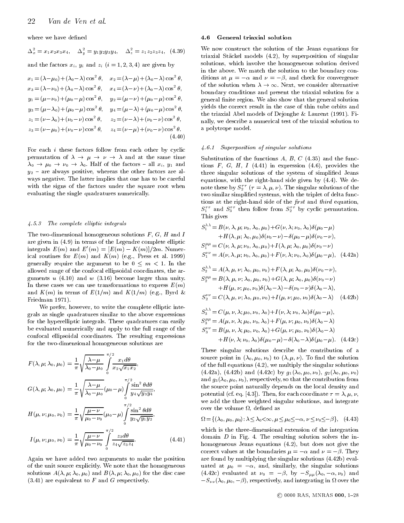where we have defined

 $\Delta_x = x_1x_2x_3x_4, \quad \Delta_y = y_1y_2y_3y_4, \quad \Delta_z = z_1z_2z_3z_4, \quad (4.39)$ 

and the factors  $x_i$ ,  $y_i$  and  $z_i$   $(i = 1, 2, 3, 4)$  are given by

$$
x_1 = (\lambda - \mu_0) + (\lambda_0 - \lambda) \cos^2 \theta, \quad x_2 = (\lambda - \mu) + (\lambda_0 - \lambda) \cos^2 \theta, \quad \alpha_3 = (\lambda - \nu_0) + (\lambda_0 - \lambda) \cos^2 \theta, \quad x_4 = (\lambda - \nu) + (\lambda_0 - \lambda) \cos^2 \theta, \quad \alpha_4 = (\lambda - \nu) + (\lambda_0 - \lambda) \cos^2 \theta, \quad \alpha_5 = (\mu - \nu_0) + (\mu_0 - \mu) \cos^2 \theta, \quad y_2 = (\mu - \nu) + (\mu_0 - \mu) \cos^2 \theta, \quad y_3 = (\mu - \lambda_0) + (\mu_0 - \mu) \cos^2 \theta, \quad y_4 = (\mu - \lambda) + (\mu_0 - \mu) \cos^2 \theta, \quad z_1 = (\nu - \lambda_0) + (\nu_0 - \nu) \cos^2 \theta, \quad z_2 = (\nu - \lambda) + (\nu_0 - \nu) \cos^2 \theta, \quad z_3 = (\nu - \mu_0) + (\nu_0 - \nu) \cos^2 \theta, \quad z_4 = (\nu - \mu) + (\nu_0 - \nu) \cos^2 \theta. \quad (4.40)
$$

For each i these factors follow from each other by cyclic permutation of ! ! ! andat the same time 0 ! 0 ! 0 ! 0. Half of the factors { all xi , y1 and  $y_2$  – are always positive, whereas the other factors are always negative. The latter implies that one has to be careful with the signs of the factors under the square root when evaluating the single quadratures numerically.

#### 4.5.3 The complete el liptic integrals

The two-dimensional homogeneous solutions  $F, G, H$  and I are given in (4.9) in terms of the Legendre complete elliptic integrals  $E(m)$  and  $E(m)=[E(m) - K(m)]/2m$ . Numerical routines for  $E(m)$  and  $K(m)$  (e.g., Press et al. 1999) generally require to be  $\frac{1}{\alpha}$  . In the argument to be  $\frac{1}{\alpha}$ allowed range of the confocal ellipsoidal coordinates, the arguments  $u(4.10)$  and  $w(3.16)$  become larger than unity. In these cases we can use transformations to express  $E(m)$ and  $K(m)$  in terms of  $E(1/m)$  and  $K(1/m)$  (e.g., Byrd & Friedman 1971).

We prefer, however, to write the complete elliptic integrals as single quadratures similar to the above expressions for the hyperelliptic integrals. These quadratures can easily be evaluated numerically and apply to the full range of the confocal ellipsoidal coordinates. The resulting expressions for the two-dimensional homogeneous solutions are

$$
F(\lambda, \mu; \lambda_0, \mu_0) = \frac{1}{\pi} \sqrt{\frac{\lambda - \mu}{\lambda_0 - \mu_0}} \int_0^{\pi/2} \frac{x_1 d\theta}{x_2 \sqrt{x_1 x_2}},
$$
  
\n
$$
G(\lambda, \mu; \lambda_0, \mu_0) = \frac{1}{\pi} \sqrt{\frac{\lambda - \mu}{\lambda_0 - \mu_0}} (\mu_0 - \mu) \int_0^{\pi/2} \frac{\sin^2 \theta d\theta}{y_4 \sqrt{y_3 y_4}},
$$
  
\n
$$
H(\mu, \nu; \mu_0, \nu_0) = \frac{1}{\pi} \sqrt{\frac{\mu - \nu}{\mu_0 - \nu_0}} (\mu_0 - \mu) \int_0^{\pi/2} \frac{\sin^2 \theta d\theta}{y_2 \sqrt{y_1 y_2}},
$$
  
\n
$$
I(\mu, \nu; \mu_0, \nu_0) = \frac{1}{\pi} \sqrt{\frac{\mu - \nu}{\mu_0 - \nu_0}} \int_0^{\pi/2} \frac{z_3 d\theta}{z_4 \sqrt{z_3 z_4}}.
$$
(4.41)

Again we have added two arguments to make the position of the unit source explicitly. We note that the homogeneous solutions  $A(\lambda, \mu; \lambda_0, \mu_0)$  and  $B(\lambda, \mu; \lambda_0, \mu_0)$  for the disc case  $(3.41)$  are equivalent to F and G respectively.

#### 4.6 General triaxial solution

We now construct the solution of the Jeans equations for triaxial Stackel models (4.2), by superposition of singular solutions, which involve the homogeneous solution derived in the above. We match the solution to the boundary conditions at  $\mu = -\alpha$  and  $\nu = -\beta$ , and check for convergence of the solution when  $\lambda \to \infty$ . Next, we consider alternative boundary conditions and present the triaxial solution for a general finite region. We also show that the general solution yields the correct result in the case of thin tube orbits and the triaxial Abel models of Dejonghe & Laurent (1991). Finally, we describe a numerical test of the triaxial solution to a polytrope model.

#### 4.6.1 Superposition of singular solutions

Substitution of the functions  $A, B, C$  (4.35) and the functions F, G, H, I (4.41) in expression (4.6), provides the three singular solutions of the system of simplied Jeans equations, with the right-hand side given by (4.4). We denote these by  $S_2^{\perp}$  (  $\tau = \lambda, \mu, \nu$ ). The singular solutions of the two similar simplied systems, with the triplet of delta functions at the right-hand side of the  $first$  and third equation,  $S_1^+$  and  $S_3^+$  then follow from  $S_2^+$  by cyclic permutation. This gives

$$
S_1^{\lambda\lambda} = B(\nu, \lambda, \mu; \nu_0, \lambda_0, \mu_0) + G(\nu, \lambda; \nu_0, \lambda_0) \delta(\mu_0 - \mu) + H(\lambda, \mu; \lambda_0, \mu_0) \delta(\nu_0 - \nu) - \delta(\mu_0 - \mu) \delta(\nu_0 - \nu), S_1^{\mu\mu} = C(\nu, \lambda, \mu; \nu_0, \lambda_0, \mu_0) + I(\lambda, \mu; \lambda_0, \mu_0) \delta(\nu_0 - \nu) S_1^{\nu\nu} = A(\nu, \lambda, \mu; \nu_0, \lambda_0, \mu_0) + F(\nu, \lambda; \nu_0, \lambda_0) \delta(\mu_0 - \mu), \quad (4.42a)
$$
  

$$
S_2^{\lambda\lambda} = A(\lambda, \mu, \nu; \lambda_0, \mu_0, \nu_0) + F(\lambda, \mu; \lambda_0, \mu_0) \delta(\nu_0 - \nu), S_2^{\mu\mu} = B(\lambda, \mu, \nu; \lambda_0, \mu_0, \nu_0) + G(\lambda, \mu; \lambda_0, \mu_0) \delta(\nu_0 - \nu) + H(\mu, \nu; \mu_0, \nu_0) \delta(\lambda_0 - \lambda) - \delta(\nu_0 - \nu) \delta(\lambda_0 - \lambda), S_2^{\nu\nu} = C(\lambda, \mu, \nu; \lambda_0, \mu_0, \nu_0) + I(\mu, \nu; \mu_0, \nu_0) \delta(\lambda_0 - \lambda) \quad (4.42b)
$$

$$
S_3^{\lambda \lambda} = C(\mu, \nu, \lambda; \mu_0, \nu_0, \lambda_0) + I(\nu, \lambda; \nu_0, \lambda_0) \delta(\mu_0 - \mu),
$$
  
\n
$$
S_3^{\mu \mu} = A(\mu, \nu, \lambda; \mu_0, \nu_0, \lambda_0) + F(\mu, \nu; \mu_0, \nu_0) \delta(\lambda_0 - \lambda)
$$
  
\n
$$
S_3^{\nu \nu} = B(\mu, \nu, \lambda; \mu_0, \nu_0, \lambda_0) + G(\mu, \nu; \mu_0, \nu_0) \delta(\lambda_0 - \lambda)
$$
  
\n
$$
+ H(\nu, \lambda; \nu_0, \lambda_0) \delta(\mu_0 - \mu) - \delta(\lambda_0 - \lambda) \delta(\mu_0 - \mu). \quad (4.42c)
$$

These singular solutions describe the contribution of a source point in  $(\lambda_0, \mu_0, \nu_0)$  to  $(\lambda, \mu, \nu)$ . To find the solution of the full equations (4.2), we multiply the singular solutions (4.42a), (4.42b) and (4.42c) by  $g_1(\lambda_0, \mu_0, \nu_0)$ ,  $g_2(\lambda_0, \mu_0, \nu_0)$ and  $g_3(\lambda_0, \mu_0, \nu_0)$ , respectively, so that the contribution from the source point naturally depends on the local density and potential (cf. eq. [4.3]). Then, for each coordinate  $\tau = \lambda, \mu, \nu$ , we add the three weighted singular solutions, and integrate , de val de volume de possesse de la possesse de la possession de la possession de la possession de la possess

$$
\Omega = \{ (\lambda_0, \mu_0, \mu_0) : \lambda \le \lambda_0 < \infty, \mu \le \mu_0 \le -\alpha, \nu \le \nu_0 \le -\beta \}, \quad (4.43)
$$

which is the three-dimensional extension of the integration domain  $D$  in Fig. 4. The resulting solution solves the inhomogeneous Jeans equations (4.2), but does not give the correct values at the boundaries  $\mu = -\alpha$  and  $\nu = -\beta$ . They are found by multiplying the singular solutions (4.42b) evaluated at  $\mu_0 = -\alpha$ , and, similarly, the singular solutions (4.42c) evaluated at  $\nu_0 = -\beta$ , by  $-S_{\mu\mu}(\lambda_0, -\alpha, \nu_0)$  and  $S = \mathbb{Z} \cup \{0\}$ , if  $\{0, 1, 0\}$ , and integrating in the integration in the integration in the integration of  $S$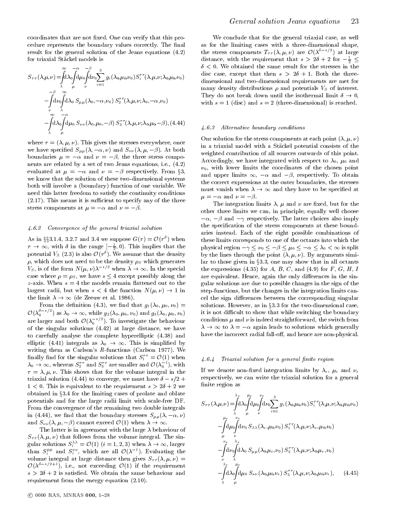coordinates that are not fixed. One can verify that this procedure represents the boundary values correctly. The final result for the general solution of the Jeans equations (4.2) for triaxial Stackel models is

$$
S_{\tau\tau}(\lambda,\mu,\nu) = \int_{\mu}^{\infty} d\lambda_0 \int d\mu_0 \int d\nu_0 \sum_{i=1}^3 g_i(\lambda_0,\mu_0,\nu_0) S_i^{\tau\tau}(\lambda,\mu,\nu;\lambda_0,\mu_0,\nu_0) \n\begin{array}{c}\n\alpha \\
\lambda \\
\vdots \\
\alpha\n\end{array} \n\begin{array}{c}\n-\beta \\
\frac{\alpha}{\mu} \sum_{\nu} \int d\lambda_0 \int d\mu_0 \int d\lambda_0 S_{\mu\mu}(\lambda_0,-\alpha,\nu_0) S_2^{\tau\tau}(\lambda,\mu,\nu;\lambda_0,-\alpha,\nu_0) \n\end{array}
$$

where  $\tau = (\lambda, \mu, \nu)$ . This gives the stresses everywhere, once we have specified  $S_{\mu\mu}(\lambda, -\alpha, \nu)$  and  $S_{\nu\nu}(\lambda, \mu, -\beta)$ . At both boundaries  $\mathbf{r}$  , the three stress components components components through  $\mathbf{r}$ nents are related by a set of two Jeans equations, i.e., (4.2) evaluated at  $\mu = -\alpha$  and  $\nu = -\beta$  respectively. From §3, we know that the solution of these two-dimensional systems both will involve a (boundary) function of one variable. We need this latter freedom to satisfy the continuity conditions  $(2.17)$ . This means it is sufficient to specify any of the three  $\mathbf{r}$  and  $\mathbf{r}$  and  $\mathbf{r}$  and  $\mathbf{r}$  and  $\mathbf{r}$ 

#### 4.6.2 Convergence of the general triaxial solution

As in  $33.1.4$ , 3.2.7 and 3.4 we suppose  $G(\tau) = O(\tau)$  when the  $\tau \to \infty$ , with  $\delta$  in the range  $[-\frac{1}{2}, 0)$ . This<br>potential  $V_S$  (2.3) is also  $\mathcal{O}(\tau^{\delta})$ . We assum<br> $\rho$ , which does not need to be the density  $\rho$ potential  $V_S$  (2.3) is also  $\mathcal{O}(\tau)$ . We assume that the density by  $\rho$ , which does not need to be the density  $\rho_S$  which generates  $V_s$ , is of the form  $N(\mu, \nu) \lambda^{-\gamma}$  when  $\lambda \to \infty$ . In the special case where  $\rho = \rho_s$ , we have  $s \le 4$  except possibly along the z-axis. When  $s = 4$  the models remain flattened out to the  $\alpha$  is the state s  $\alpha$  and  $\alpha$  is the state state state state state  $\alpha$ z-axis. When  $s = 4$  the models remain flattened out to the largest radii, but when  $s < 4$  the function  $N(\mu, \nu) \rightarrow 1$  in the limit  $\lambda \to \infty$  (de Zeeuw et al. 1986).

he definition (4.3), we find that  $g_1$ <br>is  $\lambda_0 \to \infty$ , while  $g_2(\lambda_0, \mu_0, \nu_0)$  and From the definition (4.3), we find that  $g_1(\lambda_0, \mu_0, \nu_0)$  = are larger and both  $\mathcal{O}(\lambda_0^{-s/2})$ . To investigate the behaviour of the singular solutions (4.42) at large distance, we have  $-2$   $-1$   $-2$ are larger and both  $\mathcal{O}(\lambda_0^{-1})$ . To investigate the behaviour of the singular solutions (4.42) at large distance, we have to carefully analyse the complete hyperelliptic (4.38) and elliptic (4.41) integrate as 1.0  $\pm$  1.1. This is simplificated by  $\mathcal{I}$ writing them as Carlson's R-functions (Carlson 1977). We finally find for the singular solutions that  $S_1^+ = \mathcal{O}(1)$  when  $\hspace{0.5cm} \qquad \quad \text{{\large\it 4.6}}.$  $\lambda_0 \to \infty$ , whereas  $S_2^{\gamma}$  and  $S_3^{\gamma}$  are smaller and  $\mathcal{O}(\lambda_0^{\gamma})$ , with  $\tau = \lambda, \mu, \nu$ . This shows that for the volume integral in the triaxial solution (4.44) to converge, we must have  $\delta - s/2 +$  $\lambda_0 \to \infty$ , whereas  $S_2^{\tau\tau}$  and  $S_3^{\tau\tau}$  are smaller and  $\mathcal{O}(\lambda_0^{-1})$ , with  $\cdots$  ;  $\cdots$  is shown that for the volume in the volume integrals in the volume in the volume in the volume in the volume in  $\cdots$ triaxial solution (4.44) to converge, we must have  $\delta - s/2 +$  $1 < 0$ . This is equivalent to the requirement  $s > 2\delta + 2$  we obtained in §3.4 for the limiting cases of prolate and oblate potentials and for the large radii limit with scale-free DF. From the convergence of the remaining two double integrals in (4.44), we find that the boundary stresses  $S_{\mu\mu}(\lambda, -\alpha, \nu)$ and  $S_{\nu\nu}(\lambda,\mu,-\beta)$  cannot exceed  $\mathcal{O}(1)$  when  $\lambda \to \infty$ .

The latter is in agreement with the large  $\lambda$  behaviour of  $S_{\tau\tau}(\lambda,\mu,\nu)$  that follows from the volume integral. The singular solutions  $S_i$  =  $\mathcal{O}(1)$  ( $i = 1$ , hich are all  $\mathcal{O}(\lambda^{-1})$ . Evaluating the<br>ge distance then gives  $S_{\tau\tau}(\lambda, \mu, \nu)$  = than  $S_i^{rr}$  and  $S_i^{rr}$ , which are all  $\mathcal{O}(\lambda^{-1})$ . Evaluating the volume integral at large distance then gives  $S_{\tau\tau}(\lambda,\mu,\nu)$  =  $\mathcal{O}(\lambda^{\delta-s/2+1})$ , i.e., not exceeding  $\mathcal{O}(1)$  if the requirement  $s > 2\delta + 2$  is satisfied. We obtain the same behaviour and requirement from the energy equation (2.10).

We conclude that for the general triaxial case, as well as for the limiting cases with a three-dimensional shape, the stress components  $T_{\tau\tau}(\lambda,\mu,\nu)$  are  $\mathcal{O}(\lambda^{--})$  at large distance, with the requirement that  $s > 20 + 2$  for  $-\frac{1}{2} \le$  $\delta$  < 0. We obtained the same result for the stresses in the disc case, except that then  $s > 2\delta + 1$ . Both the threedimensional and two-dimensional requirements are met for many density distributions  $\rho$  and potentials  $V<sub>S</sub>$  of interest. They do not break down until the isothermal limit  $\delta \to 0$ , ! 0, with  $s = 1$  (disc) and  $s = 2$  (three-dimensional) is reached.

#### 4.6.3 Alternative boundary conditions

Our solution for the stress components at each point  $(\lambda, \mu, \nu)$ in a triaxial model with a Stackel potential consists of the weighted contribution of all sources outwards of this point. Accordingly, we have integrated with respect to  $\lambda_0$ ,  $\mu_0$  and  $\nu_0$ , with lower limits the coordinates of the chosen point and upper limits  $\infty$ ,  $-\alpha$  and  $-\beta$ , respectively. To obtain the correct expressions at the outer boundaries, the stresses must vanish when  $\lambda \to \infty$  and they have to be specified at  $\mu = -\alpha$  and  $\nu = -\beta$ .

 $\tau \to \infty$ , with  $\delta$  in the range  $\left[-\frac{1}{2}, 0\right)$ . This implies that the physical region  $-\gamma \leq \nu_0 \leq -\beta \leq \mu_0 \leq -\alpha \leq \lambda_0 < \infty$  is split ! 1 in step-functions, but the changes in the integration limits can- $-\alpha$  and  $\nu = -\beta$ .<br>The integration limits  $\lambda$ ,  $\mu$  and  $\nu$  are fixed, but for the other three limits we can, in principle, equally well choose  $-\alpha$ ,  $-\beta$  and  $-\gamma$  respectively. The latter choices also imply the specication of the stress components at these boundaries instead. Each of the eight possible combinations of these limits corresponds to one of the octants into which the by the lines through the point  $(\lambda, \mu, \nu)$ . By arguments similar to those given in §3.3, one may show that in all octants by the lines through the point  $(\lambda, \mu, \nu)$ . By arguments simithe expressions  $(4.35)$  for  $A, B, C$ , and  $(4.9)$  for  $F, G, H, I$ are equivalent. Hence, again the only differences in the singular solutions are due to possible changes in the sign of the cel the sign differences between the corresponding singular solutions. However, as in  $\S 3.3$  for the two-dimensional case, it is not difficult to show that while switching the boundary conditions  $\mu$  and  $\nu$  is indeed straightforward, the switch from  $\lambda \to \infty$  to  $\lambda = -\alpha$  again leads to solutions which generally we the incorrect radial fall-off, and hence are non-physical. have the incorrect radial fall-o, and hence are non-physical.

#### 4.6.4 Triaxial solution for a general finite region

 $s_{\perp}$  + 2  $\frac{1}{2}$  we finite region as If we denote non-fixed integration limits by  $\lambda_e$ ,  $\mu_e$  and  $\nu_e$ respectively, we can write the triaxial solution for a general

$$
S_{\tau\tau}(\lambda,\mu,\nu) = \int_{\lambda}^{\lambda_e} d\lambda_0 \int d\mu_0 \int d\nu_0 \sum_{i=1}^3 g_i(\lambda_{0},\mu_{0},\nu_0) S_i^{\tau\tau}(\lambda,\mu,\nu;\lambda_{0},\mu_{0},\nu_0)
$$
  
\n
$$
- \int d\mu_0 \int d\nu_0 S_{\lambda\lambda}(\lambda_e,\mu_{0},\nu_0) S_1^{\tau\tau}(\lambda,\mu,\nu;\lambda_e,\mu_{0},\nu_0)
$$
  
\n
$$
- \int d\mu_0 \int d\nu_0 S_{\lambda\lambda}(\lambda_e,\mu_{0},\nu_0) S_2^{\tau\tau}(\lambda,\mu,\nu;\lambda_{0},\mu_e,\nu_0)
$$
  
\n
$$
- \int d\nu_0 \int d\lambda_0 S_{\mu\mu}(\lambda_{0},\mu_e,\nu_0) S_2^{\tau\tau}(\lambda,\mu,\nu;\lambda_{0},\mu_e,\nu_0)
$$
  
\n
$$
- \int_{\lambda}^{\lambda_e} d\lambda_0 \int d\mu_0 S_{\nu\nu}(\lambda_{0},\mu_{0},\nu_e) S_3^{\tau\tau}(\lambda,\mu,\nu;\lambda_{0},\mu_{0},\nu_e), \quad (4.45)
$$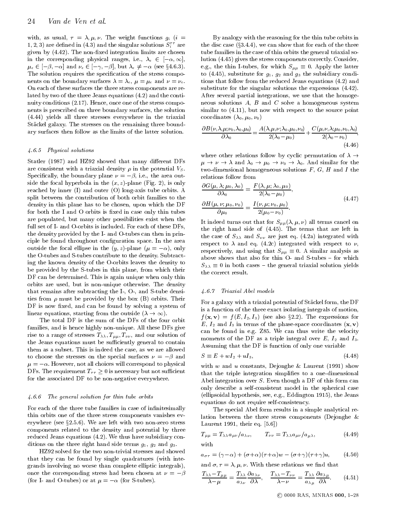with, as usual,  $\tau = \lambda, \mu, \nu$ . The weight functions  $g_i$  (i = 1, 2, 3) are defined in (4.3) and the singular solutions  $S_i^{\pm}$  are the given by  $(4.42)$ . The non-fixed integration limits are chosen in the corresponding physical ranges, i.e.,  $\sim$  2  $\sim$  2  $\sim$  2  $\sim$  2  $\sim$  2  $\sim$  2  $\sim$  2  $\sim$  2  $\sim$  $r$  , and  $r$  is the set  $\{r, \ldots, r\}$  , and  $r$  is the  $\{r, \ldots, r\}$  . The set  $\{r, \ldots, r\}$ The solution requires the specification of the stress components on the boundary surfaces  $\lambda = \lambda_e$ ,  $\mu = \mu_e$  and  $\nu = \nu_e$ . On each of these surfaces the three stress components are related by two of the three Jeans equations (4.2) and the conti nuity conditions  $(2.17)$ . Hence, once one of the stress components is prescribed on three boundary surfaces, the solution (4.44) yields all three stresses everywhere in the triaxial Stäckel galaxy. The stresses on the remaining three boundary surfaces then follow as the limits of the latter solution.

#### 4.6.5 Physical solutions

Statler (1987) and HZ92 showed that many different DFs are consistent with a triaxial density  $\rho$  in the potential  $V_S$ .  $\sim$  processes and boundary plane is the property frequency of the area of  $\sim$  10 side the focal hyperbola in the  $(x, z)$ -plane (Fig. 2), is only reached by inner (I) and outer (O) long-axis tube orbits. A split between the contribution of both orbit families to the density in this plane has to be chosen, upon which the DF for both the I and O orbits is fixed in case only thin tubes are populated, but many other possibilities exist when the full set of I- and O-orbits is included. For each of these DFs, the density provided by the I- and O-tubes can then in principle be found throughout conguration space. In the area  $\mathbf{r}$  is the focal element in the focal element of  $\mathbf{r}$ the O-tubes and S-tubes contribute to the density. Subtracting the known density of the O-orbits leaves the density to be provided by the S-tubes in this plane, from which their DF can be determined. This is again unique when only thin orbits are used, but is non-unique otherwise. The density that remains after subtracting the I-, O-, and S-tube densities from  $\rho$  must be provided by the box (B) orbits. Their DF is now fixed, and can be found by solving a system of

The total DF is the sum of the DFs of the four orbit  $\frac{f(t)}{E}$ <br>families, and is hence highly non-unique. All these DFs give ca The total DF is the sum of the DFs of the four orbit rise to a range of stresses  $T_{\lambda\lambda}$ ,  $T_{\mu\mu}$ ,  $T_{\nu\nu}$ , and our solution of the Jeans equations must be sufficiently general to contain them as a subset. This is indeed the case, as we are allowed to choose the stresses on the special surfaces  $\nu = -\beta$  and  $\mu = -\alpha$ . However, not all choices will correspond to physical  $\mathbf{I}$  is necessary but not such that  $\mathbf{I}$  is necessary but not such that  $\mathbf{I}$ for the associated DF to be non-negative everywhere.

#### 4.6.6 The general solution for thin tube orbits

For each of the three tube families in case of infinitesimally thin orbits one of the three stress components vanishes everywhere (see  $\S 2.5.6$ ). We are left with two non-zero stress components related to the density and potential by three reduced Jeans equations (4.2). We thus have subsidiary conditions on the three right hand side terms  $q_1$ ,  $q_2$  and  $q_3$ .

HZ92 solved for the two non-trivial stresses and showed that they can be found by single quadratures (with integrands involving no worse than complete elliptic integrals), once the corresponding stress had been chosen at  $\nu = -\beta$ (for I- and O-tubes) or at  $\mu = -\alpha$  (for S-tubes).

By analogy with the reasoning for the thin tube orbits in the disc case  $(\S3.4.4)$ , we can show that for each of the three tube families in the case of thin orbits the general triaxial solution (4.45) gives the stress components correctly. Consider, e.g., the thin I-tubes, for which S  $\mu\mu$   $-$  at the latter decomposition to  $(4.45)$ , substitute for  $g_1$ ,  $g_2$  and  $g_3$  the subsidiary conditions that follow from the reduced Jeans equations (4.2) and substitute for the singular solutions the expressions (4.42). After several partial integrations, we use that the homoge neous solutions  $A$ ,  $B$  and  $C$  solve a homogeneous system similar to (4.11), but now with respect to the source point coordinates  $(\lambda_0, \mu_0, \nu_0)$ 

$$
\frac{\partial B(\nu,\lambda,\mu;\nu_0,\lambda_0,\mu_0)}{\partial \lambda_0} = \frac{A(\lambda,\mu,\nu;\lambda_0,\mu_0,\nu_0)}{2(\lambda_0-\mu_0)} + \frac{C(\mu,\nu,\lambda;\mu_0,\nu_0,\lambda_0)}{2(\lambda_0-\nu_0)},
$$
\n(4.46)

where other relations follow by cyclic permutation of  $\lambda \rightarrow$  $\mathbf{v}$  , and similar for the similar form  $\mathbf{v}$  , and similar for the similar form  $\mathbf{v}$ two-dimensional homogeneous solutions  $F, G, H$  and I the relations follow from

$$
\frac{\partial G(\mu, \lambda; \mu_0, \lambda_0)}{\partial \lambda_0} = \frac{F(\lambda, \mu; \lambda_0, \mu_0)}{2(\lambda_0 - \mu_0)},
$$
\n
$$
\frac{\partial H(\mu, \nu; \mu_0, \nu_0)}{\partial \mu_0} = \frac{I(\nu, \mu; \nu_0, \mu_0)}{2(\mu_0 - \nu_0)}.
$$
\n(4.47)

It indeed turns out that for  $S_{\mu\mu}(\lambda,\mu,\nu)$  all terms cancel on the right hand side of (4.45). The terms that are left in the case of  $S_{\lambda\lambda}$  and  $S_{\nu\nu}$  are just eq. (4.2a) integrated with respect to  $\lambda$  and eq. (4.2c) integrated with respect to  $\nu$ , respectively, and using that S  $\mu\mu$  as similar analysis as as above shows that also for thin O- and S-tubes  $-$  for which S 0 in both cases { the general triaxial solution yields the correct result.

#### 4.6.7 Triaxial Abel models

For a galaxy with a triaxial potential of Stackel form, the DF is a function of the three exact isolating integrals of motion,  $f(\mathbf{x}, \mathbf{v}) = f(E, I_2, I_3)$  (see also §2.2). The expressions for  $E, I_2$  and  $I_3$  in terms of the phase-space coordinates  $(\mathbf{x}, \mathbf{v})$ can be found in e.g. Z85. We can thus write the velocity moments of the DF as a triple integral over  $E$ ,  $I_2$  and  $I_3$ . Assuming that the DF is function of only one variable

$$
S \equiv E + wI_2 + uI_3, \tag{4.48}
$$

with w and u constants, Dejonghe & Laurent (1991) show that the triple integration simplifies to a one-dimensional Abel integration over S. Even though a DF of this form can only describe a self-consistent model in the spherical case (ellipsoidal hypothesis, see, e.g., Eddington 1915), the Jeans equations do not require self-consistency.

The special Abel form results in a simple analytical relation between the three stress components (Dejonghe & Laurent 1991, their eq. [5.6])

$$
T_{\mu\mu} = T_{\lambda\lambda} a_{\mu\nu} / a_{\lambda\nu}, \qquad T_{\nu\nu} = T_{\lambda\lambda} a_{\mu\nu} / a_{\mu\lambda}, \qquad (4.49)
$$
  
with

$$
a_{\sigma\tau} = (\gamma - \alpha) + (\sigma + \alpha)(\tau + \alpha)w - (\sigma + \gamma)(\tau + \gamma)u, \qquad (4.50)
$$

and  $\sigma, \tau = \lambda, \mu, \nu$ . With these relations we find that

$$
\frac{T_{\lambda\lambda} - T_{\mu\mu}}{\lambda - \mu} = \frac{T_{\lambda\lambda}}{a_{\lambda\nu}} \frac{\partial a_{\lambda\nu}}{\partial \lambda}, \quad \frac{T_{\lambda\lambda} - T_{\nu\nu}}{\lambda - \nu} = \frac{T_{\lambda\lambda}}{a_{\lambda\mu}} \frac{\partial a_{\lambda\mu}}{\partial \lambda}.
$$
 (4.51)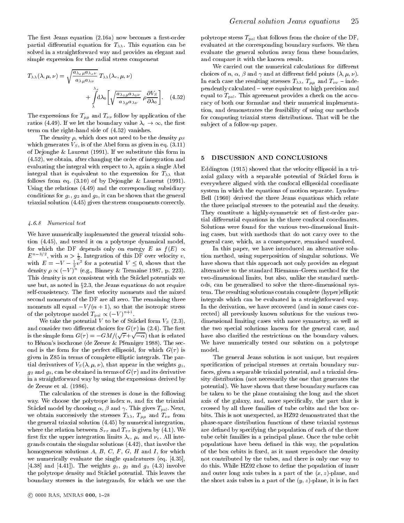The first Jeans equation  $(2.16a)$  now becomes a first-order partial differential equation for  $T_{\lambda\lambda}$ . This equation can be solved in a straightforward way and provides an elegant and simple expression for the radial stress component

$$
T_{\lambda\lambda}(\lambda,\mu,\nu) = \sqrt{\frac{a_{\lambda e\mu}a_{\lambda e\nu}}{a_{\lambda\mu}a_{\lambda\nu}}} T_{\lambda\lambda}(\lambda_e,\mu,\nu)
$$
\n
$$
+ \int\limits_{\lambda}^{\lambda_e} d\lambda_0 \left[ \sqrt{\frac{a_{\lambda_0\mu}a_{\lambda_0\nu}}{a_{\lambda\mu}a_{\lambda\nu}}} \rho \frac{\partial V_S}{\partial \lambda_0} \right].
$$
\n(4.52)

The expressions for  $T_{\mu\mu}$  and  $T_{\nu\nu}$  follow by application of the term on the right-hand side of  $(4.52)$  vanishes.<br>The density  $\rho$ , which does not need to be the density  $\rho_S$ term on the right-hand side of (4.52) vanishes.

which generates  $V_s$ , is of the Abel form as given in eq. (3.11) of Dejonghe & Laurent (1991). If we substitute this form in (4.52), we obtain, after changing the order of integration and evaluating the integral with respect to  $\lambda$ , again a single Abel integral that is equivalent to the expression for  $T_{\lambda\lambda}$  that follows from eq. (3.10) of by Dejonghe & Laurent (1991). Using the relations (4.49) and the corresponding subsidiary conditions for  $g_1$ ,  $g_2$  and  $g_3$ , it can be shown that the general triaxial solution (4.45) gives the stress components correctly.

#### 4.6.8 Numerical test

We have numerically implemented the general triaxial solution (4.45), and tested it on a polytrope dynamical model, for which the DF depends only on energy E as  $f(E) \propto$  $E^{\sim}$   $\rightarrow$  , with  $n > \frac{1}{2}$ . Integration of this DF over velocity  $v$ , the s with  $E = -V - \frac{1}{2}v^2$  for a potential  $V \leq 0$ , shows that the have density  $\rho \propto (-v)^n$  (e.g., Binney & Tremaine 1987, p. 223). a This density is not consistent with the Stackel potentials we use but, as noted in  $\S 2.3$ , the Jeans equations do not require self-consistency. The first velocity moments and the mixed second moments of the DF are all zero. The remaining three moments all equal  $\lambda$  / (n + 1), so that the isotropic stress stress of the polytrope model  $T_{\text{pol}} \propto (-V)$  .

We take the potential V to be of Stäckel form  $V_S$  (2.3), and consider two different choices for  $G(\tau)$  in (2.4). The first is the simple form  $G(\tau) = -GM/(\sqrt{\tau} + \sqrt{-\alpha})$  that is related hav to Henon's isochrone (de Zeeuw & Pfenniger 1988). The second is the form for the perfect ellipsoid, for which  $G(\tau)$  is given in Z85 in terms of complete elliptic integrals. The partial derivatives of  $V_S(\lambda, \mu, \nu)$ , that appear in the weights  $g_1$ ,  $g_2$  and  $g_3$ , can be obtained in terms of  $G(\tau)$  and its derivative in a straightforward way by using the expressions derived by de Zeeuw et al. (1986).

The calculation of the stresses is done in the following way. We choose the polytrope index  $n$ , and fix the triaxial Stäckel model by choosing  $\alpha$ ,  $\beta$  and  $\gamma$ . This gives  $T_{pol}$ . Next, we obtain successively the stresses  $T_{\lambda\lambda}$ ,  $T_{\mu\mu}$  and  $T_{\nu\nu}$  from the general triaxial solution (4.45) by numerical integration, where the relation between  $S_{\tau\tau}$  and  $T_{\tau\tau}$  is given by (4.1). We first fix the upper integration limits  $\lambda_e$ ,  $\mu_e$  and  $\nu_e$ . All integrands contain the singular solutions (4.42), that involve the homogeneous solutions  $A, B, C, F, G, H$  and I, for which we numerically evaluate the single quadratures (eq. [4.35], [4.38] and [4.41]). The weights  $g_1, g_2$  and  $g_3$  (4.3) involve the polytrope density and Stackel potential. This leaves the boundary stresses in the integrands, for which we use the

polytrope stress  $T_{pol}$  that follows from the choice of the DF, evaluated at the corresponding boundary surfaces. We then evaluate the general solution away from these boundaries, and compare it with the known result.

We carried out the numerical calculations for different choices of n,  $\alpha$ ,  $\beta$  and  $\gamma$  and at different field points  $(\lambda, \mu, \nu)$ . In each case the resulting stresses  $T_{\lambda\lambda}$ ,  $T_{\mu\mu}$  and  $T_{\nu\nu}$  - independently calculated { were equivalent to high precision and equal to  $T_{pol}$ . This agreement provides a check on the accuracy of both our formulae and their numerical implementation, and demonstrates the feasibility of using our methods for computing triaxial stress distributions. That will be the sub ject of a follow-up paper.

#### 5 DISCUSSION AND CONCLUSIONS

Eddington (1915) showed that the velocity ellipsoid in a triaxial galaxy with a separable potential of Stäckel form is everywhere aligned with the confocal ellipsoidal coordinate system in which the equations of motion separate. Lynden{ Bell (1960) derived the three Jeans equations which relate the three principal stresses to the potential and the density. They constitute a highly-symmetric set of first-order partial differential equations in the three confocal coordinates. Solutions were found for the various two-dimensional limiting cases, but with methods that do not carry over to the general case, which, as a consequence, remained unsolved.

In this paper, we have introduced an alternative solution method, using superposition of singular solutions. We have shown that this approach not only provides an elegant alternative to the standard Riemann-Green method for the two-dimensional limits, but also, unlike the standard methods, can be generalised to solve the three-dimensional system. The resulting solutions contain complete (hyper)elliptic integrals which can be evaluated in a straightforward way. In the derivation, we have recovered (and in some cases corrected) all previously known solutions for the various two dimensional limiting cases with more symmetry, as well as the two special solutions known for the general case, and have also claried the restrictions on the boundary values. We have numerically tested our solution on a polytrope model.

The general Jeans solution is not unique, but requires specification of principal stresses at certain boundary surfaces, given a separable triaxial potential, and a triaxial density distribution (not necessarily the one that generates the potential). We have shown that these boundary surfaces can be taken to be the plane containing the long and the short axis of the galaxy, and, more specically, the part that is crossed by all three families of tube orbits and the box or bits. This is not unexpected, as HZ92 demonstrated that the phase-space distribution functions of these triaxial systems are defined by specifying the population of each of the three tube orbit families in a principal plane. Once the tube orbit populations have been defined in this way, the population of the box orbits is fixed, as it must reproduce the density not contributed by the tubes, and there is only one way to do this. While HZ92 chose to define the population of inner and outer long axis tubes in a part of the  $(x, z)$ -plane, and the short axis tubes in a part of the  $(y, z)$ -plane, it is in fact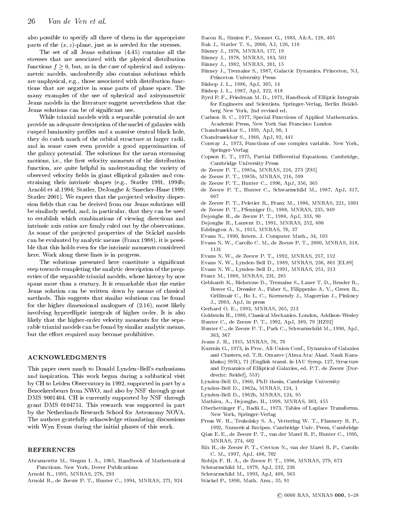also possible to specify all three of them in the appropriate parts of the  $(x, z)$ -plane, just as is needed for the stresses.

The set of all Jeans solutions (4.45) contains all the stresses that are associated with the physical distribution functions for  $f = 0$ , but, as in the case of spherical and axisymmetric models, undoubtedly also contains solutions which are unphysical, e.g., those associated with distribution functions that are negative in some parts of phase space. The many examples of the use of spherical and axisymmetric Jeans models in the literature suggest nevertheless that the Jeans solutions can be of signicant use.

While triaxial models with a separable potential do not provide an adequate description of the nuclei of galaxies with cusped luminosity profiles and a massive central black hole, they do catch much of the orbital structure at larger radii, and in some cases even provide a good approximation of the galaxy potential. The solutions for the mean streaming motions, i.e., the first velocity moments of the distribution function, are quite helpful in understanding the variety of observed velocity fields in giant elliptical galaxies and constraining their intrinsic shapes (e.g., Statler 1991, 1994b; Arnold et al.1994; Statler, DeJonghe & Smecker-Hane 1999; Statler 2001). We expect that the projected velocity dispersion fields that can be derived from our Jeans solutions will be similarly useful, and, in particular, that they can be used to establish which combinations of viewing directions and intrinsic axis ratios are firmly ruled out by the observations. As some of the projected properties of the Stäckel models can be evaluated by analytic means (Franx 1988), it is possible that this holds even for the intrinsic moments considered  $1131$ here. Work along these lines is in progress.

The solutions presented here constitute a signicant step towards completing the analytic description of the properties of the separable triaxial models, whose history by now spans more than a century. It is remarkable that the entire Jeans solution can be written down by means of classical methods. This suggests that similar solutions can be found for the higher dimensional analogues of (2.16), most likely involving hyperelliptic integrals of higher order. It is also likely that the higher-order velocity moments for the separable triaxial models can be found by similar analytic means, but the effort required may become prohibitive.

#### **ACKNOWLEDGMENTS**

This paper owes much to Donald Lynden-Bell's enthusiasm and inspiration. This work begun during a sabbatical visit by CH to Leiden Observatory in 1992, supported in part by a Bezoekersbeurs from NWO, and also by NSF through grant DMS 9001404. CH is currently supported by NSF through grant DMS 0104751. This research was supported in part by the Netherlands Research School for Astronomy NOVA. The authors gratefully acknowledge stimulating discussions with Wyn Evans during the initial phases of this work.

#### REFERENCES

- Abramowitz M., Stegun I. A., 1965, Handbook of Mathematical Functions. New York, Dover Publications
- Arnold R., 1995, MNRAS, 276, 293
- Arnold R., de Zeeuw P. T., Hunter C., 1994, MNRAS, 271, 924
- Bacon R., Simien F., Monnet G., 1983, A&A, 128, 405
- Bak J., Statler T. S., 2000, AJ, 120, 110
- Binney J., 1976, MNRAS, 177, 19
- Binney J., 1978, MNRAS, 183, 501
- Binney J., 1982, MNRAS, 201, 15
- Binney J., Tremaine S., 1987, Galactic Dynamics. Princeton, NJ, Princeton University Press
- Bishop J. L., 1986, ApJ, 305, 14
- Bishop J. L., 1987, ApJ, 322, 618
- Byrd P. F., Friedman M. D., 1971, Handbook of Elliptic Integrals for Engineers and Scientists. Springer-Verlag, Berlin Heidelberg New York, 2nd revised ed.
- Carlson B. C., 1977, Special Functions of Applied Mathematics. Academic Press, New York San Francisco London
- Chandrasekhar S., 1939, ApJ, 90, 1
- Chandrasekhar S., 1940, ApJ, 92, 441
- Conway J., 1973, Functions of one complex variable. New York, Springer-Verlag
- Copson E. T., 1975, Partial Differential Equations. Cambridge, Cambridge University Press
- de Zeeuw P. T., 1985a, MNRAS, 216, 273 [Z85]
- de Zeeuw P. T., 1985b, MNRAS, 216, 599
- de Zeeuw P. T., Hunter C., 1990, ApJ, 356, 365
- de Zeeuw P. T., Hunter C., Schwarzschild M., 1987, ApJ, 317, 607
- de Zeeuw P. T., Peletier R., Franx M., 1986, MNRAS, 221, 1001
- de Zeeuw P. T., Pfenniger D., 1988, MNRAS, 235, 949
- Dejonghe H., de Zeeuw P. T., 1988, ApJ, 333, 90
- Dejonghe H., Laurent D., 1991, MNRAS, 252, 606
- Eddington A. S., 1915, MNRAS, 76, 37
- Evans N., 1990, Intern. J. Computer Math., 34, 105
- Evans N. W., Carollo C. M., de Zeeuw P. T., 2000, MNRAS, 318,
- Evans N. W., de Zeeuw P. T., 1992, MNRAS, 257, 152
- Evans N. W., Lynden-Bell D., 1989, MNRAS, 236, 801 [EL89]
- Evans N. W., Lynden-Bell D., 1991, MNRAS, 251, 213
- Franx M., 1988, MNRAS, 231, 285
- Gebhardt K., Richstone D., Tremaine S., Lauer T. D., Bender R., Bower G., Dressler A., Faber S., Filippenko A. V., Green R., Grillmair C., Ho L. C., Kormendy J., Magorrian J., Pinkney J., 2003, ApJ, in press
- Gerhard O. E., 1993, MNRAS, 265, 213
- Goldstein H., 1980, Classical Mechanics. London, Addison-Wesley
- Hunter C., de Zeeuw P. T., 1992, ApJ, 389, 79 [HZ92]
- Hunter C., de Zeeuw P. T., Park C., Schwarzschild M., 1990, ApJ, 363, 367
- Jeans J. H., 1915, MNRAS, 76, 70
- Kuzmin G., 1973, in Proc. All-Union Conf., Dynamics of Galaxies and Clusters, ed. T.B. Omarov (Alma Ata: Akad. Nauk Kazakhskoj SSR), 71 (English transl. in IAU Symp. 127, Structure and Dynamics of Elliptical Galaxies, ed. P.T. de Zeeuw [Dordrecht: Reidel], 553)
- Lynden-Bell D., 1960, PhD thesis, Cambridge University
- Lynden-Bell D., 1962a, MNRAS, 124, 1
- Lynden-Bell D., 1962b, MNRAS, 124, 95
- Mathieu, A., Dejonghe, H., 1999, MNRAS, 303, 455
- Oberhettinger F., Badii L., 1973, Tables of Laplace Transforms. New York, Springer-Verlag
- Press W. H., Teukolsky S. A., Vettering W. T., Flannery B. P., 1992, Numerical Recipes. Cambridge Univ. Press, Cambridge
- Qian E. E., de Zeeuw P. T., van der Marel R. P., Hunter C., 1995, MNRAS, 274, 602
- Rix H., de Zeeuw P. T., Cretton N., van der Marel R. P., Carollo C. M., 1997, ApJ, 488, 702
- Robijn F. H. A., de Zeeuw P. T., 1996, MNRAS, 279, 673
- Schwarzschild M., 1979, ApJ, 232, 236
- Schwarzschild M., 1993, ApJ, 409, 563
- Stackel P., 1890, Math. Ann., 35, 91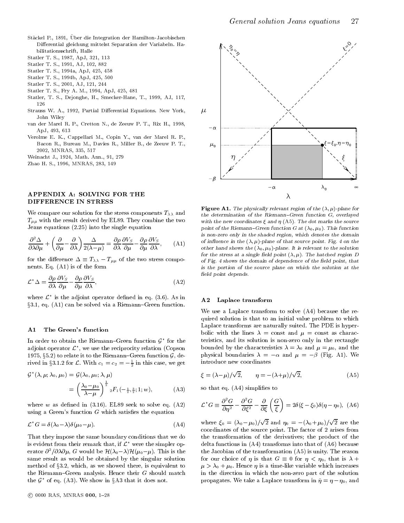- Stäckel P., 1891, Über die Integration der Hamilton-Jacobischen Differential gleichung mittelst Separation der Variabeln. Habilitationsschrift, Halle
- Statler T. S., 1987, ApJ, 321, 113
- Statler T. S., 1991, AJ, 102, 882
- Statler T. S., 1994a, ApJ, 425, 458
- Statler T. S., 1994b, ApJ, 425, 500
- Statler T. S., 2001, AJ, 121, 244
- Statler T. S., Fry A. M., 1994, ApJ, 425, 481
- Statler, T. S., Dejonghe, H., Smecker-Hane, T., 1999, AJ, 117,
- Strauss W. A., 1992, Partial Differential Equations. New York,  $\mu$ John Wiley John Wiley, John Wiley, John Wiley, Mich.
- van der Marel R. P., Cretton N., de Zeeuw P. T., Rix H., 1998, ApJ, 493, 613
- Verolme E. K., Cappellari M., Copin Y., van der Marel R. P., Bacon R., Bureau M., Davies R., Miller B., de Zeeuw P. T., 2002, MNRAS, 335, 517
- Weinacht J., 1924, Math. Ann., 91, 279
- Zhao H. S., 1996, MNRAS, 283, 149

#### APPENDIX A: SOLVING FOR THE DIFFERENCE IN STRESS

We compare our solution for the stress components  $T_{\lambda\lambda}$  and  $T_{\mu\mu}$  with the result derived by EL89. They combine the two Jeans equations (2.25) into the single equation

$$
\frac{\partial^2 \Delta}{\partial \lambda \partial \mu} + \left( \frac{\partial}{\partial \mu} - \frac{\partial}{\partial \lambda} \right) \frac{\Delta}{2(\lambda - \mu)} = \frac{\partial \rho}{\partial \lambda} \frac{\partial V_S}{\partial \mu} - \frac{\partial \rho}{\partial \mu} \frac{\partial V_S}{\partial \lambda}, \quad (A1)
$$

for the difference  $\equiv$   $\pm$  of  $\alpha$  ,  $\pm$   $\mu\mu$  stress components comp $_{\rm F}$  s nents. Eq. (A1) is of the form

$$
\mathcal{L}^* \Delta = \frac{\partial \rho}{\partial \lambda} \frac{\partial V_S}{\partial \mu} - \frac{\partial \rho}{\partial \mu} \frac{\partial V_S}{\partial \lambda},\tag{A2}
$$

where  $L^{\sim}$  is the adjoint operator defined in eq. (3.6). As in  $A2$  $\S3.1$ , eq. (A1) can be solved via a Riemann-Green function.

#### A1 The Green's function

In order to obtain the Riemann–Green function  $\mathcal{G}^{\top}$  for the set adjoint operator  $L^{\cdot}$ , we use the reciprocity relation (Copson  $\qquad \qquad$ 1975, §5.2) to relate it to the Riemann-Green function  $\mathcal{G}$ , derived in 35.1.2 for L. With  $c_1 = c_2 = -\frac{1}{2}$  in this case, we get thus

$$
\mathcal{G}^{\star}(\lambda,\mu;\lambda_0,\mu_0) = \mathcal{G}(\lambda_0,\mu_0;\lambda,\mu)
$$
  
= 
$$
\left(\frac{\lambda_0-\mu_0}{\lambda-\mu}\right)^{\frac{1}{2}} {}_2F_1\left(-\frac{1}{2},\frac{3}{2};1;w\right),
$$
 (A3)

where w as defined in  $(3.16)$ . EL89 seek to solve eq.  $(A2)$ using a Green's function  $G$  which satisfies the equation

$$
\mathcal{L}^{\star}G = \delta(\lambda_0 - \lambda)\delta(\mu_0 - \mu). \tag{A4}
$$

That they impose the same boundary conditions that we do is evident from their remark that, if  $\mathcal{L}^*$  were the simpler operator  $\sigma^2/\partial \lambda \partial \mu$ , G would be  $H(\lambda_0-\lambda)H(\mu_0-\mu)$ . This is the the same result as would be obtained by the singular solution method of  $\S3.2$ , which, as we showed there, is equivalent to the Riemann-Green analysis. Hence their  $G$  should match the  $\mathcal{G}^\frown$  of eq. (A3). We show in 3A3 that it does not.



**Figure A1.** The physically relevant region of the  $(\lambda, \mu)$ -plane for the determination of the Riemann{Green function G, overlayed with the new coordinates  $\varepsilon$  and  $n$  (A5). The dot marks the source point of the Riemann-Green function G at  $(\lambda_0, \mu_0)$ . This function is non-zero only in the shaded region, which denotes the domainof influence in the (A,  $\mu$ )-plane of that source point. Fig. 4 on the other hand shows the  $(\lambda_0, \mu_0)$ -plane. It is relevant to the solution for the stress at a single held point ( $\lambda, u$ ). The hatched region  $D$ of Fig. 4 shows the domain of dependence of the field point, that is the portion of the source plane on which the solution at thefield point depends.

#### A2 Laplace transform

We use a Laplace transform to solve (A4) because the required solution is that to an initial value problem to which Laplace transforms are naturally suited. The PDE is hyperbolic with the lines  $\lambda = \text{const}$  and  $\mu = \text{const}$  as characteristics, and its solution is non-zero only in the rectangle bounded by the characteristics  $\lambda = \lambda_0$  and  $\mu = \mu_0$ , and the physical boundaries  $\lambda = -\alpha$  and  $\mu = -\beta$  (Fig. A1). We introduce new coordinates

$$
\xi = (\lambda - \mu)/\sqrt{2}, \qquad \eta = -(\lambda + \mu)/\sqrt{2}, \tag{A5}
$$

so that eq.  $(A4)$  simplifies to

$$
\mathcal{L}^{\star}G \equiv \frac{\partial^2 G}{\partial \eta^2} - \frac{\partial^2 G}{\partial \xi^2} - \frac{\partial}{\partial \xi} \left(\frac{G}{\xi}\right) = 2\delta(\xi - \xi_0)\delta(\eta - \eta_0), \ (A6)
$$

where  $\xi_0 = (\lambda_0 - \mu_0)/\sqrt{2}$  and  $\eta_0 = -(\lambda_0 + \mu_0)/\sqrt{2}$  are the coordinates of the source point. The factor of 2 arises from the transformation of the derivatives; the product of the delta functions in (A4) transforms into that of (A6) because the Jacobian of the transformation (A5) is unity. The reason for our choice of  $\mathbf{r}$  is that G  $\mathbf{r}$  $\mu > \lambda_0 + \mu_0$ . Hence  $\eta$  is a time-like variable which increases in the direction in which the non-zero part of the solution propagates. We take a Laplace transformation in  $\mathcal{V}$  and  $\mathcal{V}$